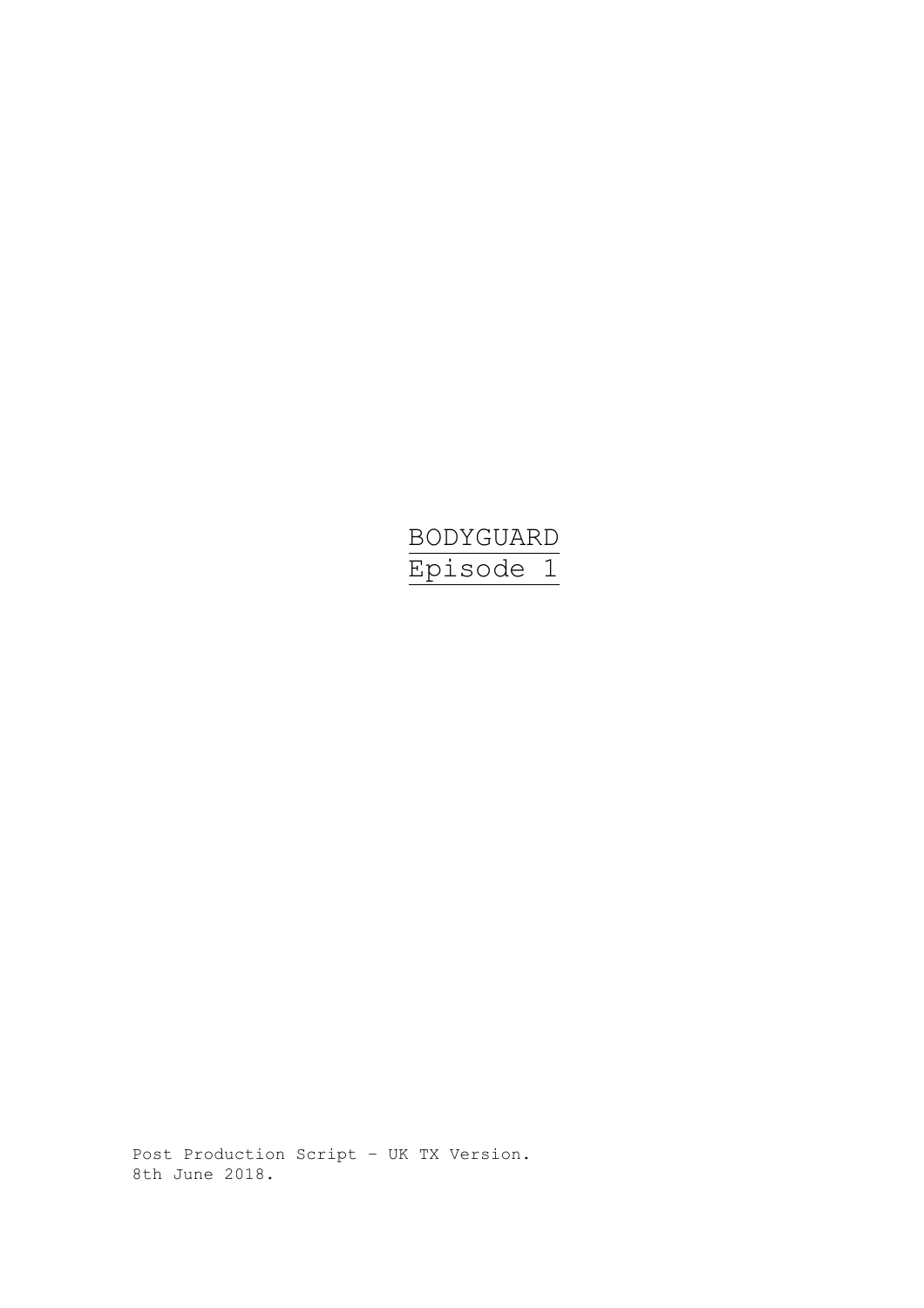# BODYGUARD Episode 1

Post Production Script – UK TX Version. 8th June 2018.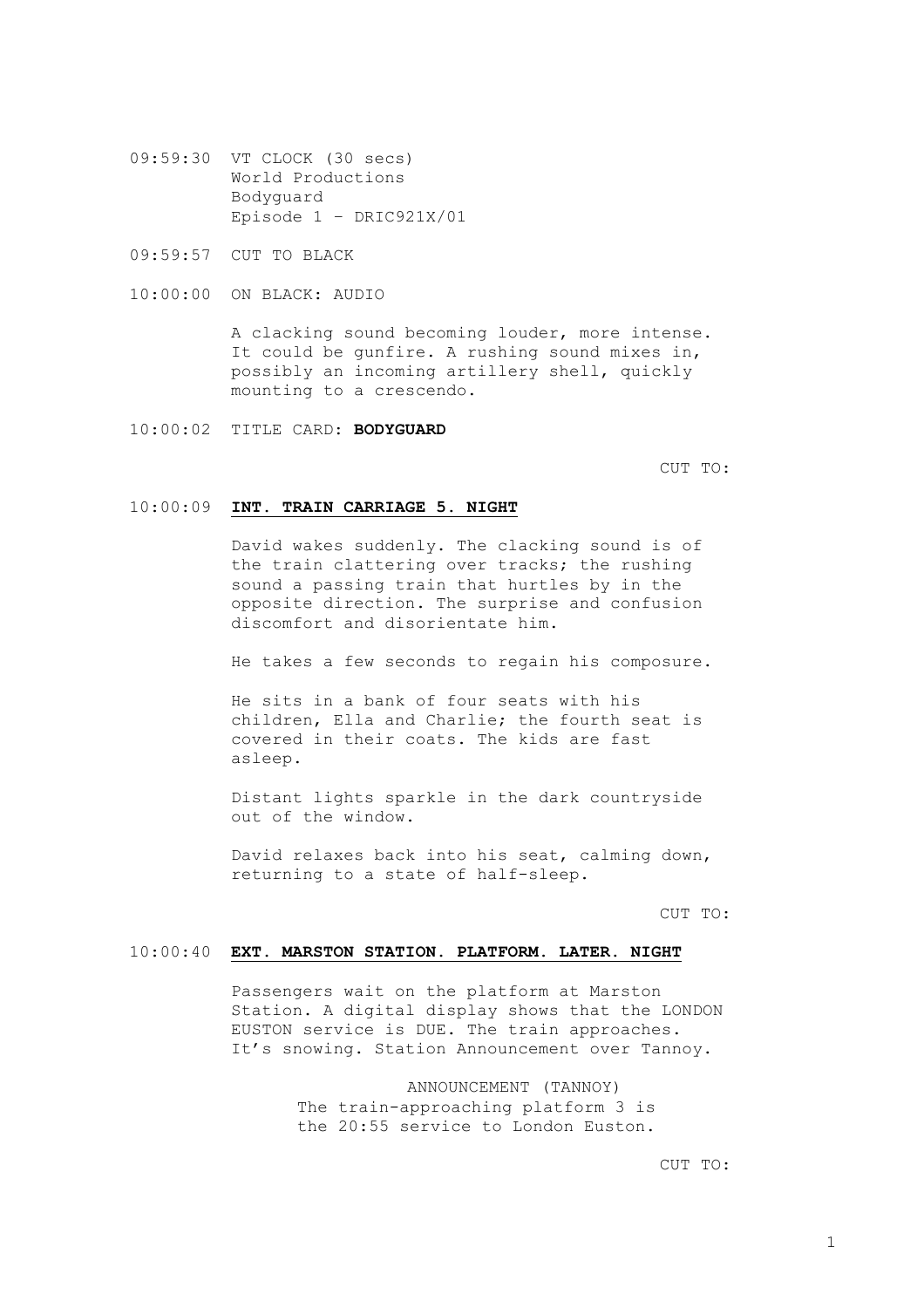- 09:59:30 VT CLOCK (30 secs) World Productions Bodyguard Episode 1 – DRIC921X/01
- 09:59:57 CUT TO BLACK
- 10:00:00 ON BLACK: AUDIO

A clacking sound becoming louder, more intense. It could be gunfire. A rushing sound mixes in, possibly an incoming artillery shell, quickly mounting to a crescendo.

10:00:02 TITLE CARD: **BODYGUARD**

CUT TO:

#### 10:00:09 **INT. TRAIN CARRIAGE 5. NIGHT**

David wakes suddenly. The clacking sound is of the train clattering over tracks; the rushing sound a passing train that hurtles by in the opposite direction. The surprise and confusion discomfort and disorientate him.

He takes a few seconds to regain his composure.

He sits in a bank of four seats with his children, Ella and Charlie; the fourth seat is covered in their coats. The kids are fast asleep.

Distant lights sparkle in the dark countryside out of the window.

David relaxes back into his seat, calming down, returning to a state of half-sleep.

CUT TO:

#### 10:00:40 **EXT. MARSTON STATION. PLATFORM. LATER. NIGHT**

Passengers wait on the platform at Marston Station. A digital display shows that the LONDON EUSTON service is DUE. The train approaches. It's snowing. Station Announcement over Tannoy.

> ANNOUNCEMENT (TANNOY) The train-approaching platform 3 is the 20:55 service to London Euston.

> > CUT TO: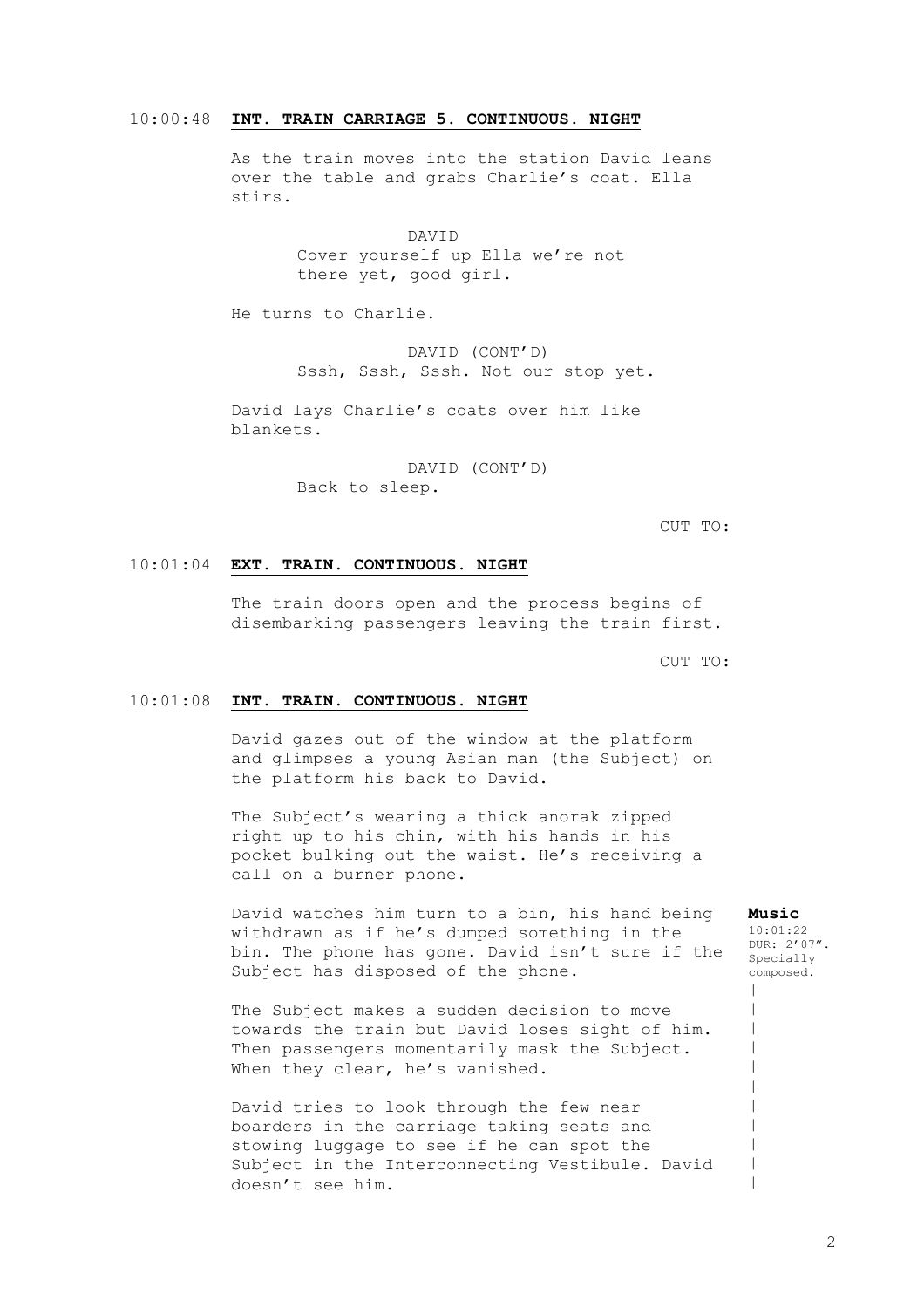#### 10:00:48 **INT. TRAIN CARRIAGE 5. CONTINUOUS. NIGHT**

As the train moves into the station David leans over the table and grabs Charlie's coat. Ella stirs.

> DAVID Cover yourself up Ella we're not there yet, good girl.

He turns to Charlie.

DAVID (CONT'D) Sssh, Sssh, Sssh. Not our stop yet.

David lays Charlie's coats over him like blankets.

> DAVID (CONT'D) Back to sleep.

> > CUT TO:

#### 10:01:04 **EXT. TRAIN. CONTINUOUS. NIGHT**

The train doors open and the process begins of disembarking passengers leaving the train first.

CUT TO:

#### 10:01:08 **INT. TRAIN. CONTINUOUS. NIGHT**

David gazes out of the window at the platform and glimpses a young Asian man (the Subject) on the platform his back to David.

The Subject's wearing a thick anorak zipped right up to his chin, with his hands in his pocket bulking out the waist. He's receiving a call on a burner phone.

David watches him turn to a bin, his hand being withdrawn as if he's dumped something in the bin. The phone has gone. David isn't sure if the Subject has disposed of the phone.

The Subject makes a sudden decision to move towards the train but David loses sight of him. Then passengers momentarily mask the Subject. When they clear, he's vanished.

David tries to look through the few near boarders in the carriage taking seats and stowing luggage to see if he can spot the Subject in the Interconnecting Vestibule. David doesn't see him.

#### **Music**

 $\,$  $\,$  $\,$  $\,$  $\,$  $\,$  $\,$  $\,$ | | |

 $10:01:22$ DUR: 2'07". Specially composed.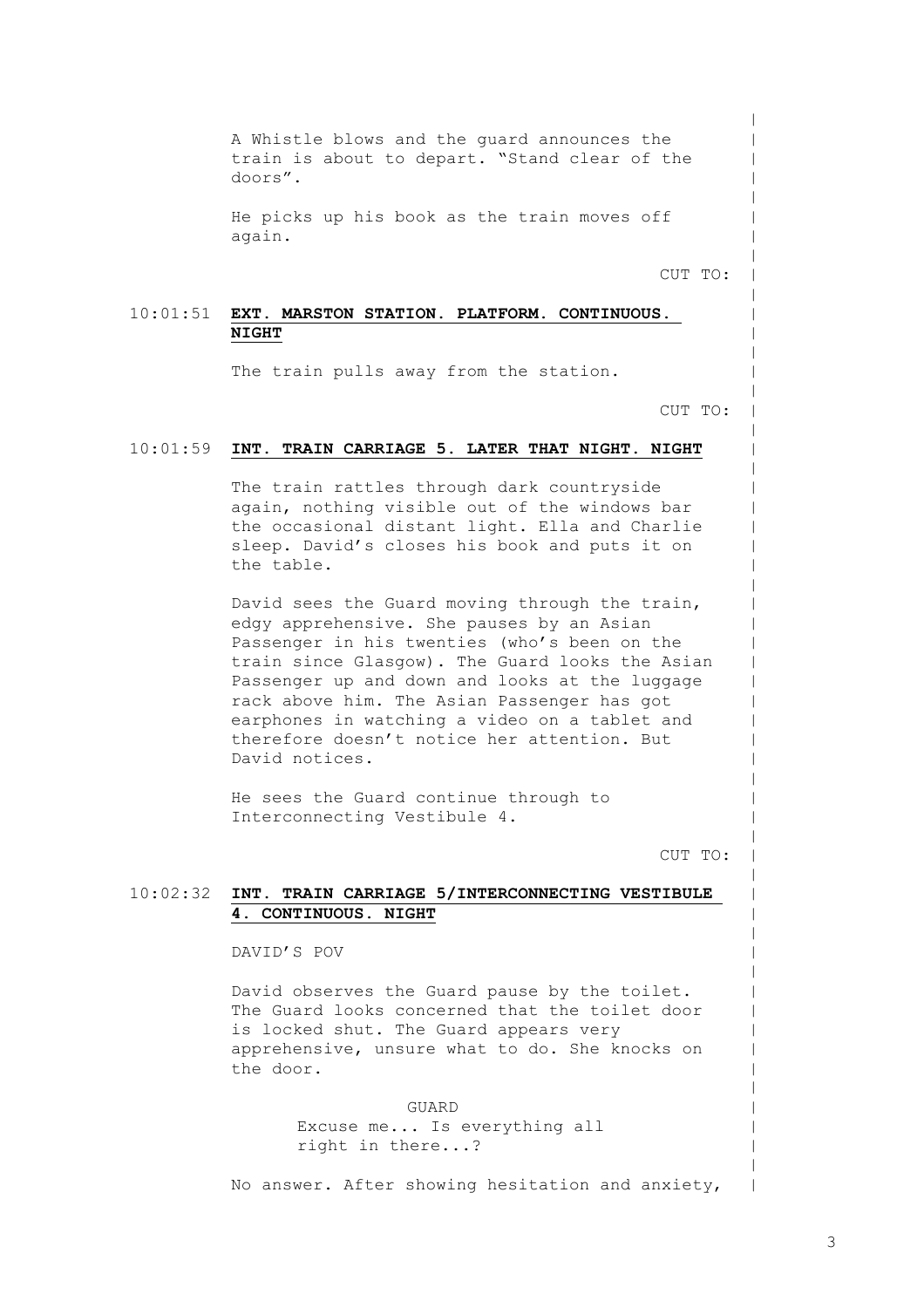A Whistle blows and the guard announces the train is about to depart. "Stand clear of the doors".

He picks up his book as the train moves off again.

CUT TO:

 $\,$  $\,$  $\,$  $\,$  $\,$  $\,$  $\,$  $\,$  $\,$  $\,$  $\,$  $\,$  $\,$  $\,$  $\,$  $\,$  $\,$  $\,$  $\,$  $\,$  $\,$  $\,$  $\,$  $\,$  $\,$  $\,$  $\,$  $\,$  $\,$  $\,$  $\,$  $\,$  $\,$  $\,$  $\,$  $\,$  $\,$  $\,$  $\,$  $\,$  $\,$  $\,$  $\,$  $\,$  $\,$  $\,$  $\,$  $\,$  $\,$  $\,$  $\,$  $\,$  $\,$  $\,$  $\,$  $\,$ 

#### 10:01:51 **EXT. MARSTON STATION. PLATFORM. CONTINUOUS. NIGHT**

The train pulls away from the station.

CUT TO:

#### 10:01:59 **INT. TRAIN CARRIAGE 5. LATER THAT NIGHT. NIGHT**

The train rattles through dark countryside again, nothing visible out of the windows bar the occasional distant light. Ella and Charlie sleep. David's closes his book and puts it on the table.

David sees the Guard moving through the train, edgy apprehensive. She pauses by an Asian Passenger in his twenties (who's been on the train since Glasgow). The Guard looks the Asian Passenger up and down and looks at the luggage rack above him. The Asian Passenger has got earphones in watching a video on a tablet and therefore doesn't notice her attention. But David notices.

He sees the Guard continue through to Interconnecting Vestibule 4.

CUT TO:

#### 10:02:32 **INT. TRAIN CARRIAGE 5/INTERCONNECTING VESTIBULE 4. CONTINUOUS. NIGHT**

DAVID'S POV

David observes the Guard pause by the toilet. The Guard looks concerned that the toilet door is locked shut. The Guard appears very apprehensive, unsure what to do. She knocks on the door.

> GUARD Excuse me... Is everything all right in there...?

No answer. After showing hesitation and anxiety,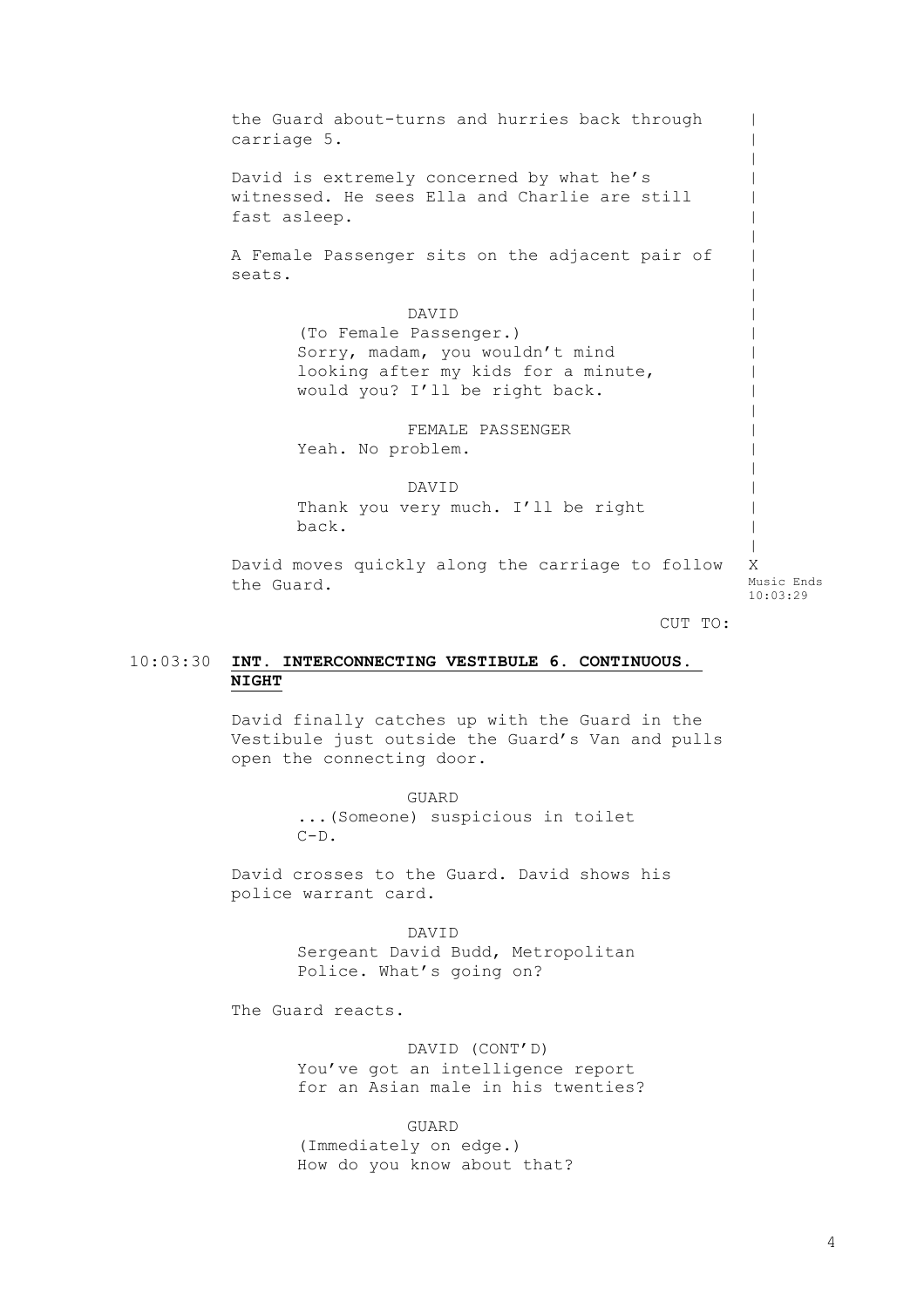the Guard about-turns and hurries back through carriage 5. David is extremely concerned by what he's witnessed. He sees Ella and Charlie are still fast asleep. A Female Passenger sits on the adjacent pair of seats. DAVID (To Female Passenger.) Sorry, madam, you wouldn't mind looking after my kids for a minute, would you? I'll be right back. FEMALE PASSENGER Yeah. No problem. DAVID Thank you very much. I'll be right back. David moves quickly along the carriage to follow the Guard. CUT TO:  $\,$  $\,$  $\,$  $\,$  $\,$  $\,$  $\,$  $\,$  $\,$  $\,$  $\,$  $\,$  $\,$  $\,$  $\,$  $\,$  $\,$  $\,$  $\,$  $\,$  $\,$  $\,$  $\,$ X Music Ends 10:03:29

## 10:03:30 **INT. INTERCONNECTING VESTIBULE 6. CONTINUOUS. NIGHT**

David finally catches up with the Guard in the Vestibule just outside the Guard's Van and pulls open the connecting door.

> GUARD ...(Someone) suspicious in toilet  $C-D$ .

David crosses to the Guard. David shows his police warrant card.

> DAVID Sergeant David Budd, Metropolitan Police. What's going on?

The Guard reacts.

DAVID (CONT'D) You've got an intelligence report for an Asian male in his twenties?

GUARD (Immediately on edge.) How do you know about that?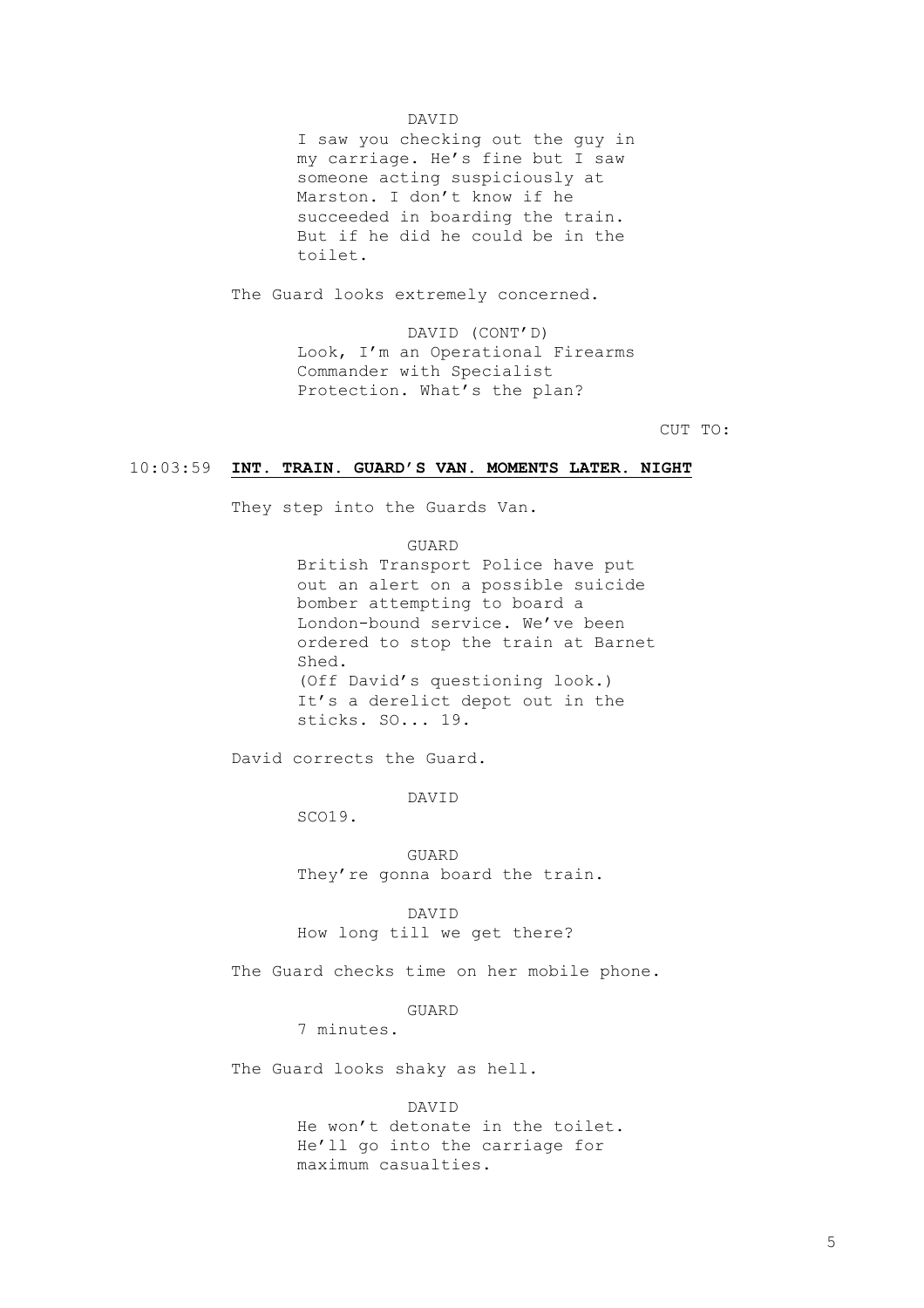### DAVID

I saw you checking out the guy in my carriage. He's fine but I saw someone acting suspiciously at Marston. I don't know if he succeeded in boarding the train. But if he did he could be in the toilet.

The Guard looks extremely concerned.

DAVID (CONT'D) Look, I'm an Operational Firearms Commander with Specialist Protection. What's the plan?

CUT TO:

#### 10:03:59 **INT. TRAIN. GUARD'S VAN. MOMENTS LATER. NIGHT**

They step into the Guards Van.

GUARD British Transport Police have put out an alert on a possible suicide bomber attempting to board a London-bound service. We've been ordered to stop the train at Barnet Shed. (Off David's questioning look.) It's a derelict depot out in the sticks. SO... 19.

David corrects the Guard.

DAVID

SCO19.

GUARD They're gonna board the train.

DAVID How long till we get there?

The Guard checks time on her mobile phone.

GUARD

7 minutes.

The Guard looks shaky as hell.

DAVID

He won't detonate in the toilet. He'll go into the carriage for maximum casualties.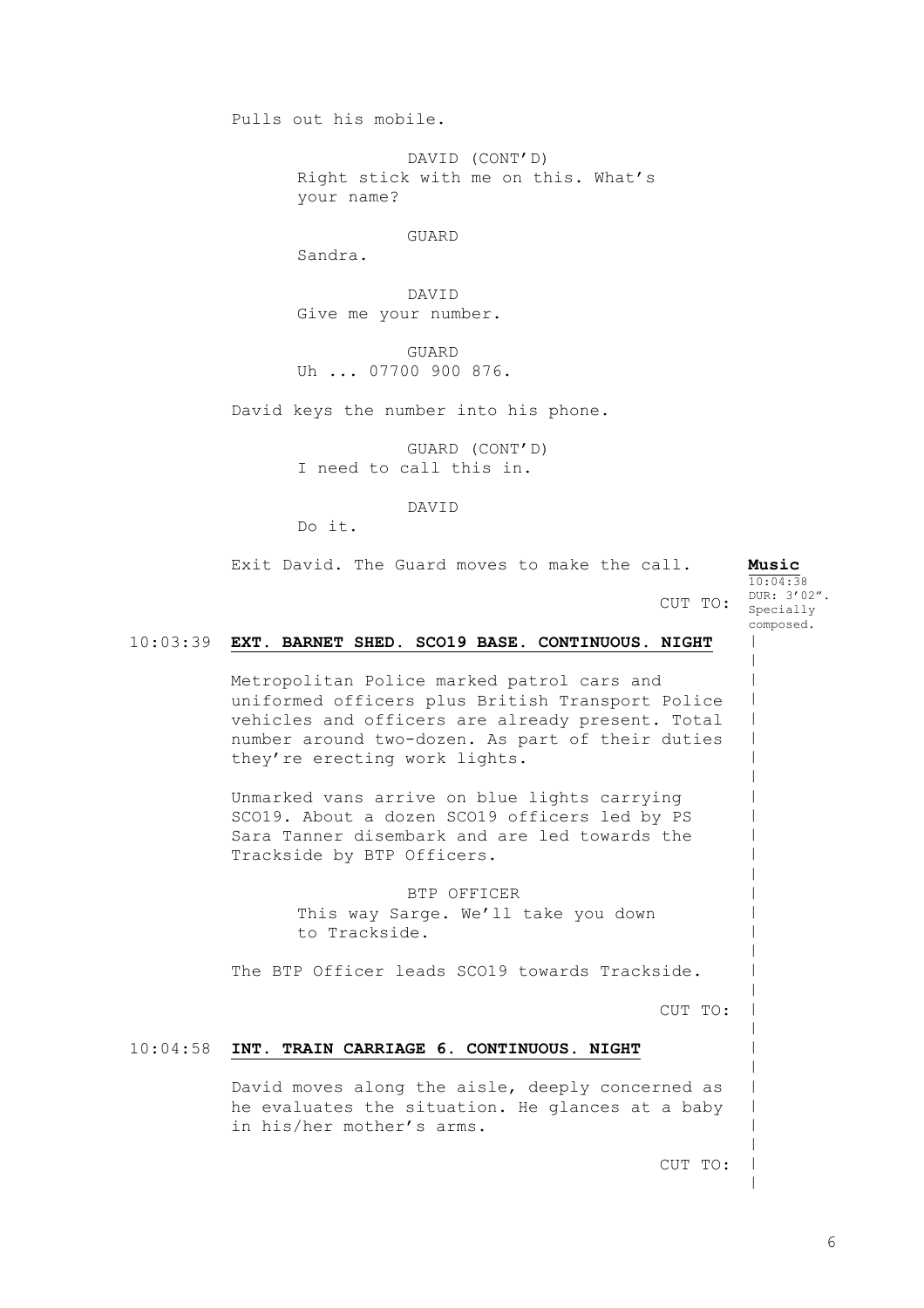Pulls out his mobile.

DAVID (CONT'D) Right stick with me on this. What's your name?

GUARD

Sandra.

DAVID Give me your number.

GUARD Uh ... 07700 900 876.

David keys the number into his phone.

GUARD (CONT'D) I need to call this in.

DAVID

Do it.

|          | Exit David. The Guard moves to make the call.<br>CUT TO:                                                                                                                                                                                | Music<br>10:04:38<br>DUR: 3'02".<br>Specially |
|----------|-----------------------------------------------------------------------------------------------------------------------------------------------------------------------------------------------------------------------------------------|-----------------------------------------------|
| 10:03:39 | EXT. BARNET SHED. SCO19 BASE. CONTINUOUS. NIGHT                                                                                                                                                                                         | composed.                                     |
|          | Metropolitan Police marked patrol cars and<br>uniformed officers plus British Transport Police<br>vehicles and officers are already present. Total<br>number around two-dozen. As part of their duties<br>they're erecting work lights. |                                               |
|          | Unmarked vans arrive on blue lights carrying<br>SCO19. About a dozen SCO19 officers led by PS<br>Sara Tanner disembark and are led towards the<br>Trackside by BTP Officers.                                                            |                                               |
|          | BTP OFFICER<br>This way Sarge. We'll take you down<br>to Trackside.                                                                                                                                                                     |                                               |
|          | The BTP Officer leads SCO19 towards Trackside.                                                                                                                                                                                          |                                               |
|          | CUT TO:                                                                                                                                                                                                                                 |                                               |
| 10:04:58 | INT. TRAIN CARRIAGE 6. CONTINUOUS. NIGHT                                                                                                                                                                                                |                                               |
|          | David moves along the aisle, deeply concerned as<br>he evaluates the situation. He glances at a baby<br>in his/her mother's arms.                                                                                                       |                                               |
|          | CUT TO:                                                                                                                                                                                                                                 |                                               |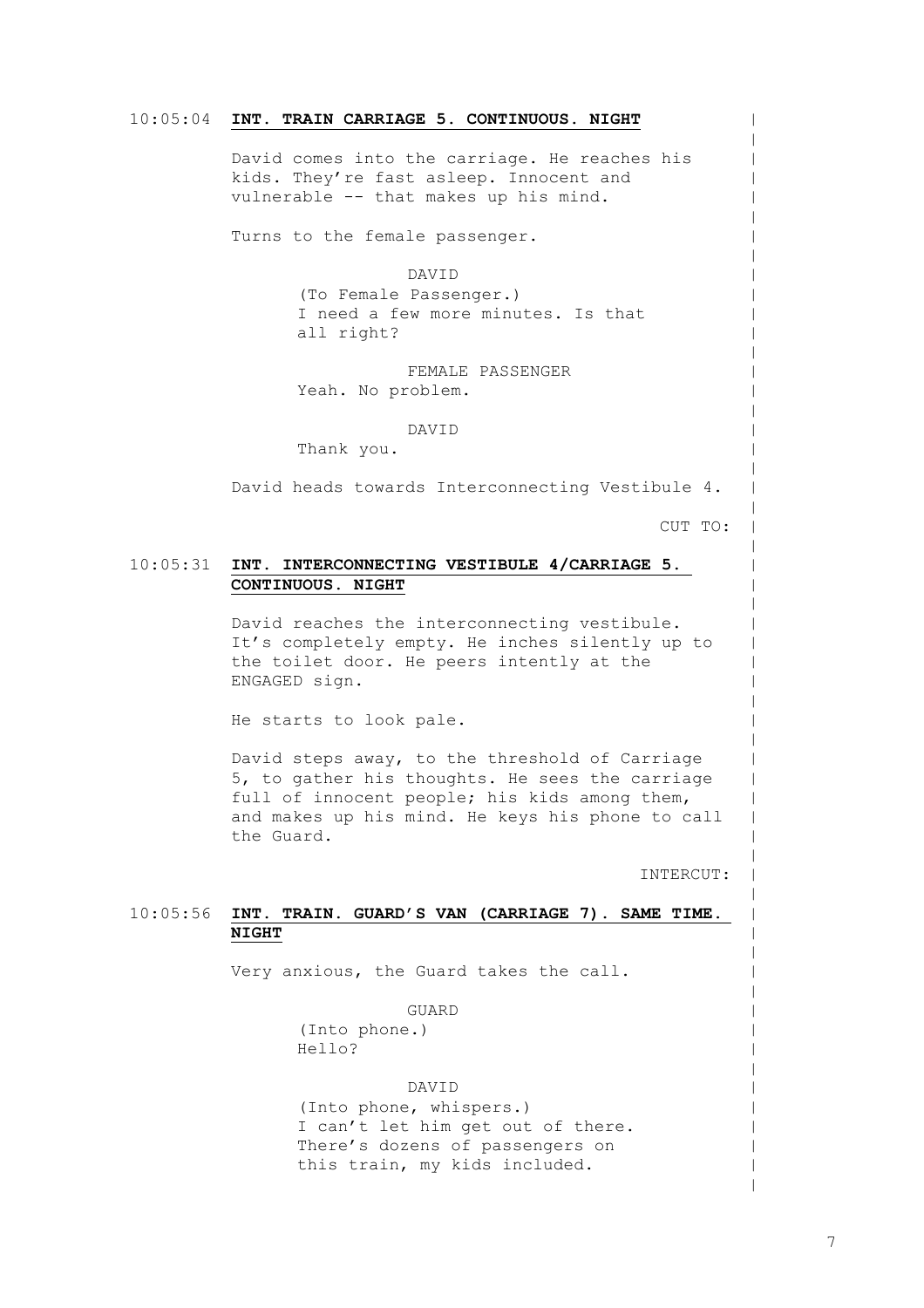#### 10:05:04 **INT. TRAIN CARRIAGE 5. CONTINUOUS. NIGHT**

David comes into the carriage. He reaches his kids. They're fast asleep. Innocent and vulnerable -- that makes up his mind.

Turns to the female passenger.

#### DAVID

(To Female Passenger.) I need a few more minutes. Is that all right?

FEMALE PASSENGER Yeah. No problem.

#### DAVID

Thank you.

David heads towards Interconnecting Vestibule 4.

CUT TO:

 $\,$  $\,$  $\,$  $\,$  $\,$  $\,$  $\,$  $\,$  $\,$  $\,$  $\,$  $\,$  $\,$  $\,$  $\,$  $\,$  $\,$  $\,$  $\,$  $\,$  $\,$  $\,$  $\,$  $\,$  $\,$  $\,$  $\,$  $\,$  $\,$  $\,$  $\,$  $\,$  $\,$  $\,$  $\,$  $\,$  $\,$  $\,$  $\,$  $\,$  $\,$  $\,$  $\,$  $\,$  $\,$  $\,$  $\,$  $\,$  $\,$  $\,$  $\,$  $\,$  $\,$  $\,$  $\,$  $\,$ 

#### 10:05:31 **INT. INTERCONNECTING VESTIBULE 4/CARRIAGE 5. CONTINUOUS. NIGHT**

David reaches the interconnecting vestibule. It's completely empty. He inches silently up to the toilet door. He peers intently at the ENGAGED sign.

He starts to look pale.

David steps away, to the threshold of Carriage 5, to gather his thoughts. He sees the carriage full of innocent people; his kids among them, and makes up his mind. He keys his phone to call the Guard.

INTERCUT:

#### 10:05:56 **INT. TRAIN. GUARD'S VAN (CARRIAGE 7). SAME TIME. NIGHT**

Very anxious, the Guard takes the call.

GUARD (Into phone.) Hello?

#### DAVID

(Into phone, whispers.) I can't let him get out of there. There's dozens of passengers on this train, my kids included.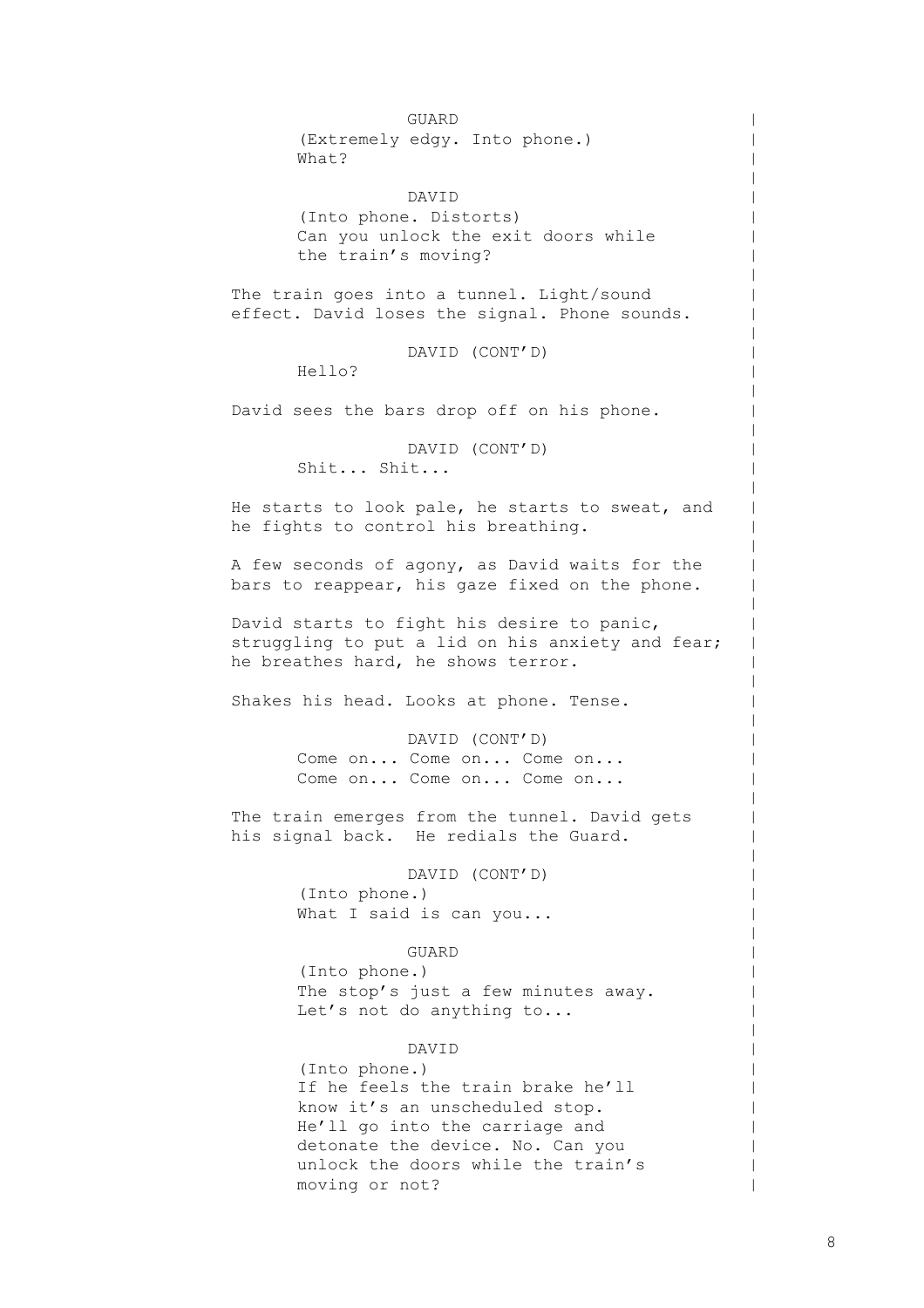GUARD (Extremely edgy. Into phone.) What? DAVID (Into phone. Distorts) Can you unlock the exit doors while the train's moving? The train goes into a tunnel. Light/sound effect. David loses the signal. Phone sounds. DAVID (CONT'D) Hello? David sees the bars drop off on his phone. DAVID (CONT'D) Shit... Shit... He starts to look pale, he starts to sweat, and he fights to control his breathing. A few seconds of agony, as David waits for the bars to reappear, his gaze fixed on the phone. David starts to fight his desire to panic, struggling to put a lid on his anxiety and fear; he breathes hard, he shows terror. Shakes his head. Looks at phone. Tense. DAVID (CONT'D) Come on... Come on... Come on... Come on... Come on... Come on... The train emerges from the tunnel. David gets his signal back. He redials the Guard. DAVID (CONT'D) (Into phone.) What I said is can you... GUARD (Into phone.) The stop's just a few minutes away. Let's not do anything to... DAVID (Into phone.) If he feels the train brake he'll know it's an unscheduled stop. He'll go into the carriage and detonate the device. No. Can you unlock the doors while the train's

moving or not?

8

 $\,$  $\,$  $\,$  $\,$  $\,$  $\,$  $\,$  $\,$  $\,$  $\,$  $\,$  $\,$  $\,$  $\,$  $\,$  $\,$  $\,$  $\,$  $\,$  $\,$  $\,$  $\,$  $\,$  $\,$  $\,$  $\,$  $\,$  $\,$  $\,$  $\,$  $\,$  $\,$  $\,$  $\,$  $\,$  $\,$  $\,$  $\,$  $\,$  $\,$  $\,$  $\,$  $\,$  $\,$  $\,$  $\,$  $\,$  $\,$  $\,$  $\,$  $\,$  $\,$  $\,$  $\,$  $\,$  $\,$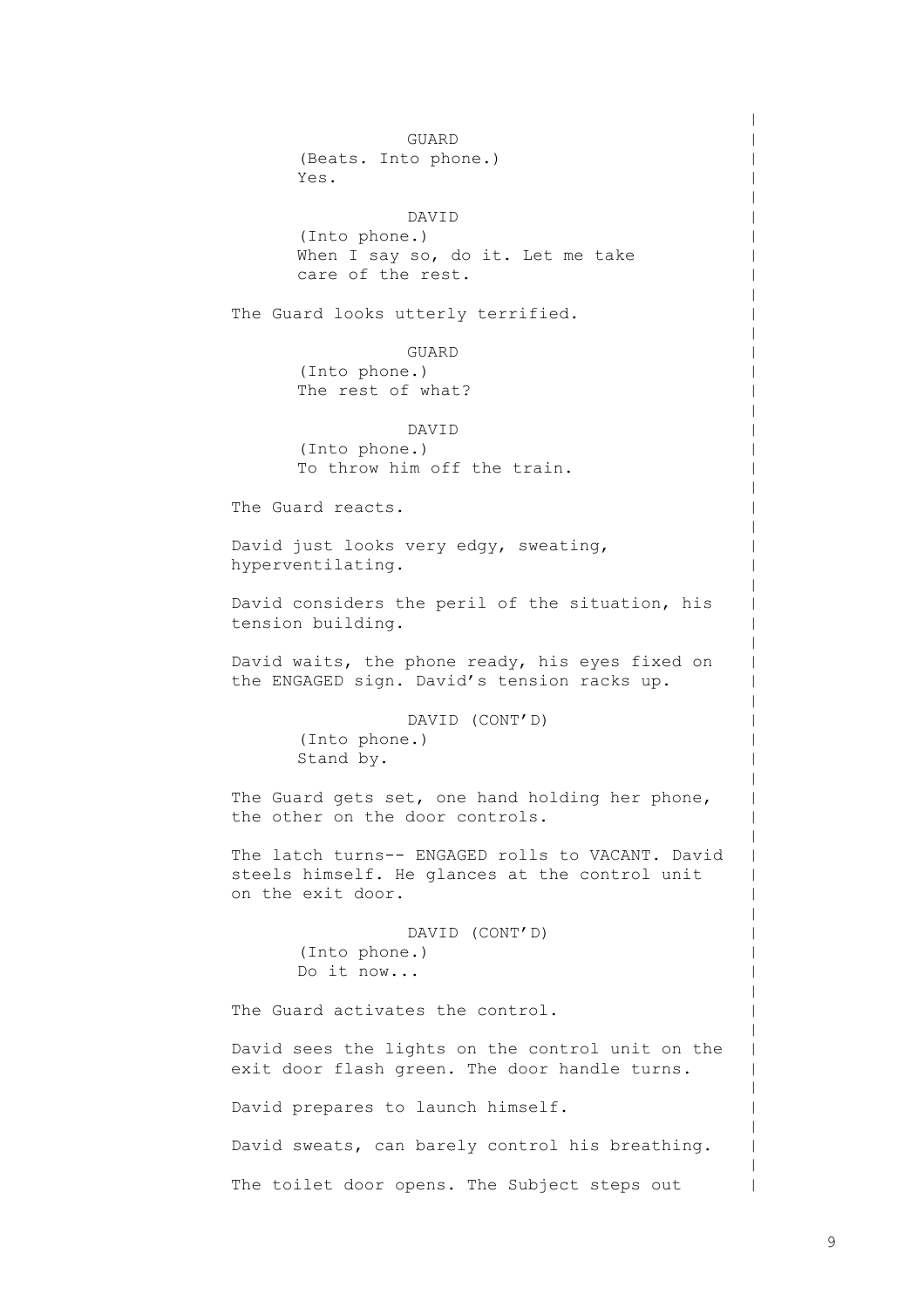GUARD (Beats. Into phone.) Yes. DAVID (Into phone.) When I say so, do it. Let me take care of the rest. The Guard looks utterly terrified. GUARD (Into phone.) The rest of what? DAVID (Into phone.) To throw him off the train. The Guard reacts. David just looks very edgy, sweating, hyperventilating. David considers the peril of the situation, his tension building. David waits, the phone ready, his eyes fixed on the ENGAGED sign. David's tension racks up. DAVID (CONT'D) (Into phone.) Stand by. The Guard gets set, one hand holding her phone, the other on the door controls. The latch turns-- ENGAGED rolls to VACANT. David steels himself. He glances at the control unit on the exit door. DAVID (CONT'D) (Into phone.) Do it now... The Guard activates the control. David sees the lights on the control unit on the exit door flash green. The door handle turns. David prepares to launch himself. David sweats, can barely control his breathing. The toilet door opens. The Subject steps out

 $\,$  $\,$  $\,$  $\,$  $\,$  $\,$  $\,$  $\,$  $\,$  $\,$  $\,$  $\,$  $\,$  $\,$  $\,$  $\,$  $\,$  $\,$  $\,$  $\,$  $\,$  $\,$  $\,$  $\,$  $\,$  $\,$  $\,$  $\,$  $\,$  $\,$  $\,$  $\,$  $\,$  $\,$  $\,$  $\,$  $\,$  $\,$  $\,$  $\,$  $\,$  $\,$  $\,$  $\,$  $\,$  $\,$  $\,$  $\,$  $\,$  $\perp$  $\,$  $\,$  $\,$  $\,$  $\,$ |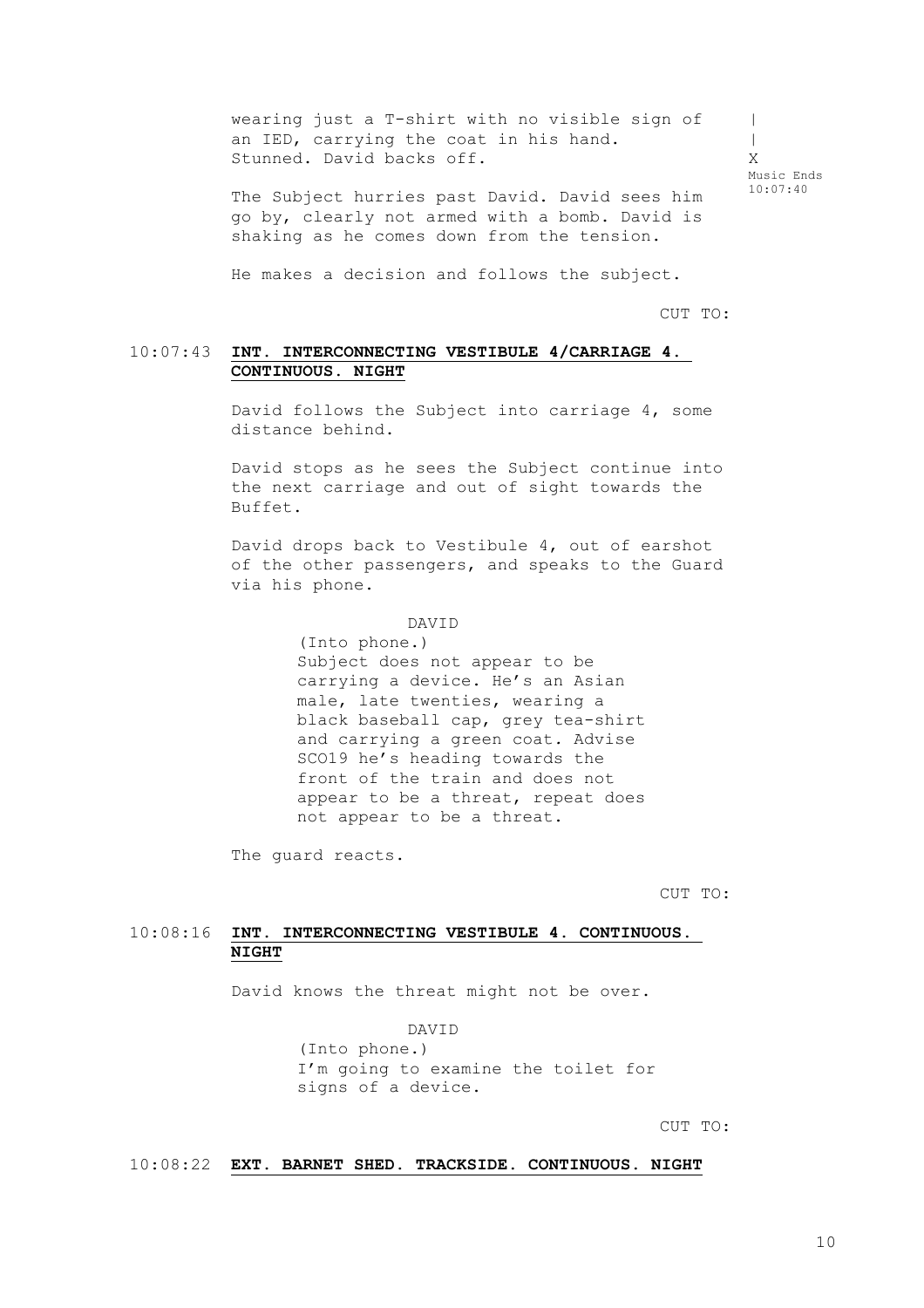wearing just a T-shirt with no visible sign of an IED, carrying the coat in his hand. Stunned. David backs off.  $\blacksquare$  $\blacksquare$ X Music Ends

The Subject hurries past David. David sees him go by, clearly not armed with a bomb. David is shaking as he comes down from the tension.

He makes a decision and follows the subject.

CUT TO:

10:07:40

#### 10:07:43 **INT. INTERCONNECTING VESTIBULE 4/CARRIAGE 4. CONTINUOUS. NIGHT**

David follows the Subject into carriage 4, some distance behind.

David stops as he sees the Subject continue into the next carriage and out of sight towards the Buffet.

David drops back to Vestibule 4, out of earshot of the other passengers, and speaks to the Guard via his phone.

#### DAVID

(Into phone.) Subject does not appear to be carrying a device. He's an Asian male, late twenties, wearing a black baseball cap, grey tea-shirt and carrying a green coat*.* Advise SCO19 he's heading towards the front of the train and does not appear to be a threat, repeat does not appear to be a threat.

The guard reacts.

CUT TO:

### 10:08:16 **INT. INTERCONNECTING VESTIBULE 4. CONTINUOUS. NIGHT**

David knows the threat might not be over.

DAVID

(Into phone.) I'm going to examine the toilet for signs of a device.

CUT TO:

#### 10:08:22 **EXT. BARNET SHED. TRACKSIDE. CONTINUOUS. NIGHT**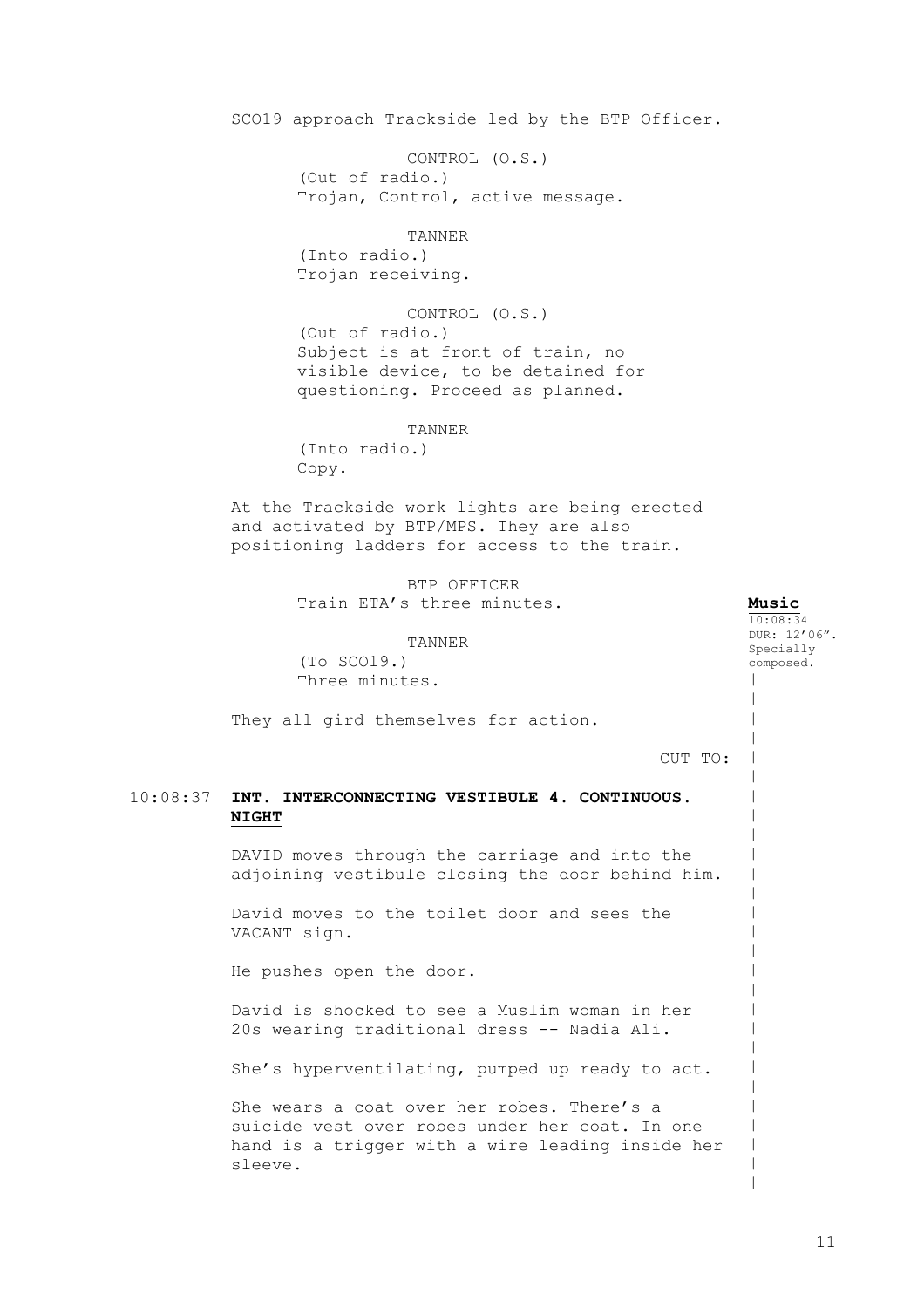SCO19 approach Trackside led by the BTP Officer.

CONTROL (O.S.) (Out of radio.) Trojan, Control, active message.

#### TANNER

(Into radio.) Trojan receiving.

CONTROL (O.S.) (Out of radio.) Subject is at front of train, no visible device, to be detained for questioning. Proceed as planned.

TANNER

(Into radio.) Copy.

At the Trackside work lights are being erected and activated by BTP/MPS. They are also positioning ladders for access to the train.

> BTP OFFICER Train ETA's three minutes.

TANNER (To SCO19.) Three minutes.

They all gird themselves for action.

CUT TO:

**Music** 10:08:34 DUR: 12'06". Specially composed.

 $\,$  $\,$  $\,$  $\,$  $\,$  $\,$  $\,$  $\,$  $\,$  $\,$  $\,$  $\,$  $\,$  $\,$  $\,$  $\,$  $\,$  $\,$  $\,$  $\,$  $\,$  $\,$  $\,$ | | | |

### 10:08:37 **INT. INTERCONNECTING VESTIBULE 4. CONTINUOUS. NIGHT**

DAVID moves through the carriage and into the adjoining vestibule closing the door behind him.

David moves to the toilet door and sees the VACANT sign.

He pushes open the door.

David is shocked to see a Muslim woman in her 20s wearing traditional dress -- Nadia Ali.

She's hyperventilating, pumped up ready to act.

She wears a coat over her robes. There's a suicide vest over robes under her coat. In one hand is a trigger with a wire leading inside her sleeve.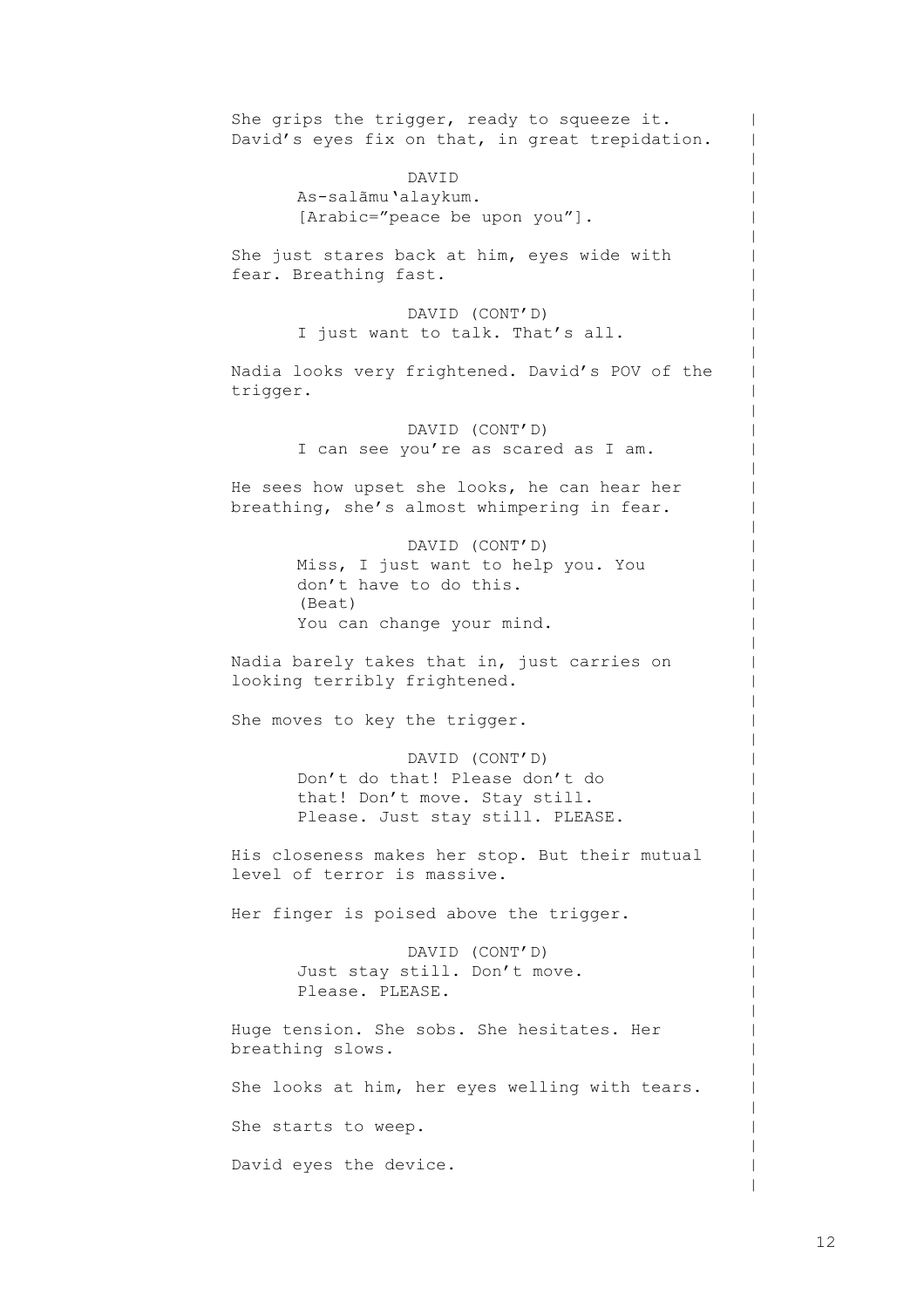She grips the trigger, ready to squeeze it. David's eyes fix on that, in great trepidation. DAVID As-salãmu'alaykum. [Arabic="peace be upon you"]. She just stares back at him, eyes wide with fear. Breathing fast. DAVID (CONT'D) I just want to talk. That's all. Nadia looks very frightened. David's POV of the trigger. DAVID (CONT'D) I can see you're as scared as I am. He sees how upset she looks, he can hear her breathing, she's almost whimpering in fear. DAVID (CONT'D) Miss, I just want to help you. You don't have to do this. (Beat) You can change your mind. Nadia barely takes that in, just carries on looking terribly frightened. She moves to key the trigger. DAVID (CONT'D) Don't do that! Please don't do that! Don't move. Stay still. Please. Just stay still. PLEASE. His closeness makes her stop. But their mutual level of terror is massive. Her finger is poised above the trigger. DAVID (CONT'D) Just stay still. Don't move. Please. PLEASE. Huge tension. She sobs. She hesitates. Her breathing slows. She looks at him, her eyes welling with tears. She starts to weep. David eyes the device.

 $\,$  $\,$  $\,$  $\,$  $\,$  $\,$  $\,$  $\,$  $\,$  $\,$  $\,$  $\,$  $\,$  $\,$  $\,$  $\,$  $\,$  $\,$  $\,$  $\,$  $\,$  $\,$  $\,$  $\,$  $\,$  $\,$  $\,$  $\,$  $\,$  $\,$  $\,$  $\,$  $\,$  $\,$  $\,$  $\,$  $\,$  $\,$  $\,$  $\,$  $\,$  $\,$  $\,$  $\,$  $\,$  $\,$  $\,$  $\,$  $\,$  $\,$  $\,$  $\,$  $\,$  $\,$  $\,$  $\,$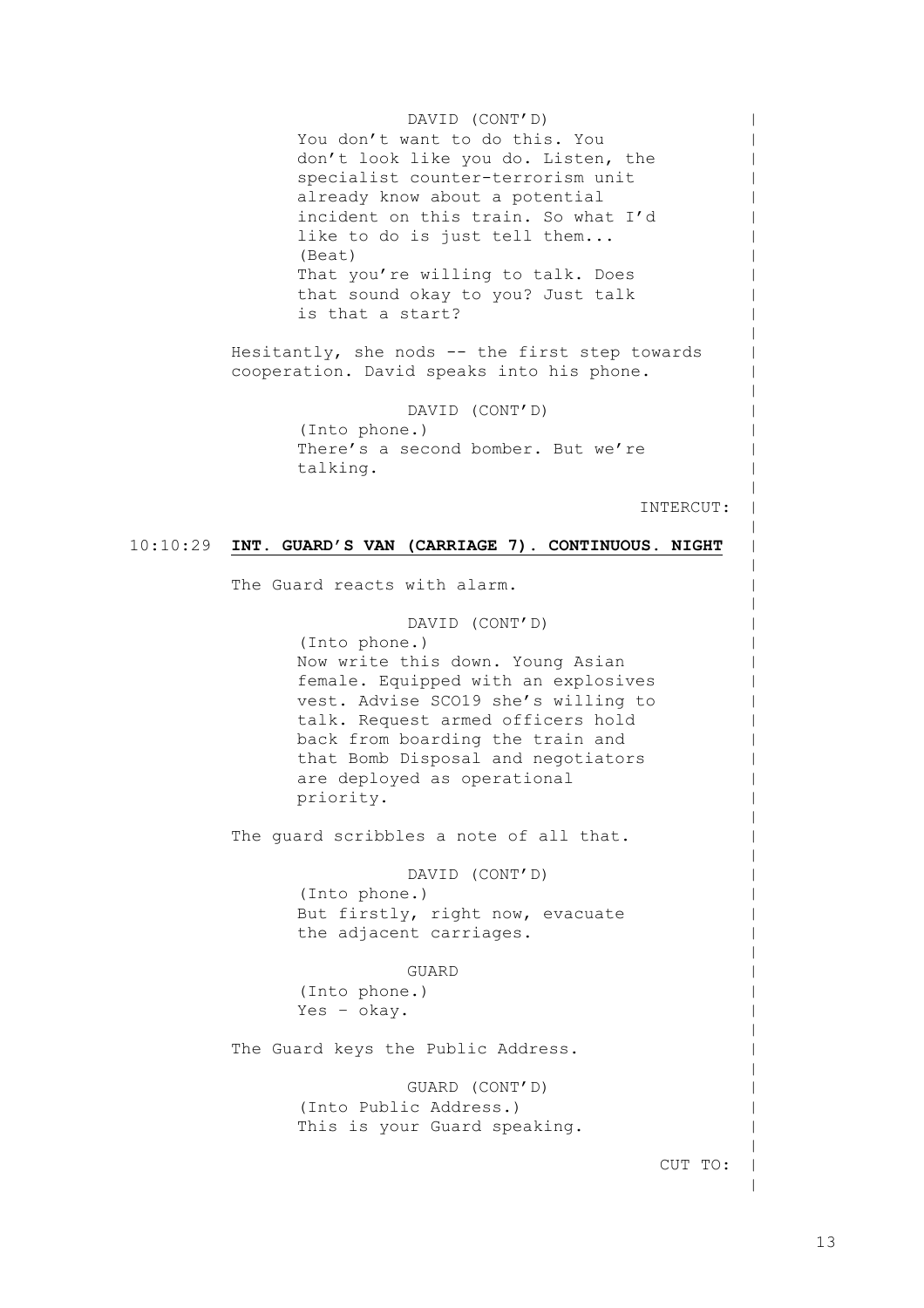DAVID (CONT'D) You don't want to do this. You don't look like you do. Listen, the specialist counter-terrorism unit already know about a potential incident on this train. So what I'd like to do is just tell them... (Beat) That you're willing to talk. Does that sound okay to you? Just talk is that a start?

Hesitantly, she nods -- the first step towards cooperation. David speaks into his phone.

> DAVID (CONT'D) (Into phone.) There's a second bomber. But we're talking.

> > INTERCUT:

 $\,$  $\,$  $\,$  $\,$  $\,$  $\,$  $\,$  $\,$  $\,$  $\,$  $\,$  $\,$  $\,$  $\,$  $\,$  $\,$  $\,$  $\,$  $\,$  $\,$  $\,$  $\,$  $\,$  $\,$  $\,$  $\,$  $\,$  $\,$  $\,$  $\,$  $\,$  $\,$  $\,$  $\,$  $\,$  $\,$  $\,$  $\,$  $\,$  $\,$  $\,$  $\,$  $\,$  $\,$  $\,$  $\,$  $\,$  $\,$  $\,$  $\,$  $\,$  $\,$  $\,$  $\,$  $\,$  $\,$ 

#### 10:10:29 **INT. GUARD'S VAN (CARRIAGE 7). CONTINUOUS. NIGHT**

The Guard reacts with alarm.

DAVID (CONT'D) (Into phone.) Now write this down. Young Asian female. Equipped with an explosives vest. Advise SCO19 she's willing to talk. Request armed officers hold back from boarding the train and that Bomb Disposal and negotiators are deployed as operational priority.

The quard scribbles a note of all that.

DAVID (CONT'D)

(Into phone.) But firstly, right now, evacuate the adjacent carriages.

GUARD

(Into phone.) Yes – okay.

The Guard keys the Public Address.

GUARD (CONT'D) (Into Public Address.) This is your Guard speaking.

CUT TO: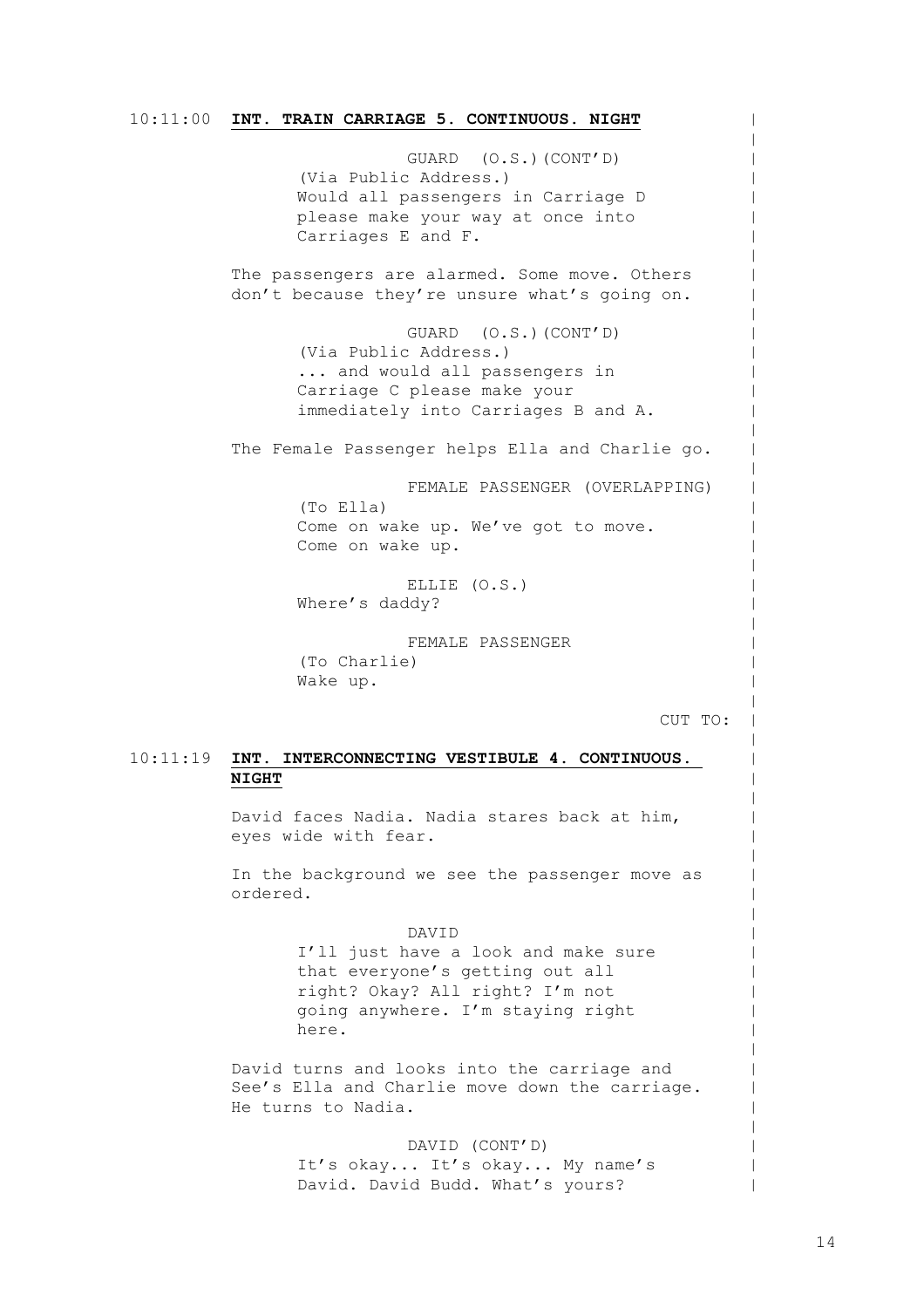#### 10:11:00 **INT. TRAIN CARRIAGE 5. CONTINUOUS. NIGHT**

GUARD (O.S.)(CONT'D) (Via Public Address.) Would all passengers in Carriage D please make your way at once into Carriages E and F. The passengers are alarmed. Some move. Others don't because they're unsure what's going on. GUARD (O.S.)(CONT'D) (Via Public Address.) ... and would all passengers in Carriage C please make your immediately into Carriages B and A. The Female Passenger helps Ella and Charlie go. FEMALE PASSENGER (OVERLAPPING) (To Ella) Come on wake up. We've got to move. Come on wake up. ELLIE (O.S.) Where's daddy? FEMALE PASSENGER (To Charlie) Wake up. CUT TO:

### 10:11:19 **INT. INTERCONNECTING VESTIBULE 4. CONTINUOUS. NIGHT**

David faces Nadia. Nadia stares back at him, eyes wide with fear.

In the background we see the passenger move as ordered.

#### DAVID

I'll just have a look and make sure that everyone's getting out all right? Okay? All right? I'm not going anywhere. I'm staying right here.

David turns and looks into the carriage and See's Ella and Charlie move down the carriage. He turns to Nadia.

> DAVID (CONT'D) It's okay... It's okay... My name's David. David Budd. What's yours?

 $\,$  $\,$  $\,$  $\,$  $\,$  $\,$  $\,$  $\,$  $\,$  $\,$  $\,$  $\,$  $\,$  $\,$  $\,$  $\,$  $\,$  $\,$  $\,$  $\,$  $\,$  $\,$  $\,$  $\,$  $\,$  $\,$  $\,$  $\,$  $\,$  $\,$  $\,$  $\,$  $\,$  $\,$  $\,$  $\,$  $\,$  $\,$  $\,$  $\,$  $\,$  $\,$  $\,$  $\,$  $\,$  $\,$  $\,$  $\,$  $\,$  $\,$  $\,$  $\,$  $\,$  $\,$ |  $\,$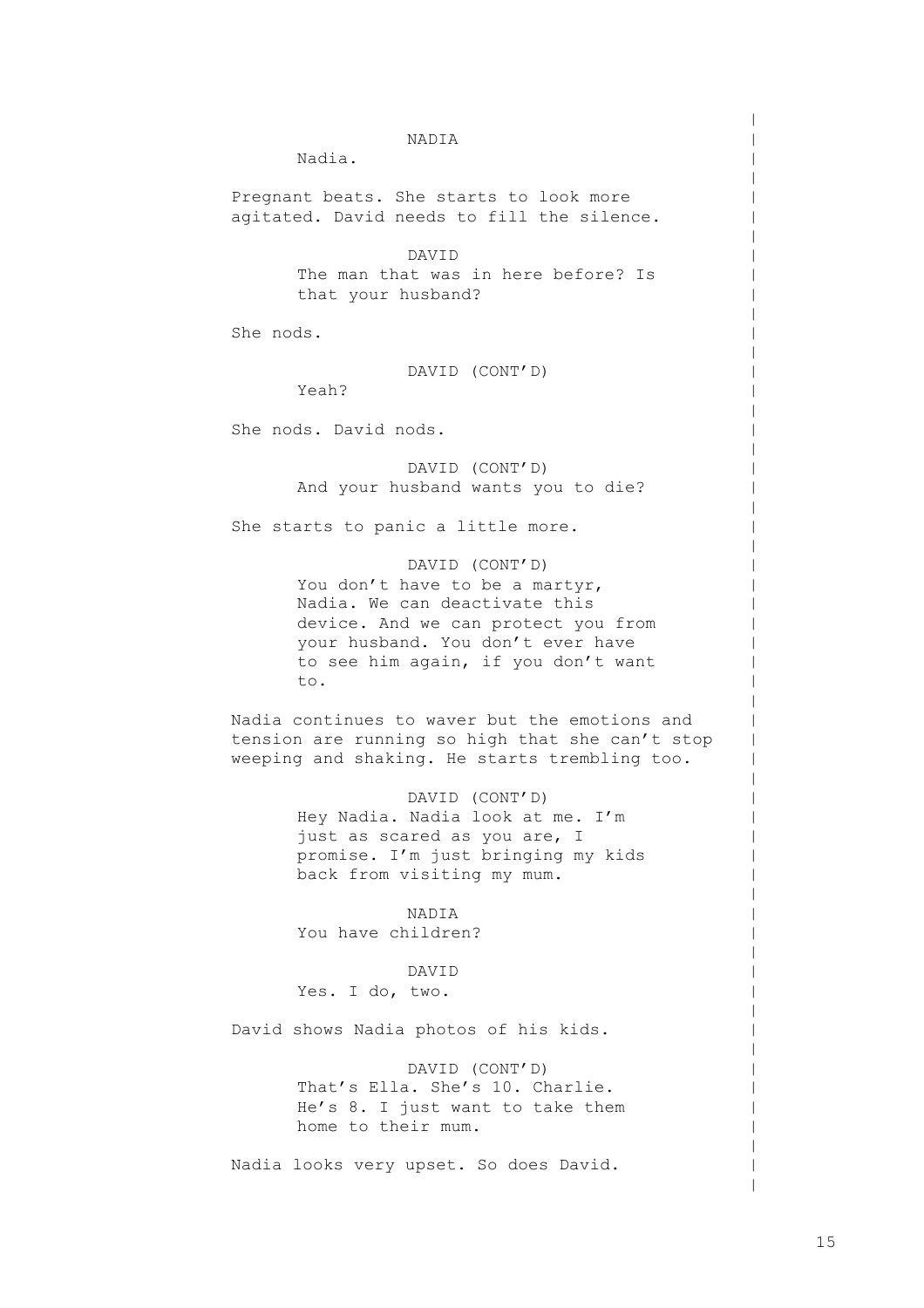#### NADIA

Nadia.

Pregnant beats. She starts to look more agitated. David needs to fill the silence.

> DAVID The man that was in here before? Is that your husband?

She nods.

DAVID (CONT'D)

Yeah?

She nods. David nods.

DAVID (CONT'D) And your husband wants you to die?

She starts to panic a little more.

DAVID (CONT'D) You don't have to be a martyr, Nadia. We can deactivate this device. And we can protect you from your husband. You don't ever have to see him again, if you don't want to.

Nadia continues to waver but the emotions and tension are running so high that she can't stop weeping and shaking. He starts trembling too.

> DAVID (CONT'D) Hey Nadia. Nadia look at me. I'm just as scared as you are, I promise. I'm just bringing my kids back from visiting my mum.

NADIA You have children?

DAVID

Yes. I do, two.

David shows Nadia photos of his kids.

DAVID (CONT'D) That's Ella. She's 10. Charlie. He's 8. I just want to take them home to their mum.

Nadia looks very upset. So does David.

 $\,$  $\,$  $\,$  $\,$  $\,$  $\,$  $\,$  $\,$  $\,$  $\,$  $\,$  $\,$  $\,$  $\,$  $\,$  $\,$  $\,$  $\,$  $\,$  $\,$  $\,$  $\,$  $\,$  $\,$  $\,$  $\,$  $\,$  $\,$  $\,$  $\,$  $\,$  $\,$  $\,$ |  $\,$  $\,$  $\,$  $\,$  $\,$  $\,$  $\,$  $\,$  $\,$  $\,$  $\,$  $\,$  $\,$  $\,$  $\,$  $\,$  $\,$  $\,$  $\,$  $\,$  $\,$  $\,$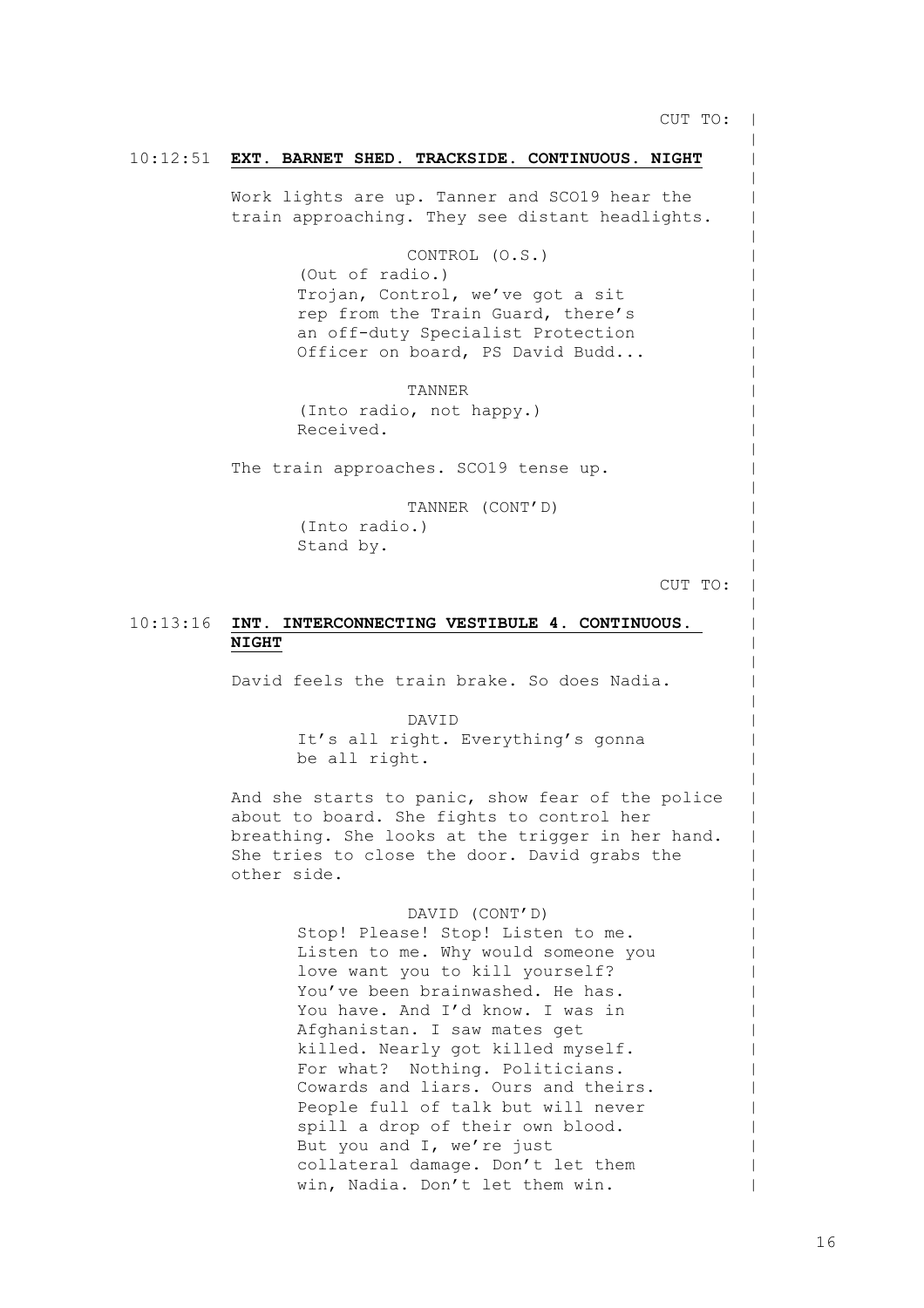CUT TO: |

 $\,$  $\,$  $\,$  $\,$  $\,$  $\,$  $\,$  $\,$  $\,$  $\,$  $\,$  $\,$  $\,$  $\,$  $\,$  $\,$  $\,$  $\,$  $\,$  $\,$  $\,$  $\,$  $\,$  $\,$  $\,$  $\,$  $\,$  $\,$  $\,$  $\,$  $\,$  $\,$  $\,$  $\,$  $\,$  $\,$  $\,$  $\,$  $\,$  $\,$  $\,$  $\,$  $\,$  $\,$  $\,$  $\,$  $\,$  $\,$  $\,$  $\,$  $\,$  $\,$  $\,$  $\,$  $\,$ 

#### 10:12:51 **EXT. BARNET SHED. TRACKSIDE. CONTINUOUS. NIGHT**

Work lights are up. Tanner and SCO19 hear the train approaching. They see distant headlights.

CONTROL (O.S.)

(Out of radio.) Trojan, Control, we've got a sit rep from the Train Guard, there's an off-duty Specialist Protection Officer on board, PS David Budd...

TANNER (Into radio, not happy.) Received.

The train approaches. SCO19 tense up.

TANNER (CONT'D) (Into radio.) Stand by.

CUT TO:

#### 10:13:16 **INT. INTERCONNECTING VESTIBULE 4. CONTINUOUS. NIGHT**

David feels the train brake. So does Nadia.

DAVID It's all right. Everything's gonna be all right.

And she starts to panic, show fear of the police about to board. She fights to control her breathing. She looks at the trigger in her hand. She tries to close the door. David grabs the other side.

### DAVID (CONT'D)

Stop! Please! Stop! Listen to me. Listen to me. Why would someone you love want you to kill yourself? You've been brainwashed. He has. You have. And I'd know. I was in Afghanistan. I saw mates get killed. Nearly got killed myself. For what? Nothing. Politicians. Cowards and liars. Ours and theirs. People full of talk but will never spill a drop of their own blood. But you and I, we're just collateral damage. Don't let them win, Nadia. Don't let them win.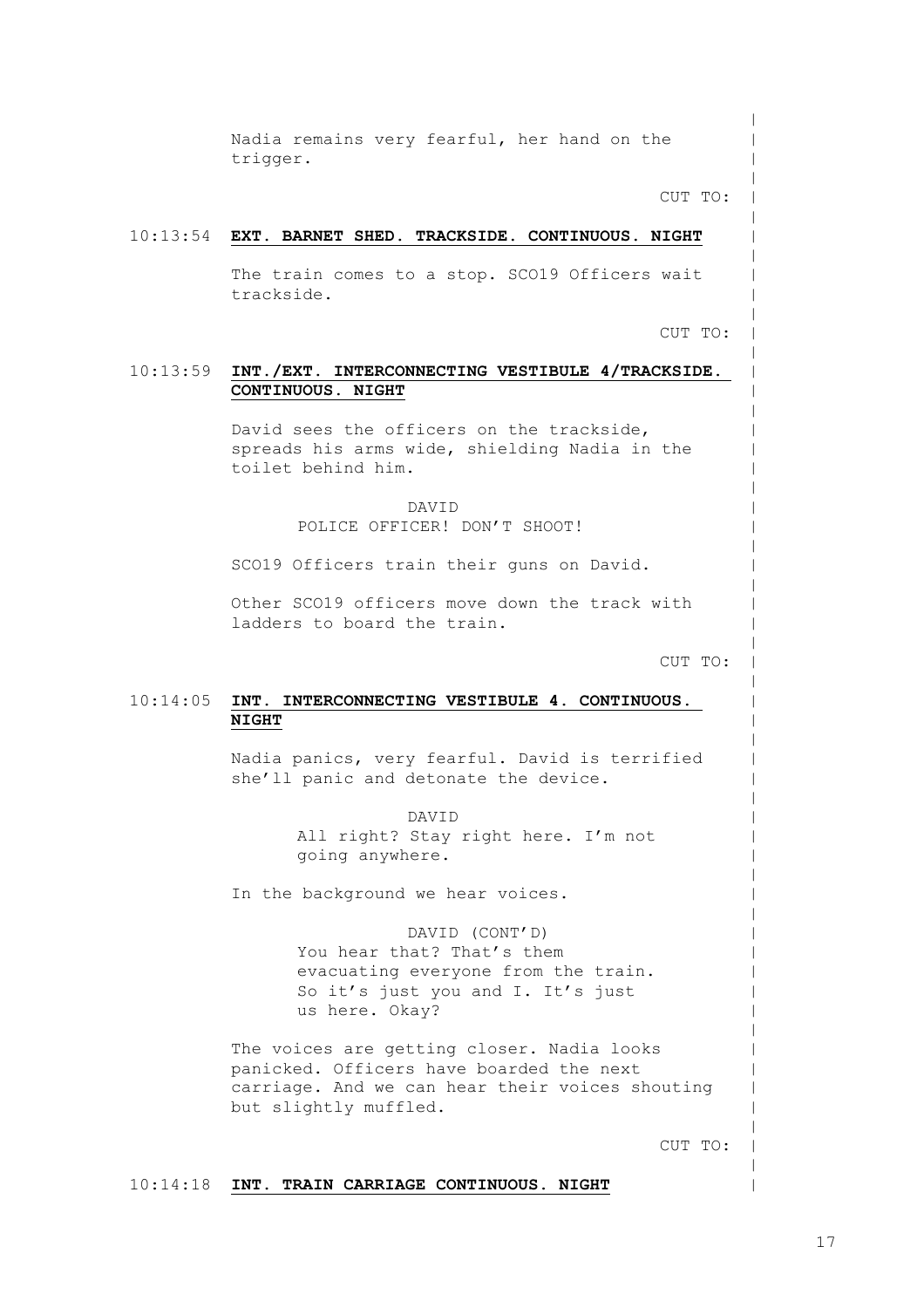Nadia remains very fearful, her hand on the trigger.

CUT TO:

 $\,$  $\,$  $\,$  $\,$  $\,$  $\,$  $\,$  $\,$  $\,$  $\,$  $\,$  $\,$  $\,$  $\,$  $\,$  $\,$  $\,$  $\,$  $\,$  $\,$  $\,$  $\,$  $\,$  $\,$  $\,$  $\,$  $\,$  $\,$  $\,$  $\,$  $\,$  $\,$  $\,$  $\,$  $\,$  $\,$  $\,$  $\,$  $\,$  $\,$  $\,$  $\,$  $\,$  $\,$  $\,$  $\,$  $\,$  $\,$  $\,$  $\,$  $\,$  $\,$  $\,$  $\,$  $\,$  $\,$ 

#### 10:13:54 **EXT. BARNET SHED. TRACKSIDE. CONTINUOUS. NIGHT**

The train comes to a stop. SCO19 Officers wait trackside.

CUT TO:

#### 10:13:59 **INT./EXT. INTERCONNECTING VESTIBULE 4/TRACKSIDE. CONTINUOUS. NIGHT**

David sees the officers on the trackside, spreads his arms wide, shielding Nadia in the toilet behind him.

> DAVID POLICE OFFICER! DON'T SHOOT!

SCO19 Officers train their guns on David.

Other SCO19 officers move down the track with ladders to board the train.

CUT TO:

#### 10:14:05 **INT. INTERCONNECTING VESTIBULE 4. CONTINUOUS. NIGHT**

Nadia panics, very fearful. David is terrified she'll panic and detonate the device.

DAVID

All right? Stay right here. I'm not going anywhere.

In the background we hear voices.

DAVID (CONT'D) You hear that? That's them evacuating everyone from the train. So it's just you and I. It's just us here. Okay?

The voices are getting closer. Nadia looks panicked. Officers have boarded the next carriage. And we can hear their voices shouting but slightly muffled.

CUT TO:

#### 10:14:18 **INT. TRAIN CARRIAGE CONTINUOUS. NIGHT**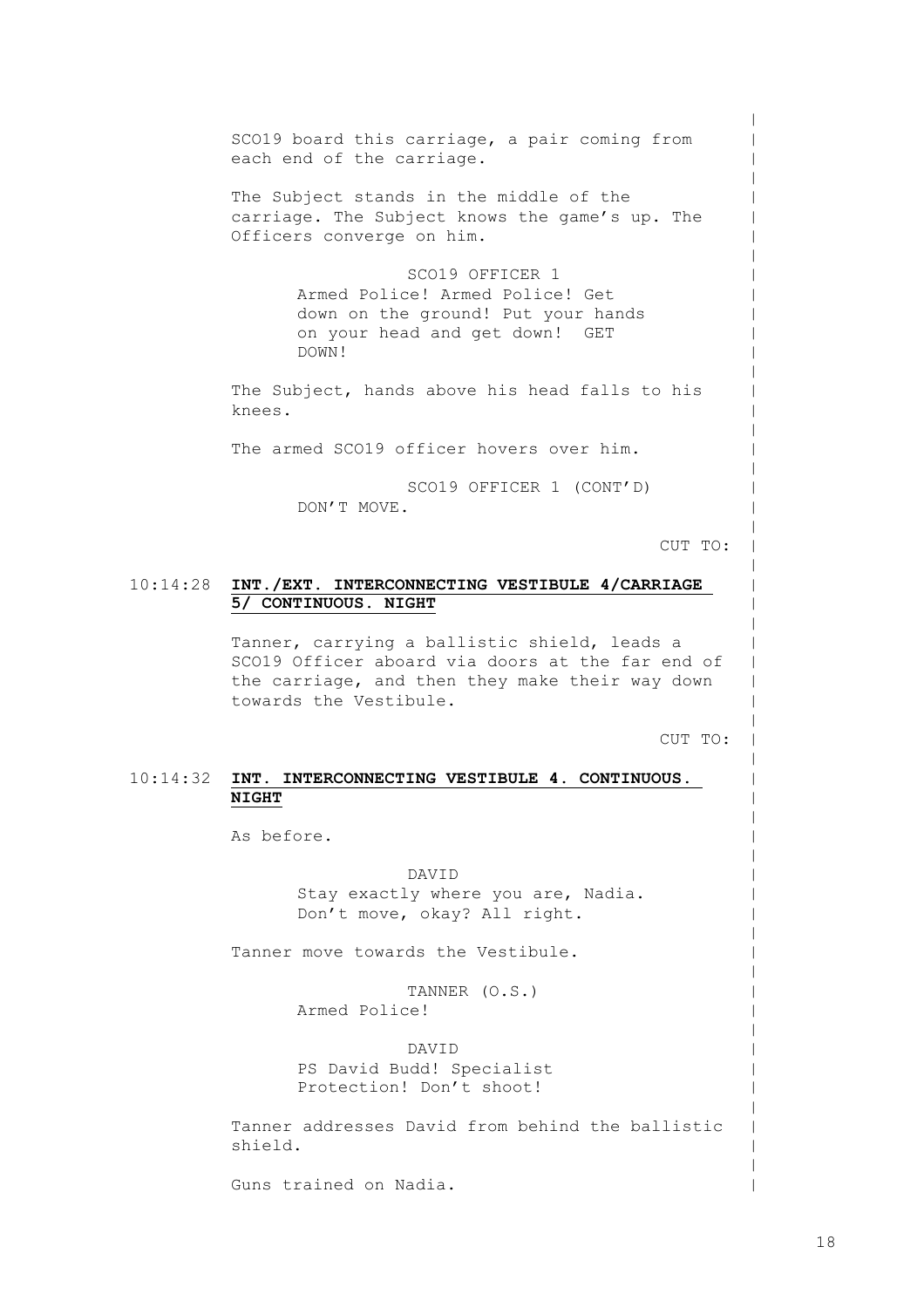SCO19 board this carriage, a pair coming from each end of the carriage. The Subject stands in the middle of the carriage. The Subject knows the game's up. The Officers converge on him. SCO19 OFFICER 1 Armed Police! Armed Police! Get down on the ground! Put your hands on your head and get down! GET DOWN! The Subject, hands above his head falls to his knees. The armed SCO19 officer hovers over him. SCO19 OFFICER 1 (CONT'D) DON'T MOVE.

CUT TO:

 $\,$  $\,$  $\,$  $\,$  $\,$  $\,$  $\,$  $\,$  $\,$  $\,$  $\,$  $\,$  $\,$  $\,$  $\,$  $\,$  $\,$  $\,$  $\,$  $\,$  $\,$  $\,$  $\,$  $\,$  $\,$  $\,$  $\,$  $\,$  $\,$  $\,$  $\,$  $\,$  $\,$  $\,$  $\,$  $\,$  $\,$  $\,$  $\,$  $\,$  $\,$  $\,$  $\,$  $\,$  $\,$  $\,$  $\,$  $\,$  $\,$  $\,$  $\,$  $\,$  $\,$  $\,$  $\,$  $\,$ 

#### 10:14:28 **INT./EXT. INTERCONNECTING VESTIBULE 4/CARRIAGE 5/ CONTINUOUS. NIGHT**

Tanner, carrying a ballistic shield, leads a SCO19 Officer aboard via doors at the far end of the carriage, and then they make their way down towards the Vestibule.

CUT TO:

#### 10:14:32 **INT. INTERCONNECTING VESTIBULE 4. CONTINUOUS. NIGHT**

As before.

DAVID Stay exactly where you are, Nadia. Don't move, okay? All right.

Tanner move towards the Vestibule.

TANNER (O.S.) Armed Police!

DAVID PS David Budd! Specialist Protection! Don't shoot!

Tanner addresses David from behind the ballistic shield.

Guns trained on Nadia.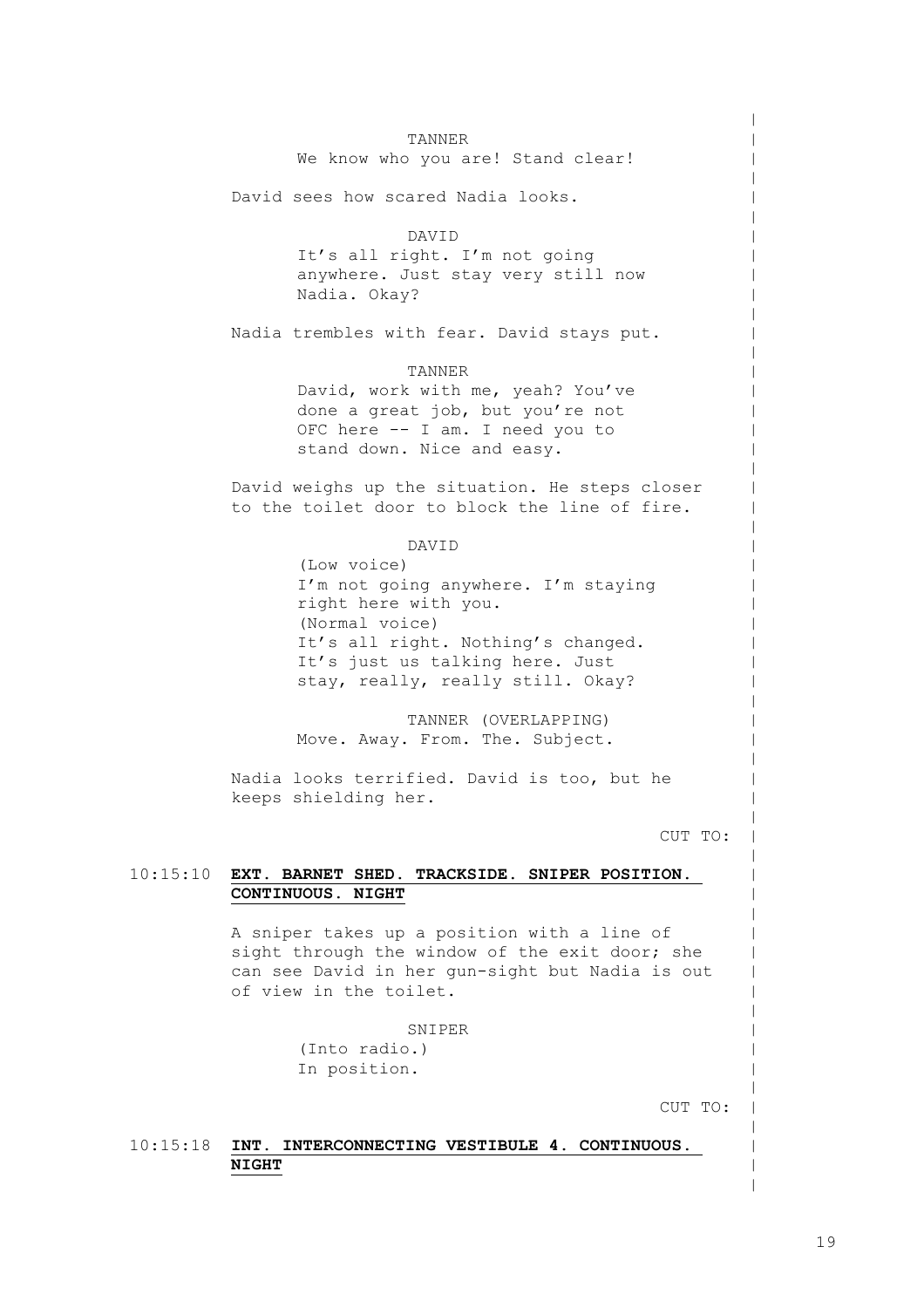10:15:10 **EXT. BARNET SHED. TRACKSIDE. SNIPER POSITION.**  TANNER We know who you are! Stand clear! David sees how scared Nadia looks. DAVID It's all right. I'm not going anywhere. Just stay very still now Nadia. Okay? Nadia trembles with fear. David stays put. TANNER David, work with me, yeah? You've done a great job, but you're not OFC here -- I am. I need you to stand down. Nice and easy. David weighs up the situation. He steps closer to the toilet door to block the line of fire. DAVID (Low voice) I'm not going anywhere. I'm staying right here with you. (Normal voice) It's all right. Nothing's changed. It's just us talking here. Just stay, really, really still. Okay? TANNER (OVERLAPPING) Move. Away. From. The. Subject. Nadia looks terrified. David is too, but he keeps shielding her. CUT TO: **CONTINUOUS. NIGHT** A sniper takes up a position with a line of sight through the window of the exit door; she can see David in her gun-sight but Nadia is out of view in the toilet. SNIPER (Into radio.) In position.

CUT TO:

 $\,$  $\,$  $\,$  $\,$  $\,$  $\,$  $\,$  $\,$  $\,$  $\,$  $\,$  $\,$  $\,$  $\,$  $\,$  $\,$  $\,$  $\,$  $\,$  $\,$  $\,$  $\,$  $\,$  $\,$  $\,$  $\,$  $\,$  $\,$  $\,$  $\,$  $\,$  $\,$  $\,$  $\,$  $\,$  $\,$  $\,$  $\,$  $\,$  $\,$  $\,$  $\,$  $\,$  $\,$  $\,$  $\,$  $\,$  $\,$  $\,$  $\,$  $\,$  $\,$  $\,$  $\,$  $\,$  $\,$ 

# 10:15:18 **INT. INTERCONNECTING VESTIBULE 4. CONTINUOUS. NIGHT**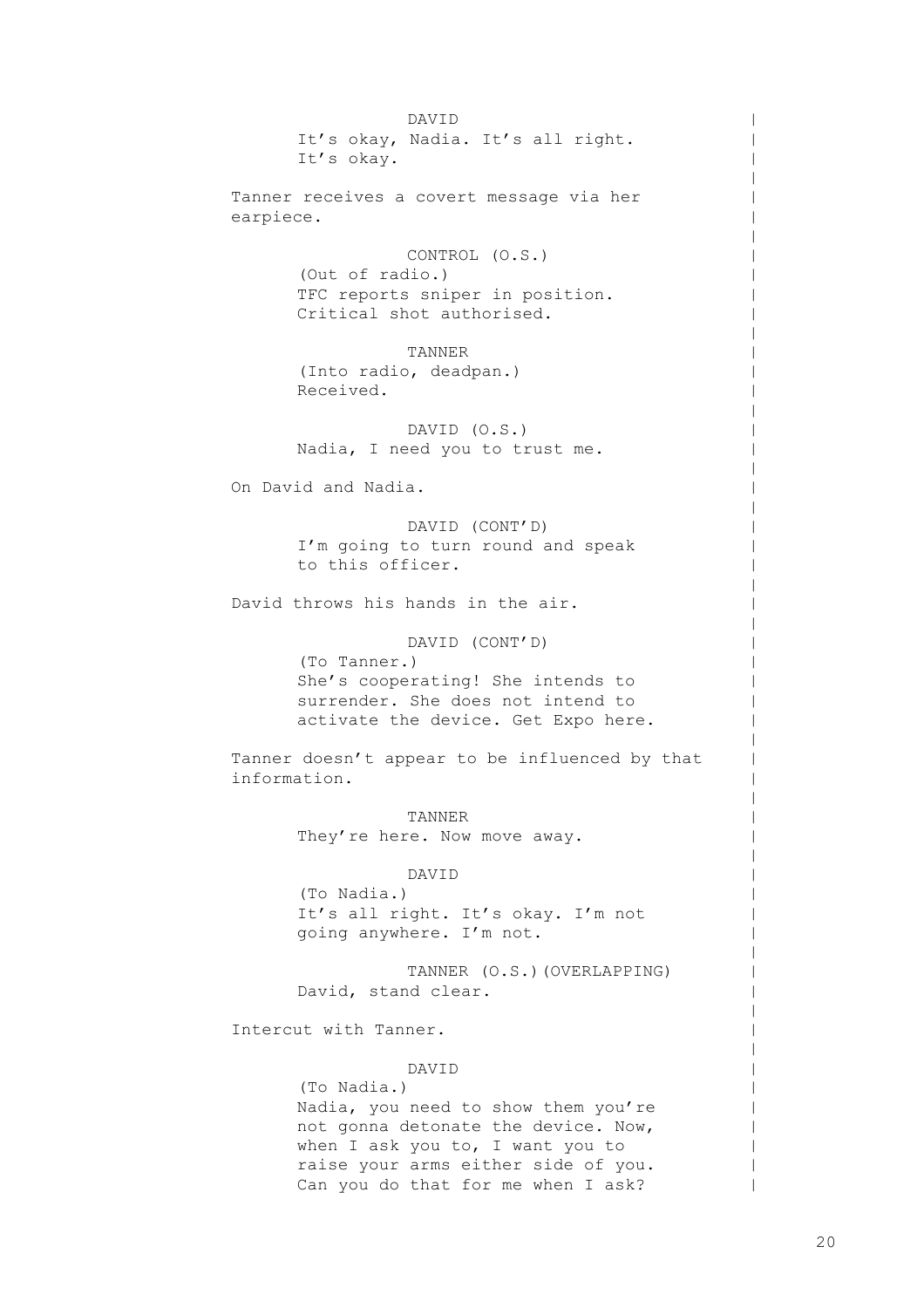DAVID It's okay, Nadia. It's all right. It's okay. Tanner receives a covert message via her earpiece. CONTROL (O.S.) (Out of radio.) TFC reports sniper in position. Critical shot authorised. TANNER (Into radio, deadpan.) Received. DAVID (O.S.) Nadia, I need you to trust me. On David and Nadia. DAVID (CONT'D) I'm going to turn round and speak to this officer. David throws his hands in the air. DAVID (CONT'D) (To Tanner.) She's cooperating! She intends to surrender. She does not intend to activate the device. Get Expo here. Tanner doesn't appear to be influenced by that information. TANNER They're here. Now move away. DAVID (To Nadia.) It's all right. It's okay. I'm not going anywhere. I'm not. TANNER (O.S.)(OVERLAPPING) David, stand clear. Intercut with Tanner. DAVID (To Nadia.) Nadia, you need to show them you're not gonna detonate the device. Now, when I ask you to, I want you to raise your arms either side of you.

Can you do that for me when I ask?

 $\,$  $\,$  $\,$  $\,$  $\,$  $\,$  $\,$  $\,$  $\,$  $\,$  $\,$  $\,$  $\,$  $\,$  $\,$  $\,$  $\,$  $\,$  $\,$  $\,$  $\,$  $\,$  $\,$  $\,$  $\,$  $\,$  $\,$  $\,$  $\,$  $\,$  $\,$  $\,$  $\,$  $\,$  $\,$  $\,$  $\,$  $\,$  $\,$  $\,$  $\,$  $\,$  $\,$  $\,$  $\,$  $\,$  $\,$  $\,$  $\,$  $\,$  $\,$  $\,$  $\blacksquare$  $\|$  $\blacksquare$ |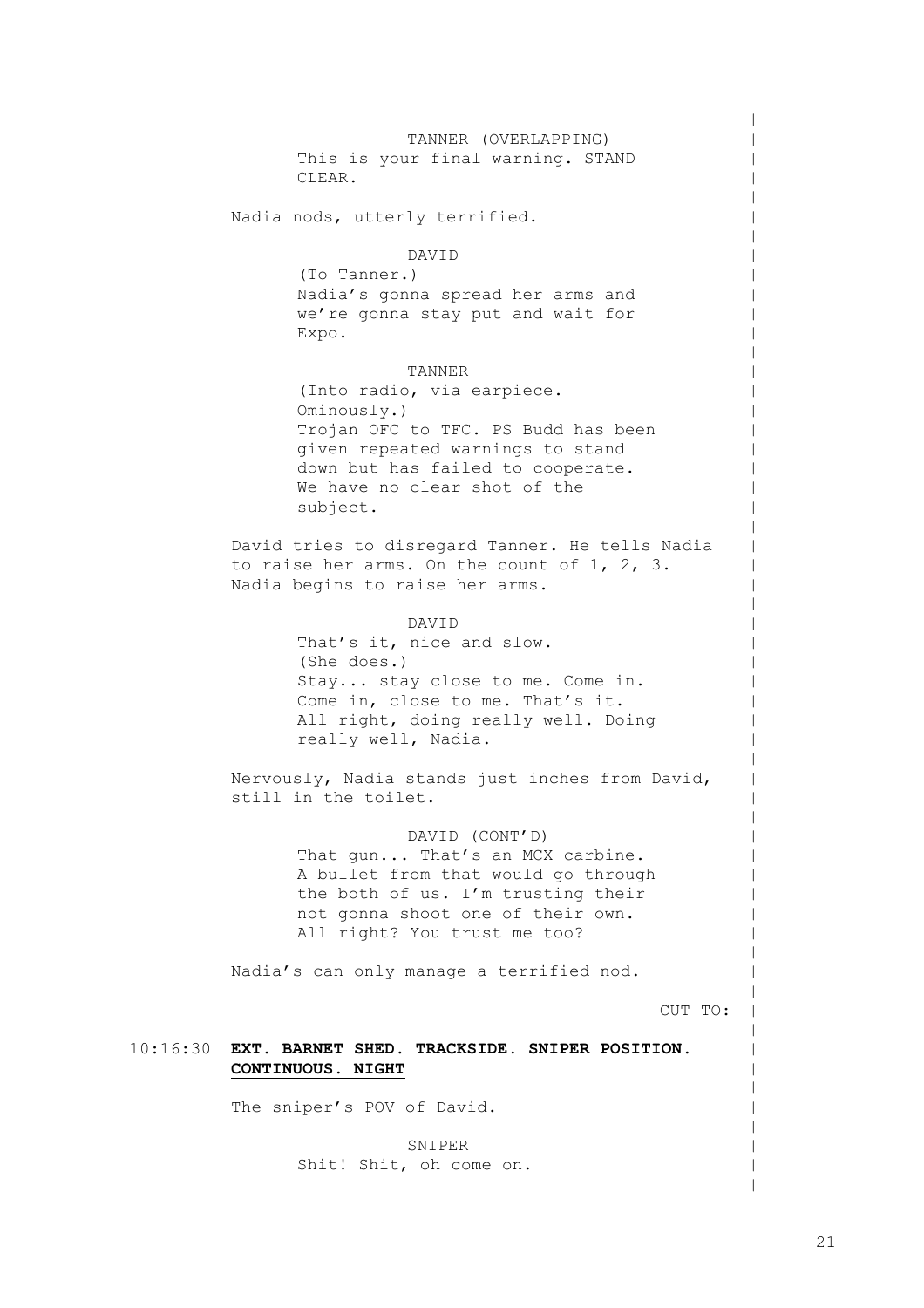10:16:30 **EXT. BARNET SHED. TRACKSIDE. SNIPER POSITION.**  TANNER (OVERLAPPING) This is your final warning. STAND CLEAR. Nadia nods, utterly terrified. DAVID (To Tanner.) Nadia's gonna spread her arms and we're gonna stay put and wait for Expo. TANNER (Into radio, via earpiece. Ominously.) Trojan OFC to TFC. PS Budd has been given repeated warnings to stand down but has failed to cooperate. We have no clear shot of the subject. David tries to disregard Tanner. He tells Nadia to raise her arms. On the count of 1, 2, 3. Nadia begins to raise her arms. DAVID That's it, nice and slow. (She does.) Stay... stay close to me. Come in. Come in, close to me. That's it. All right, doing really well. Doing really well, Nadia. Nervously, Nadia stands just inches from David, still in the toilet. DAVID (CONT'D) That gun... That's an MCX carbine. A bullet from that would go through the both of us. I'm trusting their not gonna shoot one of their own. All right? You trust me too? Nadia's can only manage a terrified nod. CUT TO: **CONTINUOUS. NIGHT**

The sniper's POV of David.

SNIPER Shit! Shit, oh come on.  $\,$  $\,$  $\,$  $\,$  $\,$  $\,$  $\,$  $\,$  $\,$  $\,$  $\,$  $\,$  $\,$  $\,$  $\,$  $\,$  $\,$  $\,$  $\,$  $\,$  $\,$  $\,$  $\,$  $\,$  $\,$  $\,$  $\,$  $\,$  $\,$  $\,$  $\,$  $\,$  $\,$  $\,$  $\,$  $\,$  $\,$  $\,$  $\,$  $\,$  $\,$  $\,$  $\,$  $\,$  $\,$  $\,$  $\,$  $\,$  $\,$  $\,$  $\,$  $\,$  $\,$  $\,$  $\,$  $\,$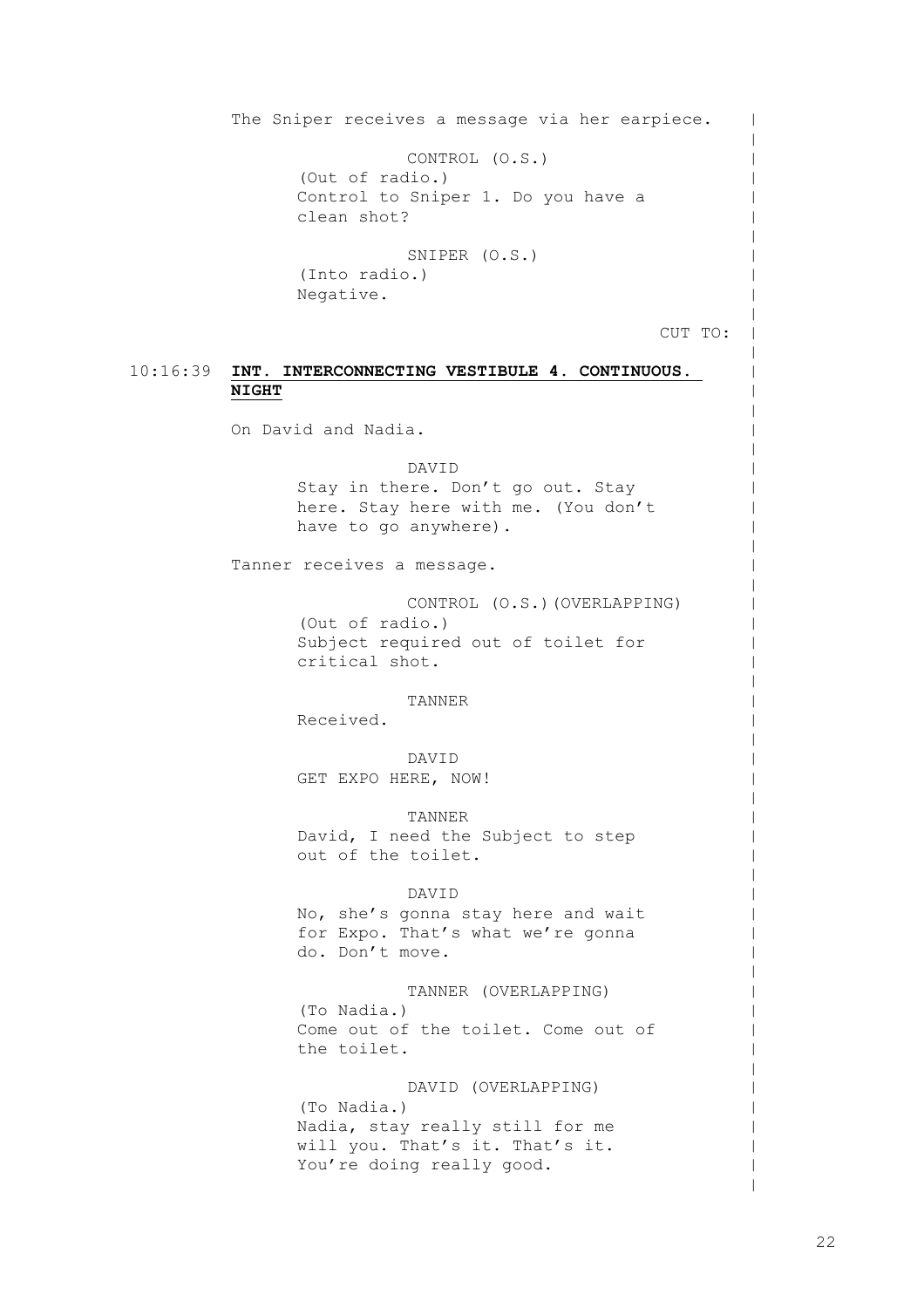10:16:39 **INT. INTERCONNECTING VESTIBULE 4. CONTINUOUS.** The Sniper receives a message via her earpiece. CONTROL (O.S.) (Out of radio.) Control to Sniper 1. Do you have a clean shot? SNIPER (O.S.) (Into radio.) Negative. CUT TO: **NIGHT** On David and Nadia. DAVID Stay in there. Don't go out. Stay here. Stay here with me. (You don't have to go anywhere). Tanner receives a message. CONTROL (O.S.)(OVERLAPPING) (Out of radio.) Subject required out of toilet for critical shot. TANNER

Received.

DAVID GET EXPO HERE, NOW!

TANNER David, I need the Subject to step out of the toilet.

#### DAVID

No, she's gonna stay here and wait for Expo. That's what we're gonna do. Don't move.

TANNER (OVERLAPPING) (To Nadia.) Come out of the toilet. Come out of the toilet.

DAVID (OVERLAPPING) (To Nadia.) Nadia, stay really still for me will you. That's it. That's it. You're doing really good.

 $\blacksquare$  $\,$  $\,$  $\,$  $\,$  $\,$  $\,$  $\,$  $\,$  $\,$  $\,$  $\,$  $\,$  $\,$  $\,$  $\,$  $\,$  $\,$  $\,$  $\,$  $\,$  $\,$  $\,$  $\,$  $\,$  $\,$  $\,$  $\,$  $\,$  $\,$  $\,$  $\,$  $\,$  $\,$  $\,$  $\,$  $\,$  $\,$  $\,$  $\,$  $\,$  $\,$  $\,$  $\,$  $\,$  $\,$  $\,$  $\,$  $\,$  $\,$  $\,$  $\,$  $\,$  $\,$  $\,$  $\,$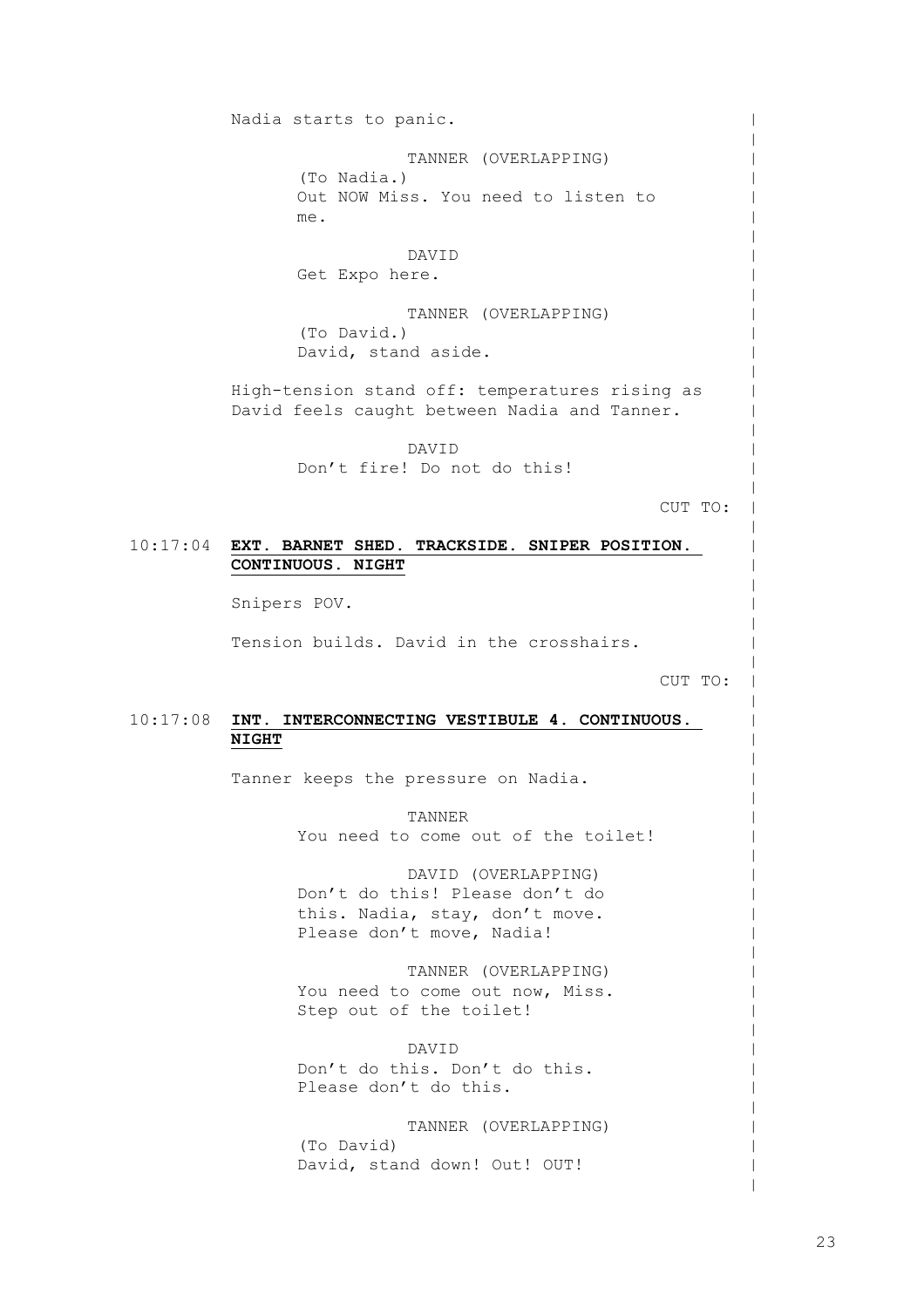Nadia starts to panic. TANNER (OVERLAPPING) (To Nadia.) Out NOW Miss. You need to listen to me. DAVID Get Expo here. TANNER (OVERLAPPING) (To David.) David, stand aside. High-tension stand off: temperatures rising as David feels caught between Nadia and Tanner. DAVID Don't fire! Do not do this!

CUT TO:

 $\,$  $\,$  $\,$  $\,$  $\,$  $\,$  $\,$  $\,$  $\,$  $\,$  $\,$  $\,$  $\,$  $\,$  $\,$  $\,$  $\,$  $\,$  $\,$  $\,$  $\,$  $\,$  $\,$  $\,$  $\,$  $\,$  $\,$  $\,$  $\,$  $\,$  $\,$  $\,$  $\,$  $\,$  $\,$  $\,$  $\,$  $\,$  $\,$  $\,$  $\,$  $\,$  $\,$  $\,$  $\,$  $\,$  $\,$  $\,$  $\,$  $\,$  $\,$  $\,$  $\,$  $\,$  $\,$  $\,$ 

### 10:17:04 **EXT. BARNET SHED. TRACKSIDE. SNIPER POSITION. CONTINUOUS. NIGHT**

Snipers POV.

Tension builds. David in the crosshairs.

CUT TO:

#### 10:17:08 **INT. INTERCONNECTING VESTIBULE 4. CONTINUOUS. NIGHT**

Tanner keeps the pressure on Nadia.

TANNER You need to come out of the toilet!

DAVID (OVERLAPPING) Don't do this! Please don't do this. Nadia, stay, don't move. Please don't move, Nadia!

TANNER (OVERLAPPING) You need to come out now, Miss. Step out of the toilet!

DAVID Don't do this. Don't do this. Please don't do this.

TANNER (OVERLAPPING) (To David) David, stand down! Out! OUT!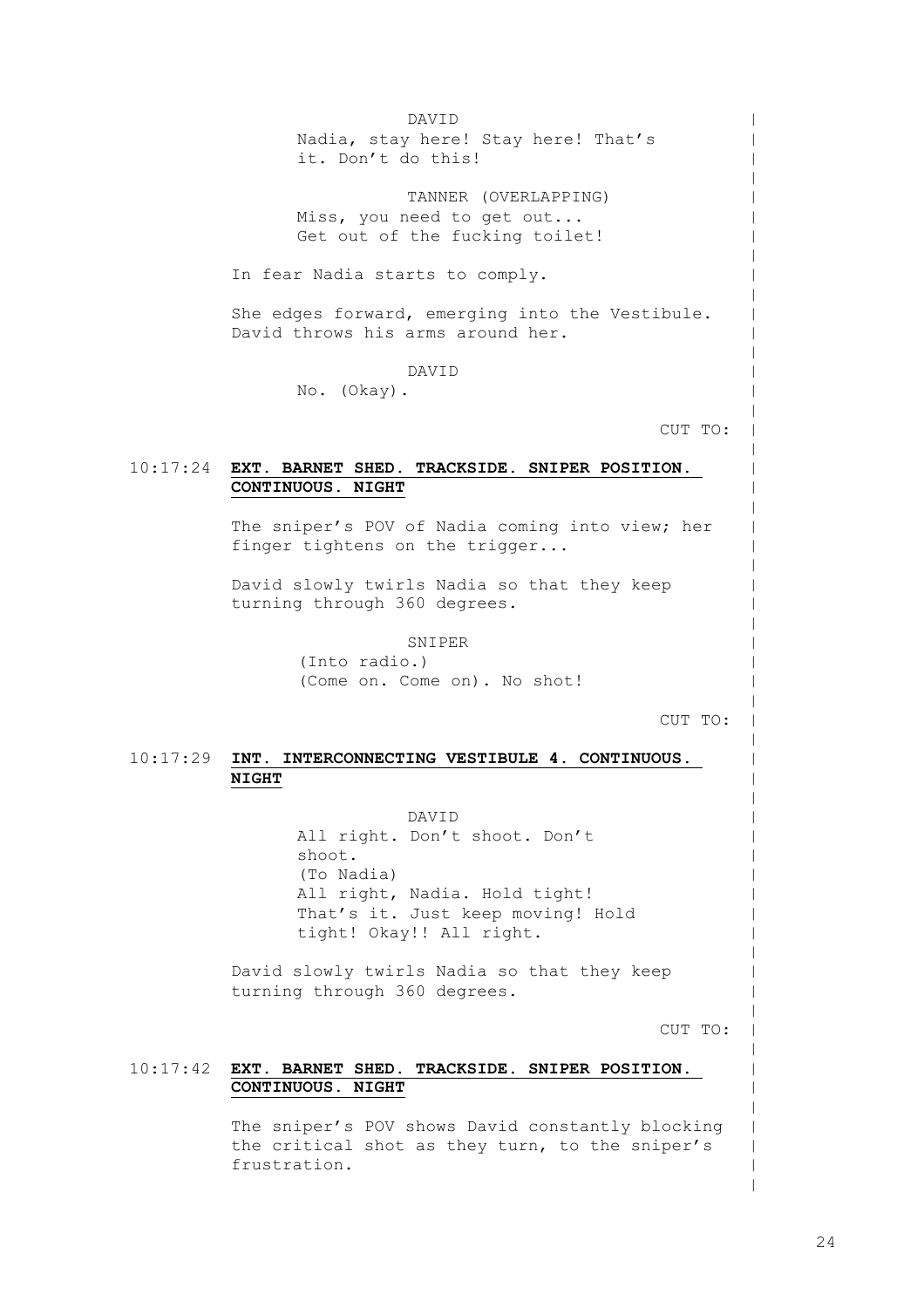10:17:24 **EXT. BARNET SHED. TRACKSIDE. SNIPER POSITION.**  10:17:29 **INT. INTERCONNECTING VESTIBULE 4. CONTINUOUS.**  10:17:42 **EXT. BARNET SHED. TRACKSIDE. SNIPER POSITION.**  DAVID Nadia, stay here! Stay here! That's it. Don't do this! TANNER (OVERLAPPING) Miss, you need to get out... Get out of the fucking toilet! In fear Nadia starts to comply. She edges forward, emerging into the Vestibule. David throws his arms around her. DAVID No. (Okay). CUT TO: **CONTINUOUS. NIGHT** The sniper's POV of Nadia coming into view; her finger tightens on the trigger... David slowly twirls Nadia so that they keep turning through 360 degrees. SNIPER (Into radio.) (Come on. Come on). No shot! CUT TO: **NIGHT** DAVID All right. Don't shoot. Don't shoot. (To Nadia) All right, Nadia. Hold tight! That's it. Just keep moving! Hold tight! Okay!! All right. David slowly twirls Nadia so that they keep turning through 360 degrees. CUT TO: **CONTINUOUS. NIGHT** The sniper's POV shows David constantly blocking the critical shot as they turn, to the sniper's frustration.

 $\,$  $\,$  $\,$  $\,$  $\,$  $\,$  $\,$  $\,$  $\,$  $\,$  $\,$  $\,$  $\,$  $\,$  $\,$  $\,$  $\,$  $\,$  $\,$  $\,$  $\,$  $\,$  $\,$  $\,$  $\,$  $\,$  $\,$  $\,$  $\,$  $\,$  $\,$  $\,$  $\,$  $\,$  $\,$  $\,$  $\,$  $\,$  $\,$  $\,$  $\,$  $\,$  $\,$  $\,$  $\,$  $\,$  $\,$  $\,$  $\,$  $\,$  $\,$  $\,$  $\,$ | | |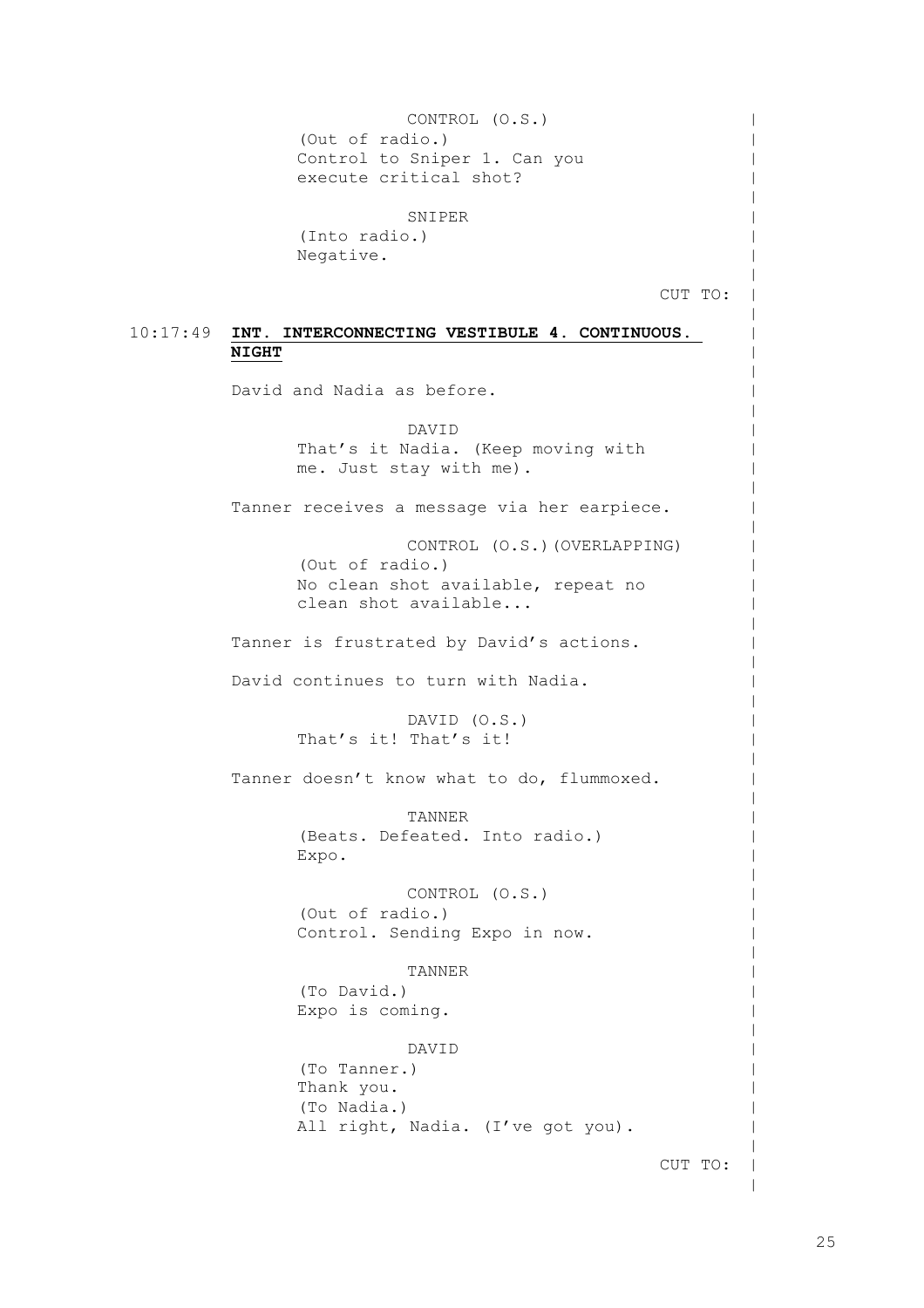10:17:49 **INT. INTERCONNECTING VESTIBULE 4. CONTINUOUS.**  CONTROL (O.S.) (Out of radio.) Control to Sniper 1. Can you execute critical shot? SNIPER (Into radio.) Negative. CUT TO: **NIGHT** David and Nadia as before. DAVID That's it Nadia. (Keep moving with me. Just stay with me). Tanner receives a message via her earpiece. CONTROL (O.S.)(OVERLAPPING) (Out of radio.) No clean shot available, repeat no clean shot available... Tanner is frustrated by David's actions. David continues to turn with Nadia. DAVID (O.S.) That's it! That's it! Tanner doesn't know what to do, flummoxed. TANNER (Beats. Defeated. Into radio.) Expo. CONTROL (O.S.) (Out of radio.) Control. Sending Expo in now. TANNER (To David.) Expo is coming. DAVID (To Tanner.) Thank you. (To Nadia.) All right, Nadia. (I've got you). CUT TO:  $\,$  $\,$  $\,$  $\,$  $\,$  $\,$  $\,$  $\,$  $\,$  $\,$  $\,$  $\,$  $\,$  $\,$  $\,$  $\,$  $\,$  $\,$  $\,$  $\,$  $\,$  $\,$  $\,$  $\,$  $\,$  $\,$  $\,$  $\,$  $\,$  $\,$  $\,$  $\,$  $\,$  $\,$  $\,$  $\,$  $\,$  $\,$  $\,$  $\,$  $\,$  $\,$  $\,$  $\,$  $\,$  $\,$  $\,$  $\,$  $\,$  $\,$  $\,$  $\,$  $\,$  $\,$ |

 $\,$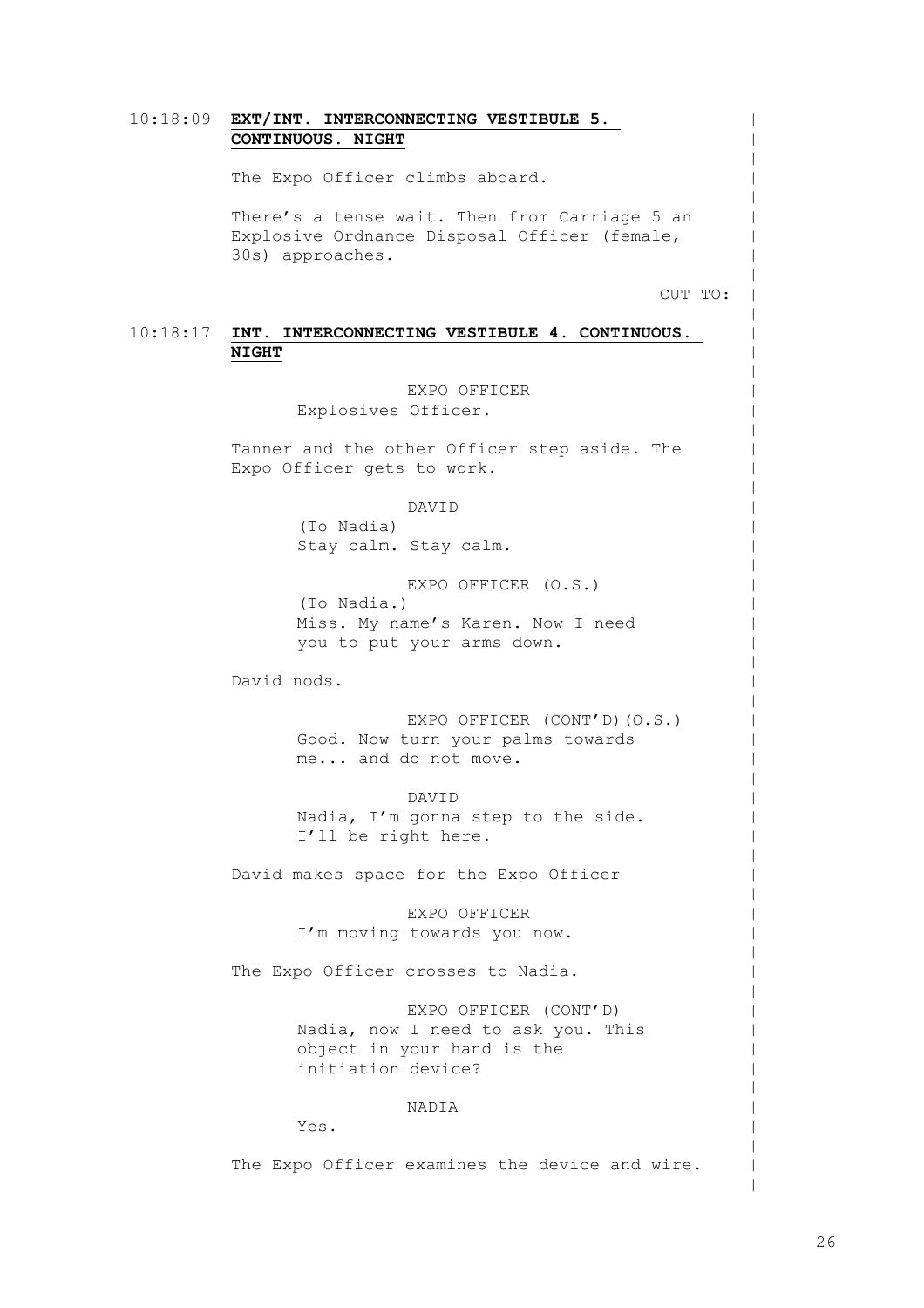|  | 10:18:09 EXT/INT. INTERCONNECTING VESTIBULE 5.                                                                    |
|--|-------------------------------------------------------------------------------------------------------------------|
|  | CONTINUOUS. NIGHT                                                                                                 |
|  | The Expo Officer climbs aboard.                                                                                   |
|  | There's a tense wait. Then from Carriage 5 an<br>Explosive Ordnance Disposal Officer (female,<br>30s) approaches. |
|  | CUT TO:                                                                                                           |
|  | $10:18:17$ INT. INTERCONNECTING VESTIBULE 4. CONTINUOUS.<br><b>NIGHT</b>                                          |
|  | EXPO OFFICER<br>Explosives Officer.                                                                               |
|  | Tanner and the other Officer step aside. The<br>Expo Officer gets to work.                                        |
|  | DAVID<br>(To Nadia)                                                                                               |
|  | Stay calm. Stay calm.                                                                                             |
|  | EXPO OFFICER (O.S.)<br>(To Nadia.)<br>Miss. My name's Karen. Now I need                                           |
|  | you to put your arms down.                                                                                        |
|  | David nods.                                                                                                       |
|  | EXPO OFFICER (CONT'D) (O.S.)<br>Good. Now turn your palms towards<br>me and do not move.                          |

DAVID Nadia, I'm gonna step to the side. I'll be right here.

David makes space for the Expo Officer

EXPO OFFICER I'm moving towards you now.

The Expo Officer crosses to Nadia.

EXPO OFFICER (CONT'D) Nadia, now I need to ask you. This object in your hand is the initiation device?

NADIA

Yes.

The Expo Officer examines the device and wire.

 $\,$  $\,$  $\,$  $\,$  $\,$  $\,$  $\,$  $\,$  $\,$  $\,$  $\,$  $\,$  $\,$  $\,$  $\,$  $\,$  $\,$  $\,$  $\,$  $\,$  $\,$  $\,$  $\,$  $\,$  $\,$  $\,$  $\,$  $\,$  $\,$  $\,$  $\,$  $\,$  $\,$  $\,$  $\,$  $\,$  $\,$  $\,$  $\,$  $\,$  $\perp$  $\,$ |  $\,$  $\,$  $\,$  $\,$ | | |  $\,$  $\,$  $\,$  $\,$ | |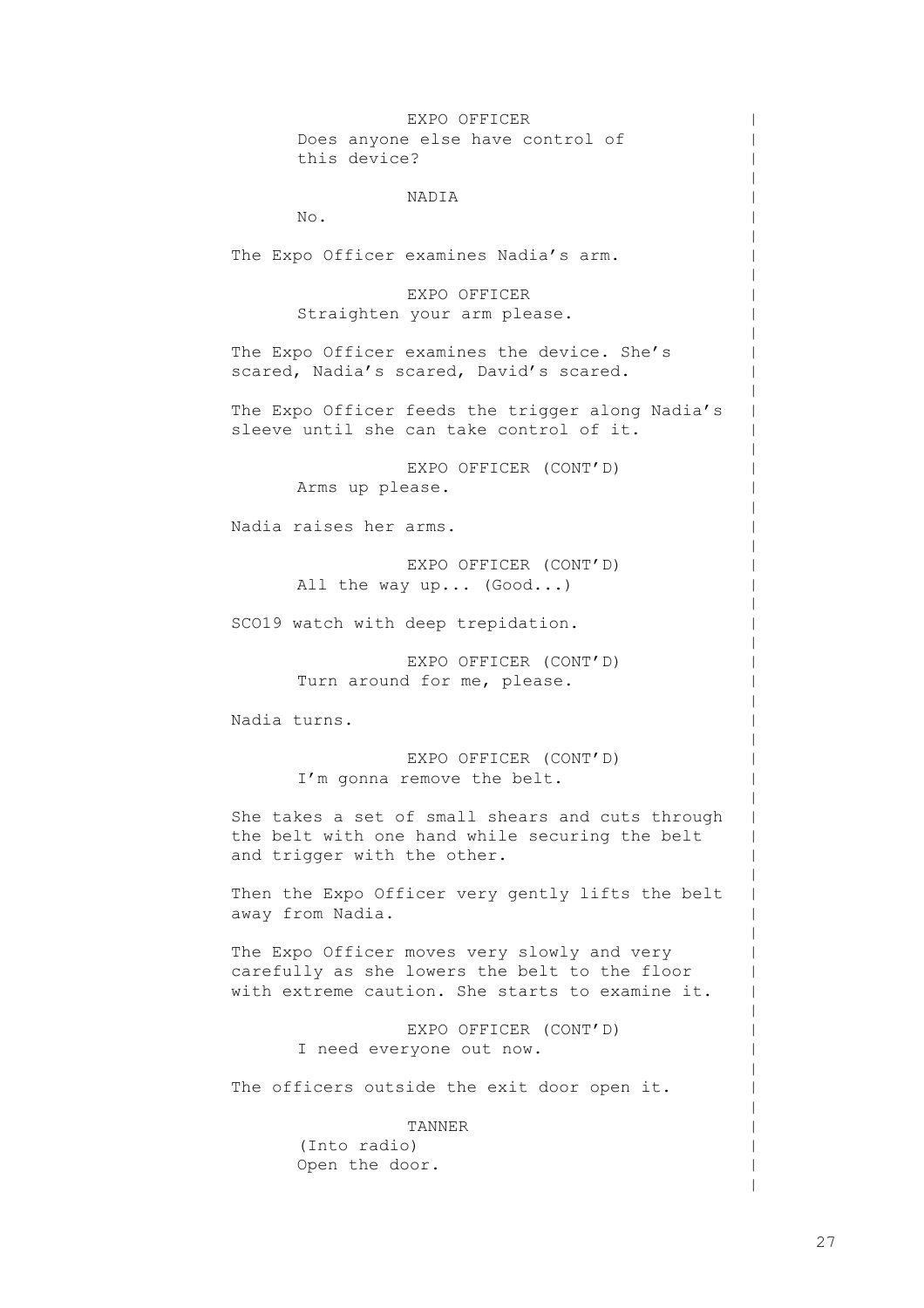EXPO OFFICER Does anyone else have control of this device? NADIA No. The Expo Officer examines Nadia's arm. EXPO OFFICER Straighten your arm please. The Expo Officer examines the device. She's scared, Nadia's scared, David's scared. The Expo Officer feeds the trigger along Nadia's sleeve until she can take control of it. EXPO OFFICER (CONT'D) Arms up please. Nadia raises her arms. EXPO OFFICER (CONT'D) All the way up... (Good...) SCO19 watch with deep trepidation. EXPO OFFICER (CONT'D) Turn around for me, please. Nadia turns. EXPO OFFICER (CONT'D) I'm gonna remove the belt. She takes a set of small shears and cuts through the belt with one hand while securing the belt and trigger with the other. Then the Expo Officer very gently lifts the belt away from Nadia. The Expo Officer moves very slowly and very carefully as she lowers the belt to the floor with extreme caution. She starts to examine it. EXPO OFFICER (CONT'D) I need everyone out now. The officers outside the exit door open it. TANNER

(Into radio) Open the door.  $\,$  $\,$  $\,$  $\,$  $\,$  $\,$  $\,$  $\,$  $\,$  $\,$  $\,$  $\,$  $\,$  $\,$  $\,$  $\,$  $\,$  $\,$  $\,$  $\,$  $\,$  $\,$  $\,$  $\,$  $\,$  $\,$  $\,$  $\,$  $\,$  $\,$  $\,$  $\,$  $\,$  $\,$  $\,$  $\,$  $\,$  $\,$  $\,$  $\,$  $\,$  $\,$  $\,$  $\,$  $\,$  $\,$  $\,$  $\,$  $\,$  $\,$  $\,$  $\,$  $\,$  $\,$  $\,$  $\,$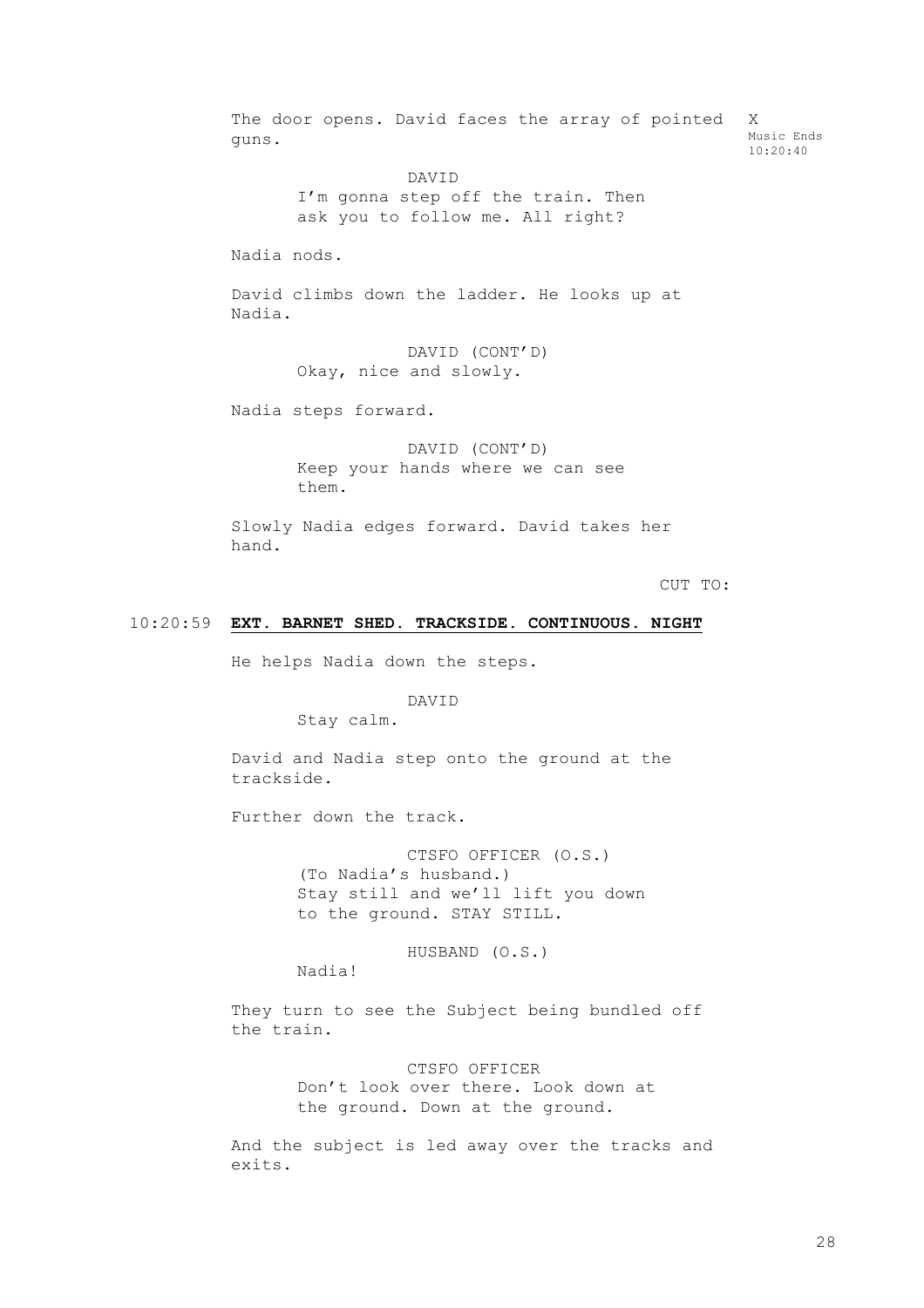The door opens. David faces the array of pointed guns. DAVID I'm gonna step off the train. Then ask you to follow me. All right? Nadia nods. David climbs down the ladder. He looks up at Nadia. DAVID (CONT'D) Okay, nice and slowly. Nadia steps forward. DAVID (CONT'D) Keep your hands where we can see them. X Music Ends 10:20:40

Slowly Nadia edges forward. David takes her hand.

CUT TO:

#### 10:20:59 **EXT. BARNET SHED. TRACKSIDE. CONTINUOUS. NIGHT**

He helps Nadia down the steps.

DAVID

Stay calm.

David and Nadia step onto the ground at the trackside.

Further down the track.

CTSFO OFFICER (O.S.) (To Nadia's husband.) Stay still and we'll lift you down to the ground. STAY STILL.

HUSBAND (O.S.)

Nadia!

They turn to see the Subject being bundled off the train.

> CTSFO OFFICER Don't look over there. Look down at the ground. Down at the ground.

And the subject is led away over the tracks and exits.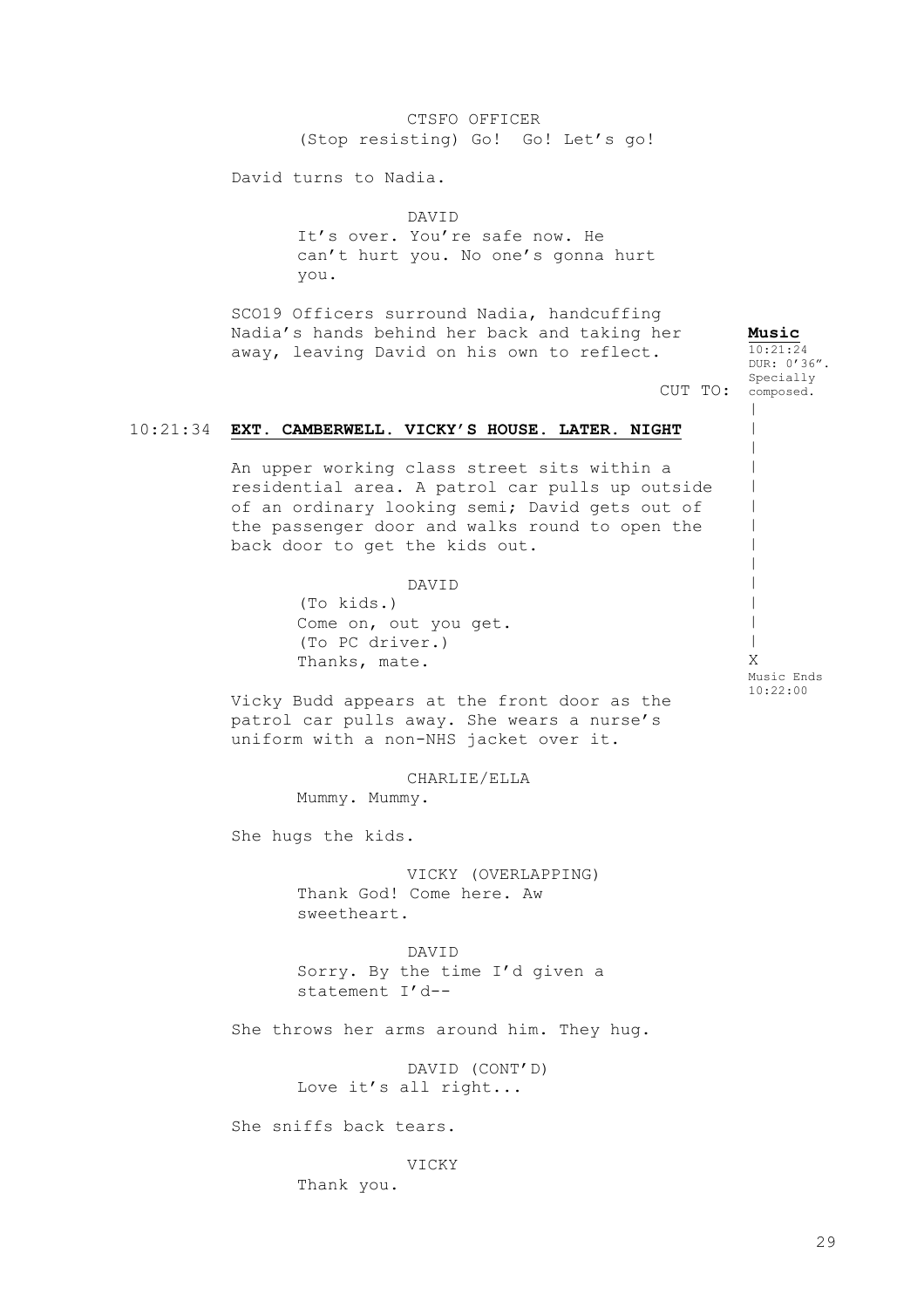| (Stop resisting) Go! Go! Let's go!                                                                                                                                                                                                   |                                               |
|--------------------------------------------------------------------------------------------------------------------------------------------------------------------------------------------------------------------------------------|-----------------------------------------------|
| David turns to Nadia.                                                                                                                                                                                                                |                                               |
| DAVID<br>It's over. You're safe now. He<br>can't hurt you. No one's gonna hurt<br>you.                                                                                                                                               |                                               |
| SCO19 Officers surround Nadia, handcuffing<br>Nadia's hands behind her back and taking her<br>away, leaving David on his own to reflect.                                                                                             | Music<br>10:21:24<br>DUR: 0'36".<br>Specially |
| CUT TO:                                                                                                                                                                                                                              | composed.                                     |
| 10:21:34 EXT. CAMBERWELL. VICKY'S HOUSE. LATER. NIGHT                                                                                                                                                                                |                                               |
| An upper working class street sits within a<br>residential area. A patrol car pulls up outside<br>of an ordinary looking semi; David gets out of<br>the passenger door and walks round to open the<br>back door to get the kids out. |                                               |
| DAVID<br>(To kids.)<br>Come on, out you get.<br>(To PC driver.)<br>Thanks, mate.                                                                                                                                                     | Χ<br>Music Ends                               |
| Vicky Budd appears at the front door as the<br>patrol car pulls away. She wears a nurse's<br>uniform with a non-NHS jacket over it.                                                                                                  | 10:22:00                                      |
| CHARLIE/ELLA<br>Mummy. Mummy.                                                                                                                                                                                                        |                                               |
| She hugs the kids.                                                                                                                                                                                                                   |                                               |
| VICKY (OVERLAPPING)<br>Thank God! Come here. Aw<br>sweetheart.                                                                                                                                                                       |                                               |
| DAVID<br>Sorry. By the time I'd given a<br>statement I'd--                                                                                                                                                                           |                                               |
| She throws her arms around him. They hug.                                                                                                                                                                                            |                                               |
| DAVID (CONT'D)<br>Love it's all right                                                                                                                                                                                                |                                               |
| She sniffs back tears.                                                                                                                                                                                                               |                                               |
| VICKY<br>Thank you.                                                                                                                                                                                                                  |                                               |

CTSFO OFFICER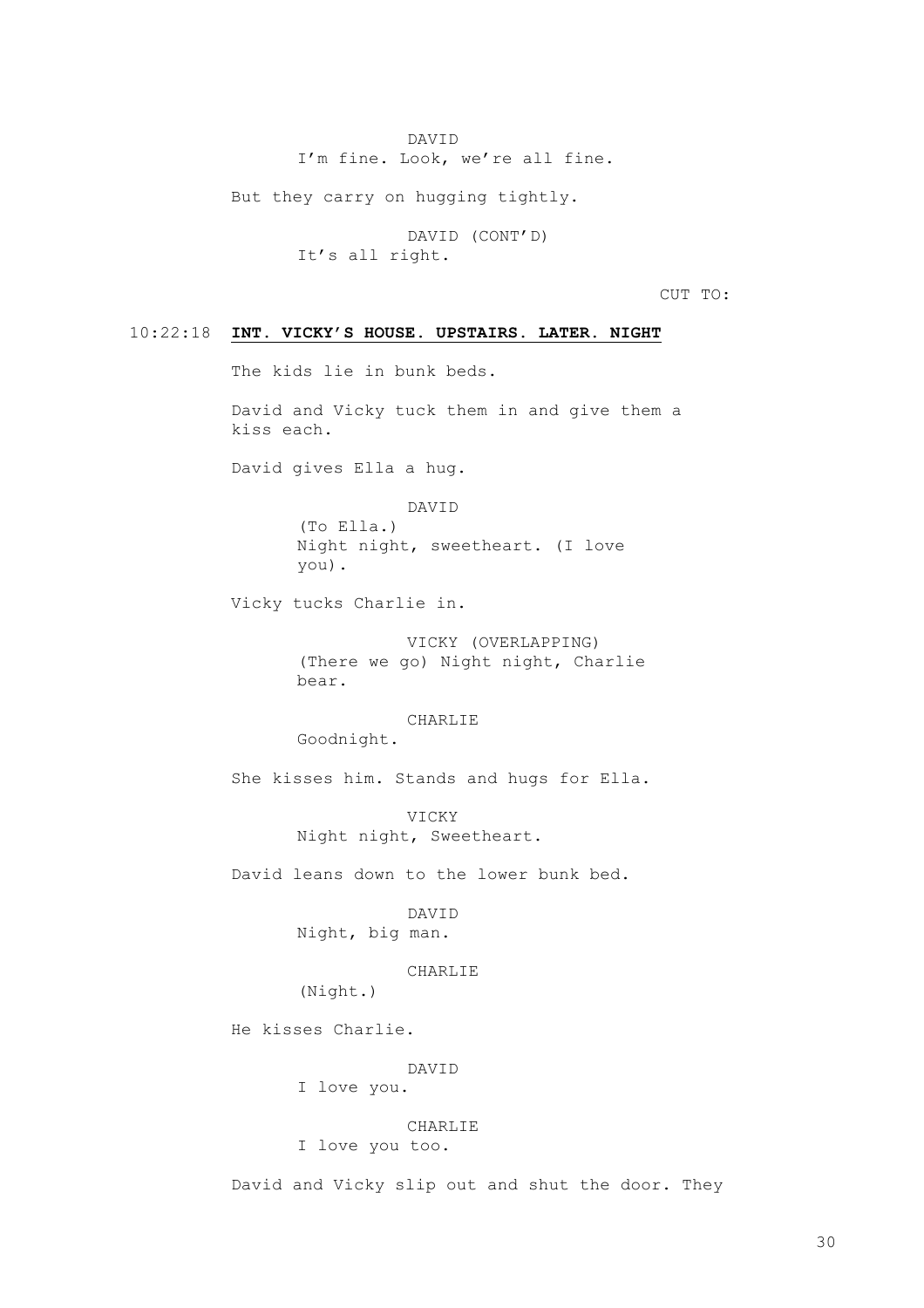DAVID I'm fine. Look, we're all fine.

But they carry on hugging tightly.

DAVID (CONT'D) It's all right.

CUT TO:

#### 10:22:18 **INT. VICKY'S HOUSE. UPSTAIRS. LATER. NIGHT**

The kids lie in bunk beds.

David and Vicky tuck them in and give them a kiss each.

David gives Ella a hug.

DAVID (To Ella.) Night night, sweetheart. (I love you).

Vicky tucks Charlie in.

VICKY (OVERLAPPING) (There we go) Night night, Charlie bear.

CHARLIE Goodnight.

She kisses him. Stands and hugs for Ella.

VICKY Night night, Sweetheart.

David leans down to the lower bunk bed.

DAVID Night, big man.

#### CHARLIE

(Night.)

He kisses Charlie.

DAVID I love you.

CHARLIE

I love you too.

David and Vicky slip out and shut the door. They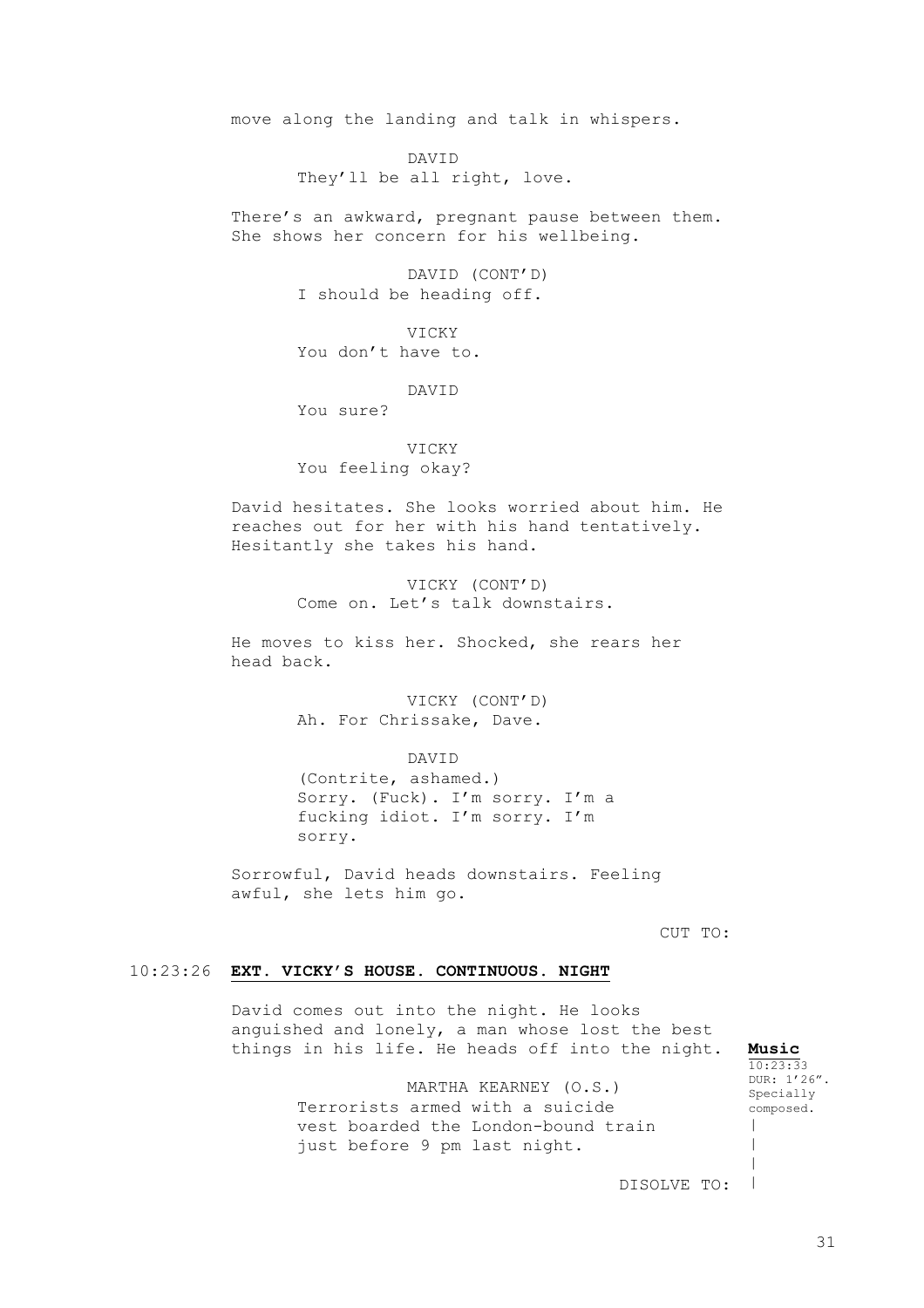move along the landing and talk in whispers.

DAVID They'll be all right, love.

There's an awkward, pregnant pause between them. She shows her concern for his wellbeing.

> DAVID (CONT'D) I should be heading off.

VICKY You don't have to.

DAVID You sure?

VICKY You feeling okay?

David hesitates. She looks worried about him. He reaches out for her with his hand tentatively. Hesitantly she takes his hand.

> VICKY (CONT'D) Come on. Let's talk downstairs.

He moves to kiss her. Shocked, she rears her head back.

> VICKY (CONT'D) Ah. For Chrissake, Dave.

> > DAVID

(Contrite, ashamed.) Sorry. (Fuck). I'm sorry. I'm a fucking idiot. I'm sorry. I'm sorry.

Sorrowful, David heads downstairs. Feeling awful, she lets him go.

CUT TO:

#### 10:23:26 **EXT. VICKY'S HOUSE. CONTINUOUS. NIGHT**

David comes out into the night. He looks anguished and lonely, a man whose lost the best things in his life. He heads off into the night.

> MARTHA KEARNEY (O.S.) Terrorists armed with a suicide vest boarded the London-bound train just before 9 pm last night.

**Music**  $10:23:33$ DUR: 1'26". Specially composed.  $\,$ | |

DISOLVE TO:  $\blacksquare$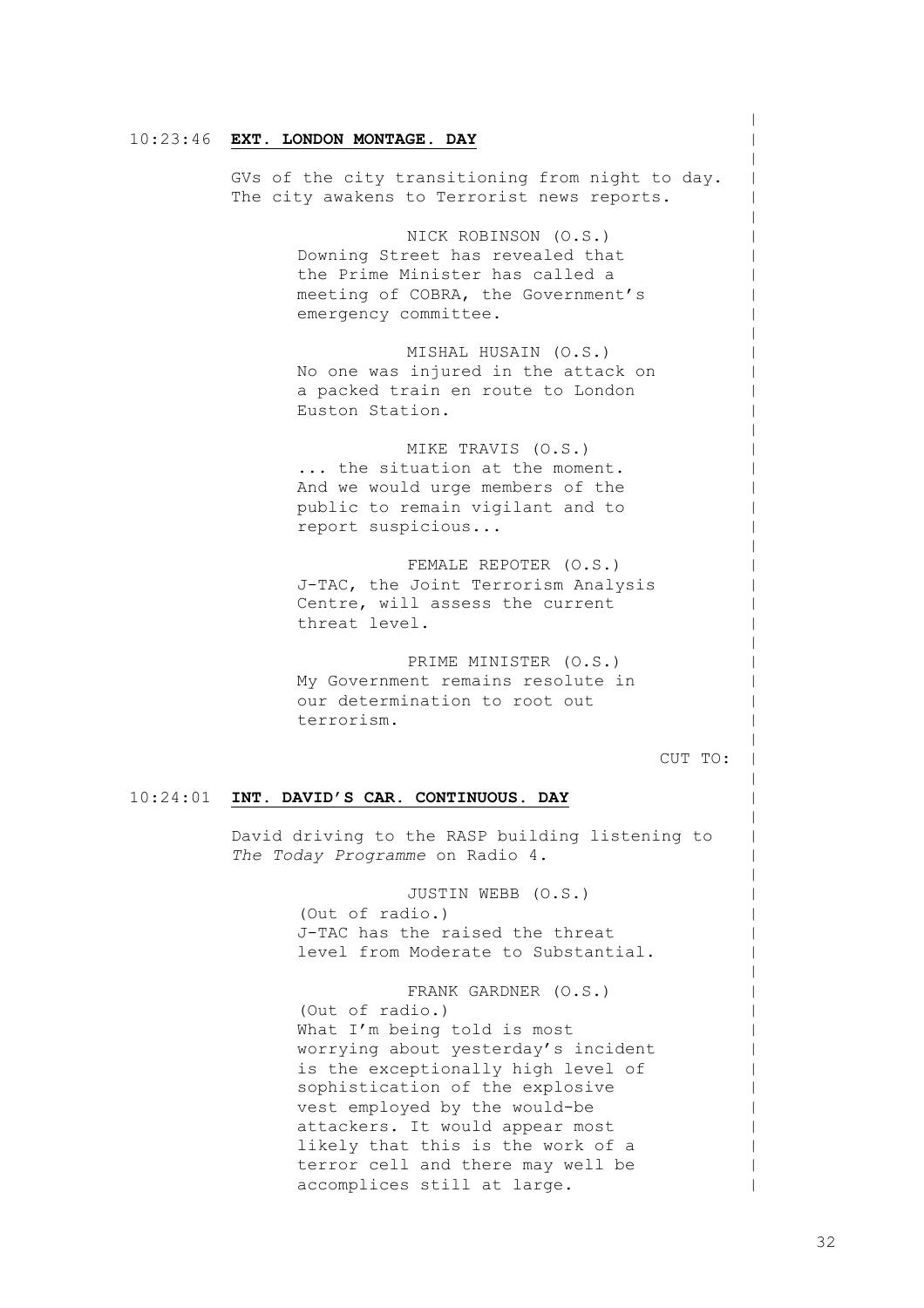#### 10:23:46 **EXT. LONDON MONTAGE. DAY**

GVs of the city transitioning from night to day. The city awakens to Terrorist news reports.

> NICK ROBINSON (O.S.) Downing Street has revealed that the Prime Minister has called a meeting of COBRA, the Government's emergency committee.

MISHAL HUSAIN (O.S.) No one was injured in the attack on a packed train en route to London Euston Station.

MIKE TRAVIS (O.S.) ... the situation at the moment. And we would urge members of the public to remain vigilant and to report suspicious...

FEMALE REPOTER (O.S.) J-TAC, the Joint Terrorism Analysis Centre, will assess the current threat level.

PRIME MINISTER (O.S.) My Government remains resolute in our determination to root out terrorism.

CUT TO:

 $\,$  $\,$  $\,$  $\,$  $\,$  $\,$  $\,$  $\,$  $\,$  $\,$  $\,$  $\,$  $\,$  $\,$  $\,$  $\,$  $\,$  $\,$  $\,$  $\,$  $\,$  $\,$  $\,$  $\,$  $\,$  $\,$  $\,$  $\,$  $\,$  $\,$  $\,$  $\,$  $\,$  $\,$  $\,$  $\,$  $\,$  $\,$  $\,$  $\,$  $\,$  $\,$  $\,$  $\,$  $\,$  $\,$  $\,$  $\,$  $\,$  $\,$  $\,$  $\,$  $\,$  $\,$  $\,$  $\,$ 

#### 10:24:01 **INT. DAVID'S CAR. CONTINUOUS. DAY**

David driving to the RASP building listening to *The Today Programme* on Radio 4.

> JUSTIN WEBB (O.S.) (Out of radio.) J-TAC has the raised the threat level from Moderate to Substantial.

FRANK GARDNER (O.S.) (Out of radio.) What I'm being told is most worrying about yesterday's incident is the exceptionally high level of sophistication of the explosive vest employed by the would-be attackers. It would appear most likely that this is the work of a terror cell and there may well be accomplices still at large.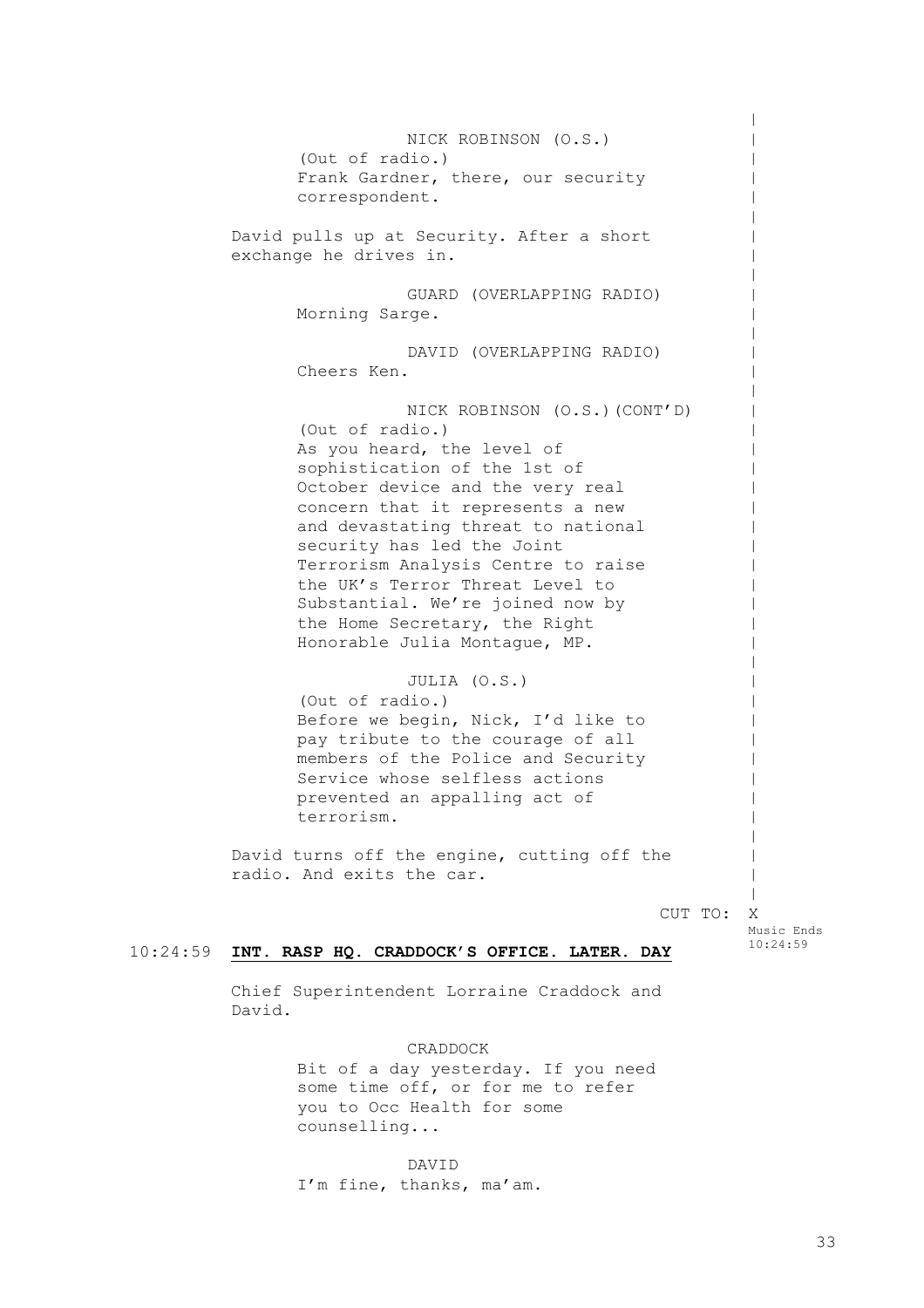10:24:59 **INT. RASP HQ. CRADDOCK'S OFFICE. LATER. DAY** NICK ROBINSON (O.S.) (Out of radio.) Frank Gardner, there, our security correspondent. David pulls up at Security. After a short exchange he drives in. GUARD (OVERLAPPING RADIO) Morning Sarge. DAVID (OVERLAPPING RADIO) Cheers Ken. NICK ROBINSON (O.S.)(CONT'D) (Out of radio.) As you heard, the level of sophistication of the 1st of October device and the very real concern that it represents a new and devastating threat to national security has led the Joint Terrorism Analysis Centre to raise the UK's Terror Threat Level to Substantial. We're joined now by the Home Secretary, the Right Honorable Julia Montague, MP. JULIA (O.S.) (Out of radio.) Before we begin, Nick, I'd like to pay tribute to the courage of all members of the Police and Security Service whose selfless actions prevented an appalling act of terrorism. David turns off the engine, cutting off the radio. And exits the car. CUT TO: X  $\,$  $\,$  $\,$  $\,$  $\,$  $\,$  $\,$  $\,$  $\,$  $\,$  $\,$  $\,$  $\,$  $\,$  $\,$  $\,$  $\,$  $\,$  $\,$  $\,$  $\,$  $\,$  $\,$  $\,$  $\,$  $\,$  $\,$  $\,$  $\,$  $\,$  $\,$  $\,$  $\,$  $\,$  $\,$  $\,$  $\,$  $\,$  $\,$  $\,$  $\,$ Music Ends 10:24:59

Chief Superintendent Lorraine Craddock and David.

> CRADDOCK Bit of a day yesterday. If you need some time off, or for me to refer you to Occ Health for some counselling...

DAVID I'm fine, thanks, ma'am.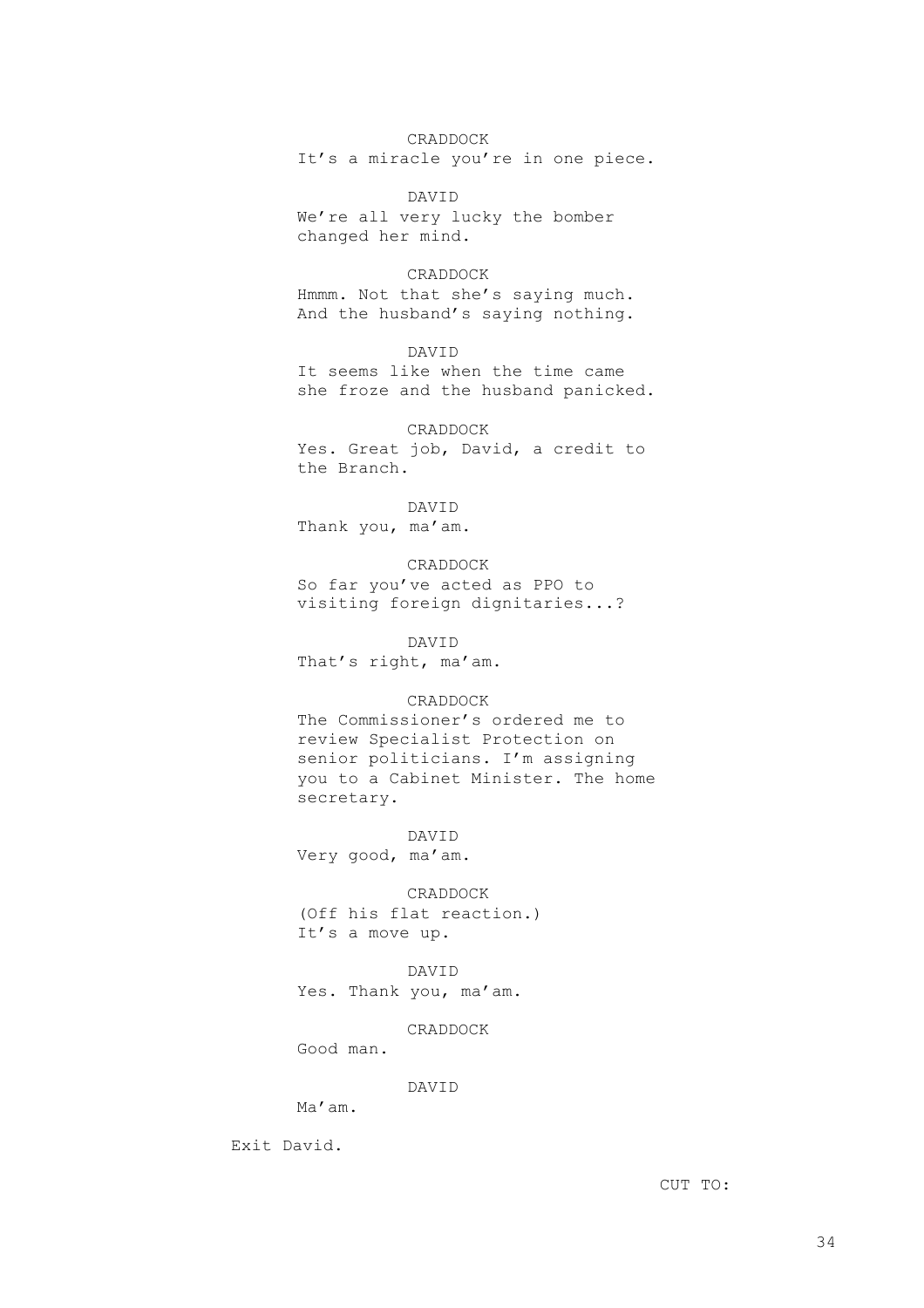#### CRADDOCK

It's a miracle you're in one piece.

DAVID We're all very lucky the bomber changed her mind.

CRADDOCK

Hmmm. Not that she's saying much. And the husband's saying nothing.

DAVID It seems like when the time came she froze and the husband panicked.

CRADDOCK Yes. Great job, David, a credit to the Branch.

DAVID Thank you, ma'am.

CRADDOCK So far you've acted as PPO to visiting foreign dignitaries...?

DAVID That's right, ma'am.

#### CRADDOCK

The Commissioner's ordered me to review Specialist Protection on senior politicians. I'm assigning you to a Cabinet Minister. The home secretary.

DAVID Very good, ma'am.

CRADDOCK (Off his flat reaction.) It's a move up.

DAVID Yes. Thank you, ma'am.

CRADDOCK

Good man.

# DAVID

Ma'am.

Exit David.

CUT TO: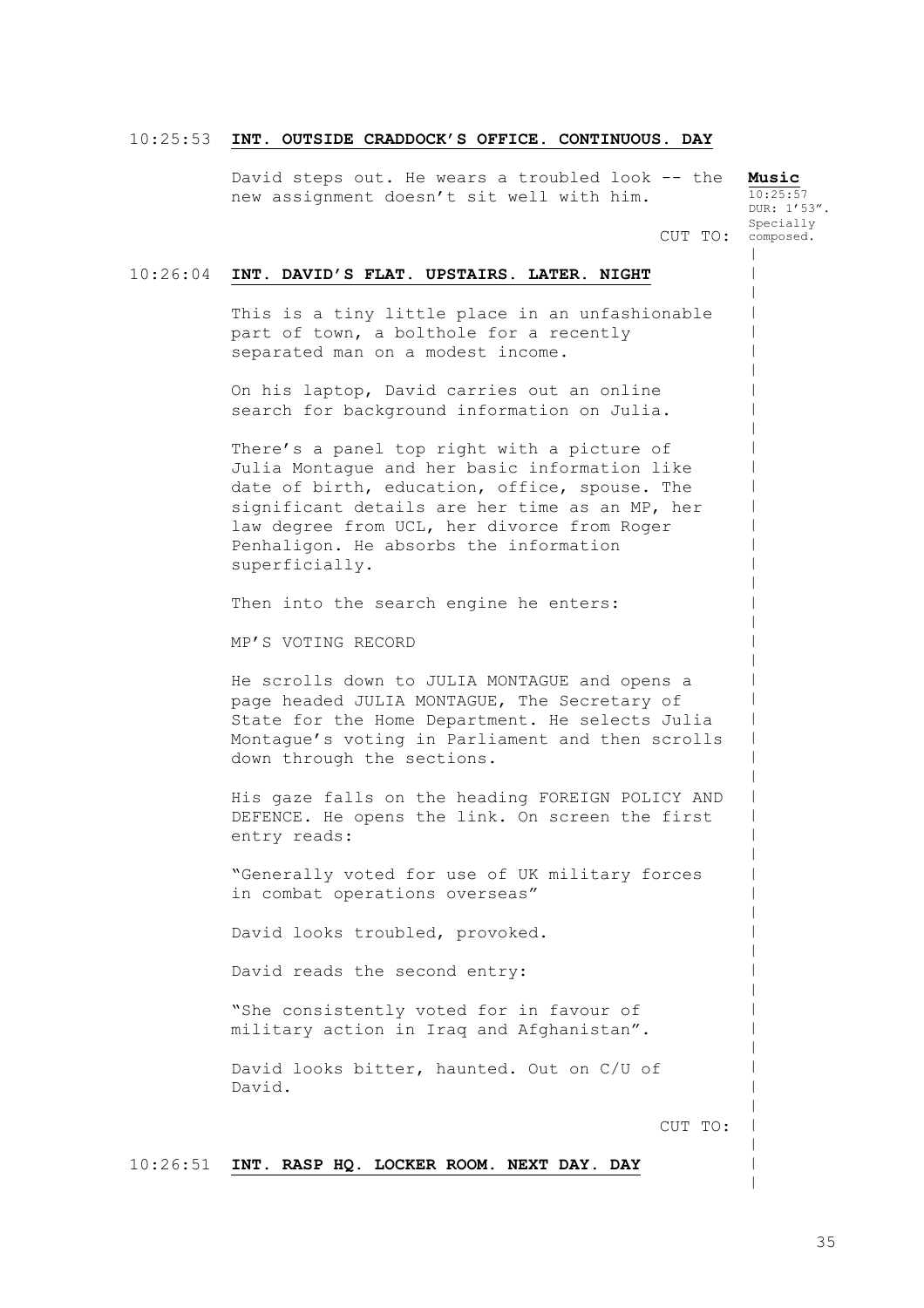#### 10:25:53 **INT. OUTSIDE CRADDOCK'S OFFICE. CONTINUOUS. DAY**

David steps out. He wears a troubled look -- the new assignment doesn't sit well with him.

**Music**  $10:25:57$ DUR: 1'53". Specially composed.

 $\,$  $\,$  $\,$  $\,$  $\,$  $\,$  $\,$  $\,$  $\,$  $\,$  $\,$  $\,$  $\,$  $\,$  $\,$  $\,$  $\,$  $\,$  $\,$  $\,$  $\,$  $\,$  $\,$  $\,$  $\,$  $\,$  $\,$  $\,$  $\,$  $\,$  $\,$  $\,$  $\,$  $\,$  $\,$  $\,$  $\,$  $\,$  $\,$  $\,$  $\,$  $\,$  $\,$  $\,$  $\,$  $\,$  $\,$  $\,$  $\,$ 

CUT TO:

#### 10:26:04 **INT. DAVID'S FLAT. UPSTAIRS. LATER. NIGHT**

This is a tiny little place in an unfashionable part of town, a bolthole for a recently separated man on a modest income.

On his laptop, David carries out an online search for background information on Julia.

There's a panel top right with a picture of Julia Montague and her basic information like date of birth, education, office, spouse. The significant details are her time as an MP, her law degree from UCL, her divorce from Roger Penhaligon. He absorbs the information superficially.

Then into the search engine he enters:

MP'S VOTING RECORD

He scrolls down to JULIA MONTAGUE and opens a page headed JULIA MONTAGUE, The Secretary of State for the Home Department. He selects Julia Montague's voting in Parliament and then scrolls down through the sections.

His gaze falls on the heading FOREIGN POLICY AND DEFENCE. He opens the link. On screen the first entry reads:

"Generally voted for use of UK military forces in combat operations overseas"

David looks troubled, provoked.

David reads the second entry:

"She consistently voted for in favour of military action in Iraq and Afghanistan".

David looks bitter, haunted. Out on C/U of David.

CUT TO:

10:26:51 **INT. RASP HQ. LOCKER ROOM. NEXT DAY. DAY**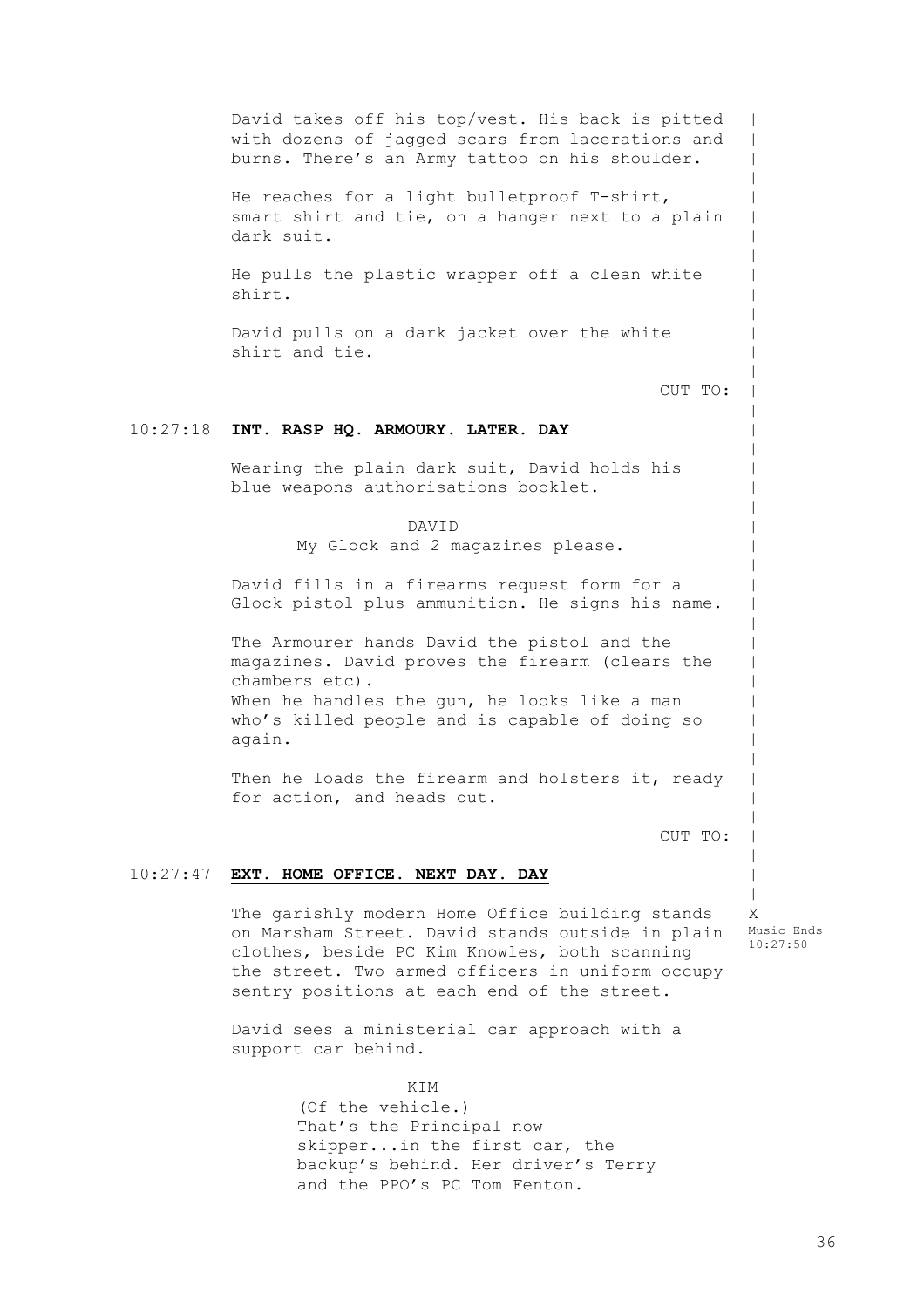10:27:18 **INT. RASP HQ. ARMOURY. LATER. DAY** 10:27:47 **EXT. HOME OFFICE. NEXT DAY. DAY** David takes off his top/vest. His back is pitted with dozens of jagged scars from lacerations and burns. There's an Army tattoo on his shoulder. He reaches for a light bulletproof T-shirt, smart shirt and tie, on a hanger next to a plain dark suit. He pulls the plastic wrapper off a clean white shirt. David pulls on a dark jacket over the white shirt and tie. CUT TO: Wearing the plain dark suit, David holds his blue weapons authorisations booklet. DAVID My Glock and 2 magazines please. David fills in a firearms request form for a Glock pistol plus ammunition. He signs his name. The Armourer hands David the pistol and the magazines. David proves the firearm (clears the chambers etc). When he handles the gun, he looks like a man who's killed people and is capable of doing so again. Then he loads the firearm and holsters it, ready for action, and heads out. CUT TO: The garishly modern Home Office building stands on Marsham Street. David stands outside in plain clothes, beside PC Kim Knowles, both scanning the street. Two armed officers in uniform occupy sentry positions at each end of the street.

X Music Ends 10:27:50

 $\,$  $\,$  $\,$  $\,$  $\,$  $\,$  $\,$  $\,$  $\,$  $\,$  $\,$  $\,$  $\,$  $\,$  $\,$  $\,$  $\,$  $\,$  $\,$  $\,$  $\,$  $\,$  $\,$  $\,$  $\,$  $\,$  $\,$  $\,$  $\,$  $\,$  $\,$  $\,$  $\,$  $\,$  $\,$  $\,$  $\,$  $\,$  $\,$  $\,$  $\,$ 

David sees a ministerial car approach with a support car behind.

> KTM (Of the vehicle.) That's the Principal now skipper...in the first car, the backup's behind. Her driver's Terry and the PPO's PC Tom Fenton.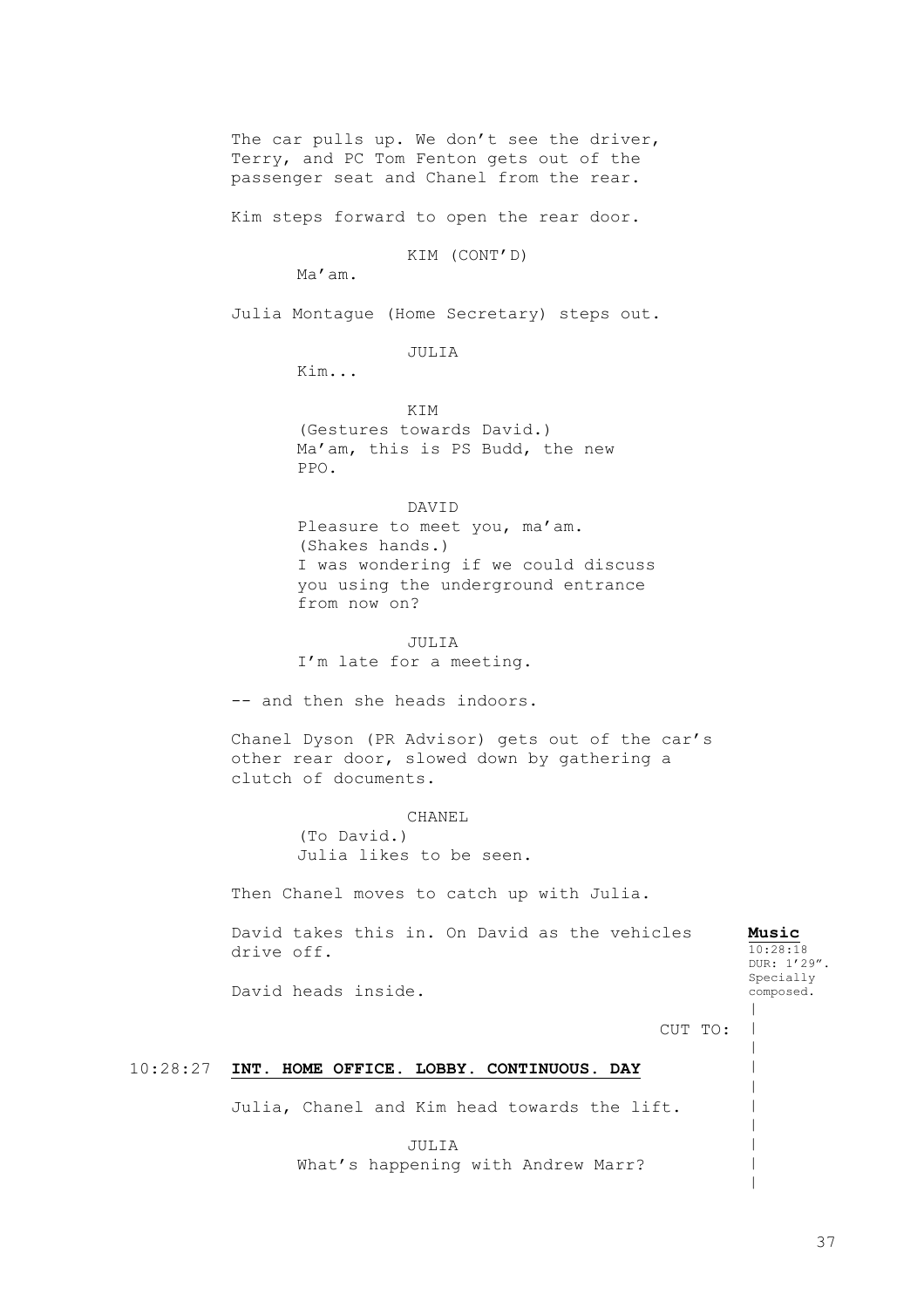The car pulls up. We don't see the driver, Terry, and PC Tom Fenton gets out of the passenger seat and Chanel from the rear.

Kim steps forward to open the rear door.

KIM (CONT'D)

Ma'am.

Julia Montague (Home Secretary) steps out.

JULIA

Kim...

**KTM** (Gestures towards David.) Ma'am, this is PS Budd, the new PPO.

DAVID Pleasure to meet you, ma'am. (Shakes hands.) I was wondering if we could discuss you using the underground entrance from now on?

JULIA I'm late for a meeting.

-- and then she heads indoors.

Chanel Dyson (PR Advisor) gets out of the car's other rear door, slowed down by gathering a clutch of documents.

> CHANEL (To David.) Julia likes to be seen.

Then Chanel moves to catch up with Julia.

David takes this in. On David as the vehicles drive off.

**Music** 10:28:18 DUR: 1'29". Specially composed.

| |  $\,$  $\,$  $\,$  $\,$  $\,$ | | |

David heads inside.

CUT TO:

# 10:28:27 **INT. HOME OFFICE. LOBBY. CONTINUOUS. DAY**

Julia, Chanel and Kim head towards the lift.

JULIA What's happening with Andrew Marr?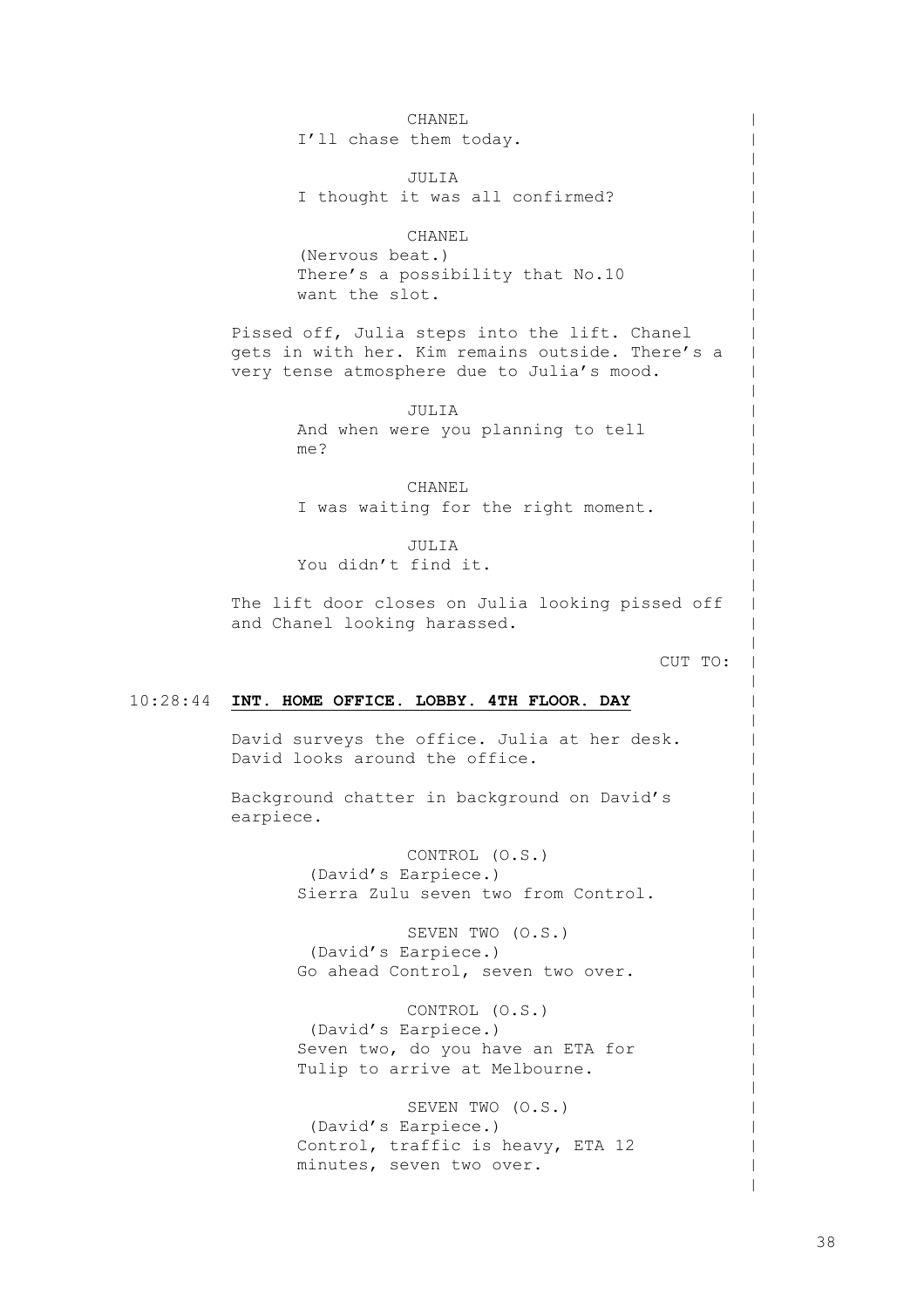10:28:44 **INT. HOME OFFICE. LOBBY. 4TH FLOOR. DAY** CHANEL I'll chase them today. JULIA I thought it was all confirmed? CHANEL (Nervous beat.) There's a possibility that No.10 want the slot. Pissed off, Julia steps into the lift. Chanel gets in with her. Kim remains outside. There's a very tense atmosphere due to Julia's mood. JULIA And when were you planning to tell me? CHANEL I was waiting for the right moment. JULIA You didn't find it. The lift door closes on Julia looking pissed off and Chanel looking harassed. CUT TO: David surveys the office. Julia at her desk. David looks around the office. Background chatter in background on David's earpiece. CONTROL (O.S.) (David's Earpiece.) Sierra Zulu seven two from Control. SEVEN TWO (O.S.) (David's Earpiece.) Go ahead Control, seven two over. CONTROL (O.S.) (David's Earpiece.) Seven two, do you have an ETA for

> SEVEN TWO (O.S.) (David's Earpiece.) Control, traffic is heavy, ETA 12 minutes, seven two over.

Tulip to arrive at Melbourne.

 $\,$  $\,$  $\,$  $\,$  $\,$  $\,$  $\,$  $\,$  $\,$  $\,$  $\,$  $\,$  $\,$  $\,$  $\,$  $\,$  $\,$  $\,$  $\,$  $\,$  $\,$  $\,$  $\,$  $\,$  $\,$  $\,$  $\,$  $\,$  $\,$  $\,$  $\,$  $\,$  $\,$  $\,$  $\,$  $\,$  $\,$  $\,$  $\,$  $\,$  $\,$  $\,$  $\,$  $\,$  $\,$  $\,$  $\,$  $\,$  $\,$  $\,$  $\,$  $\,$  $\,$  $\,$ |  $\,$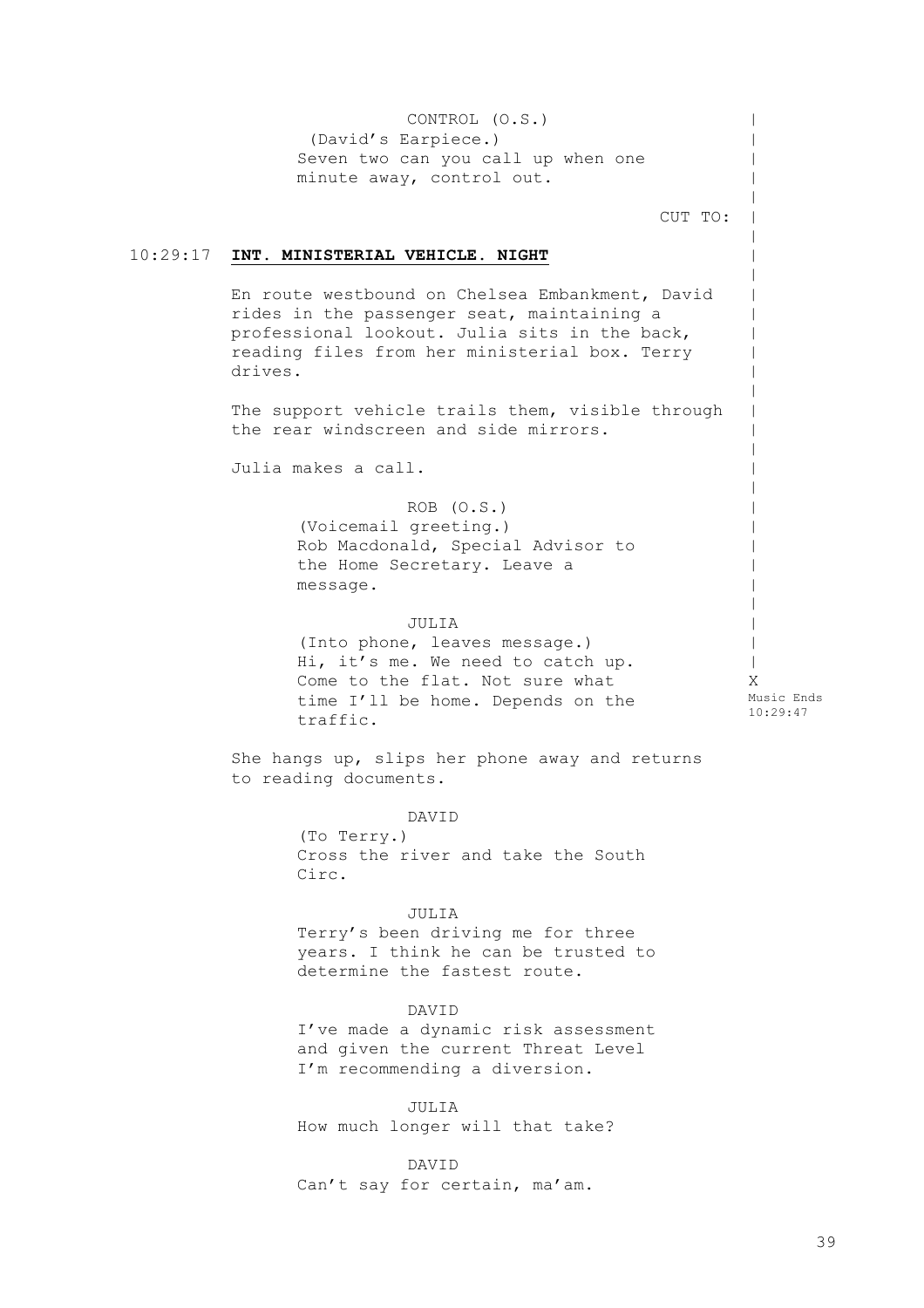10:29:17 **INT. MINISTERIAL VEHICLE. NIGHT** CONTROL (O.S.) (David's Earpiece.) Seven two can you call up when one minute away, control out. CUT TO: En route westbound on Chelsea Embankment, David rides in the passenger seat, maintaining a professional lookout. Julia sits in the back, reading files from her ministerial box. Terry drives. The support vehicle trails them, visible through the rear windscreen and side mirrors. Julia makes a call. ROB (O.S.) (Voicemail greeting.) Rob Macdonald, Special Advisor to the Home Secretary. Leave a message. JULIA (Into phone, leaves message.) Hi, it's me. We need to catch up. Come to the flat. Not sure what time I'll be home. Depends on the traffic. She hangs up, slips her phone away and returns to reading documents. DAVID (To Terry.) Cross the river and take the South Circ. JULIA Terry's been driving me for three years. I think he can be trusted to determine the fastest route. DAVID I've made a dynamic risk assessment and given the current Threat Level I'm recommending a diversion. JULIA How much longer will that take? DAVID Can't say for certain, ma'am.  $\,$  $\,$  $\,$  $\,$  $\,$  $\,$  $\,$  $\,$  $\,$  $\,$  $\,$  $\,$  $\,$  $\,$  $\,$  $\,$  $\,$  $\,$  $\,$  $\,$  $\,$  $\,$  $\,$  $\,$  $\,$  $\,$  $\,$  $\,$  $\|$ X Music Ends 10:29:47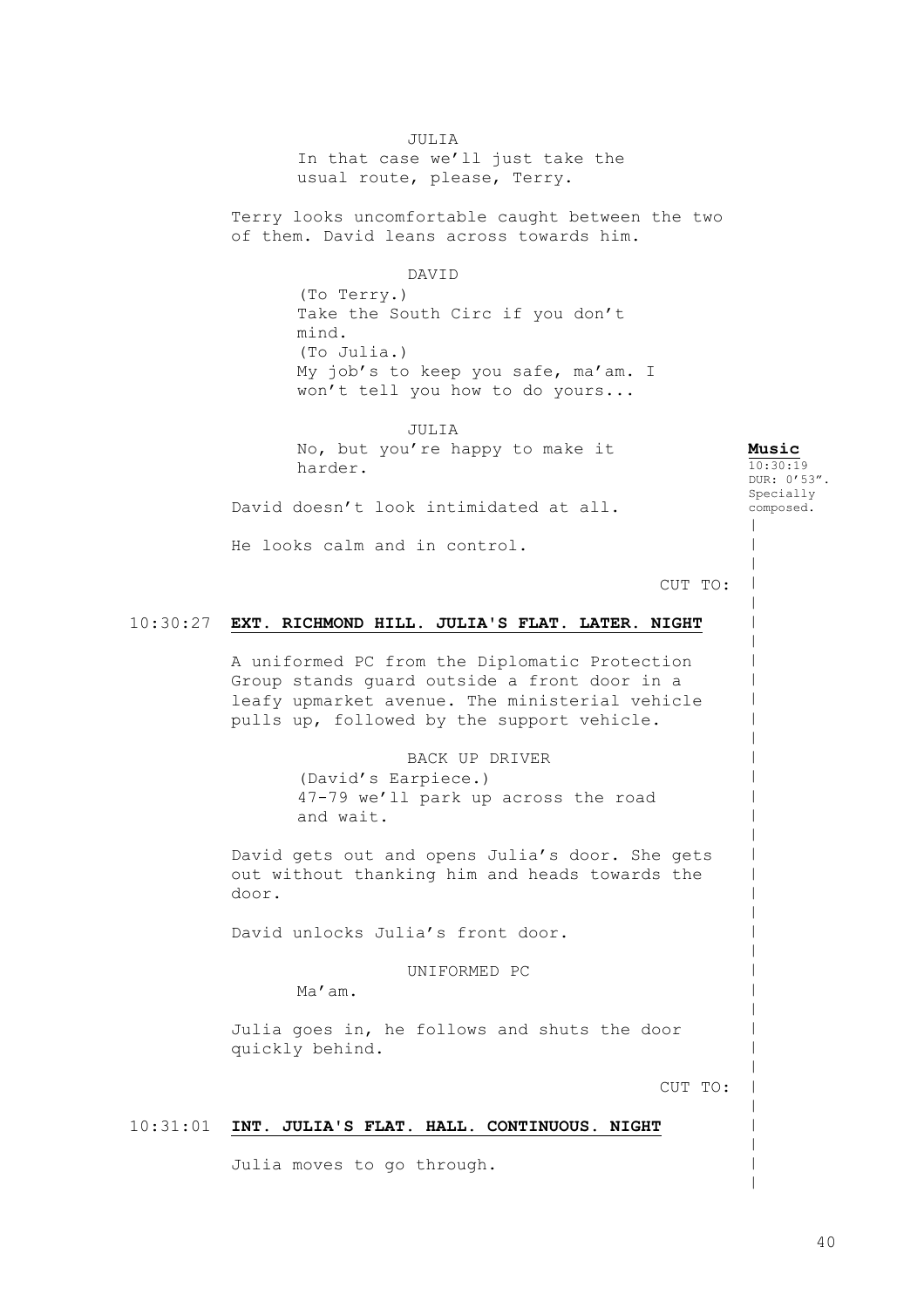JULIA

In that case we'll just take the usual route, please, Terry.

Terry looks uncomfortable caught between the two of them. David leans across towards him.

# DAVID

(To Terry.) Take the South Circ if you don't mind. (To Julia.) My job's to keep you safe, ma'am. I won't tell you how to do yours...

JULIA No, but you're happy to make it harder. David doesn't look intimidated at all.

**Music**  $10:30:19$ DUR: 0'53". Specially composed.

 $\,$  $\,$  $\,$  $\,$  $\,$  $\,$  $\,$  $\,$  $\,$  $\,$  $\,$  $\,$  $\,$  $\,$  $\,$  $\,$  $\,$  $\,$  $\,$  $\,$  $\,$  $\,$  $\,$  $\,$  $\,$  $\,$  $\,$  $\,$  $\,$  $\,$  $\,$  $\,$ | | |

He looks calm and in control.

# CUT TO:

# 10:30:27 **EXT. RICHMOND HILL. JULIA'S FLAT. LATER. NIGHT**

A uniformed PC from the Diplomatic Protection Group stands guard outside a front door in a leafy upmarket avenue. The ministerial vehicle pulls up, followed by the support vehicle.

> BACK UP DRIVER (David's Earpiece.) 47-79 we'll park up across the road and wait.

David gets out and opens Julia's door. She gets out without thanking him and heads towards the door.

David unlocks Julia's front door.

UNIFORMED PC

Ma'am.

Julia goes in, he follows and shuts the door quickly behind.

CUT TO:

# 10:31:01 **INT. JULIA'S FLAT. HALL. CONTINUOUS. NIGHT**

Julia moves to go through.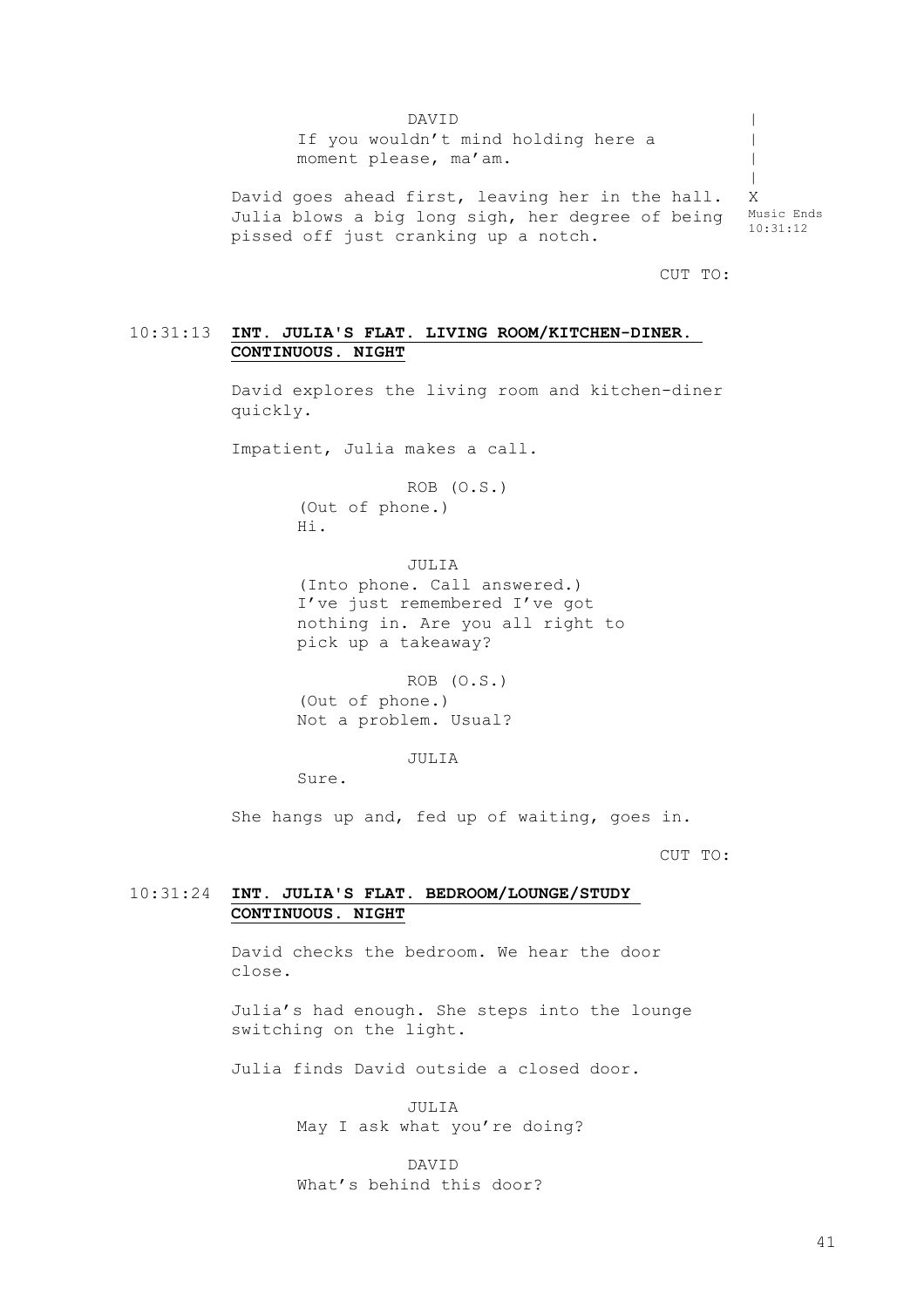DAVID If you wouldn't mind holding here a moment please, ma'am. David goes ahead first, leaving her in the hall. Julia blows a big long sigh, her degree of being pissed off just cranking up a notch.  $\,$  $\perp$  $\blacksquare$ | X Music Ends 10:31:12

CUT TO:

# 10:31:13 **INT. JULIA'S FLAT. LIVING ROOM/KITCHEN-DINER. CONTINUOUS. NIGHT**

David explores the living room and kitchen-diner quickly.

Impatient, Julia makes a call.

ROB (O.S.) (Out of phone.) Hi.

JULIA (Into phone. Call answered.) I've just remembered I've got nothing in. Are you all right to

pick up a takeaway? ROB (O.S.)

(Out of phone.) Not a problem. Usual?

JULIA

 $S$  $nR$ 

She hangs up and, fed up of waiting, goes in.

CUT TO:

# 10:31:24 **INT. JULIA'S FLAT. BEDROOM/LOUNGE/STUDY CONTINUOUS. NIGHT**

David checks the bedroom. We hear the door close.

Julia's had enough. She steps into the lounge switching on the light.

Julia finds David outside a closed door.

JULIA May I ask what you're doing?

DAVID What's behind this door?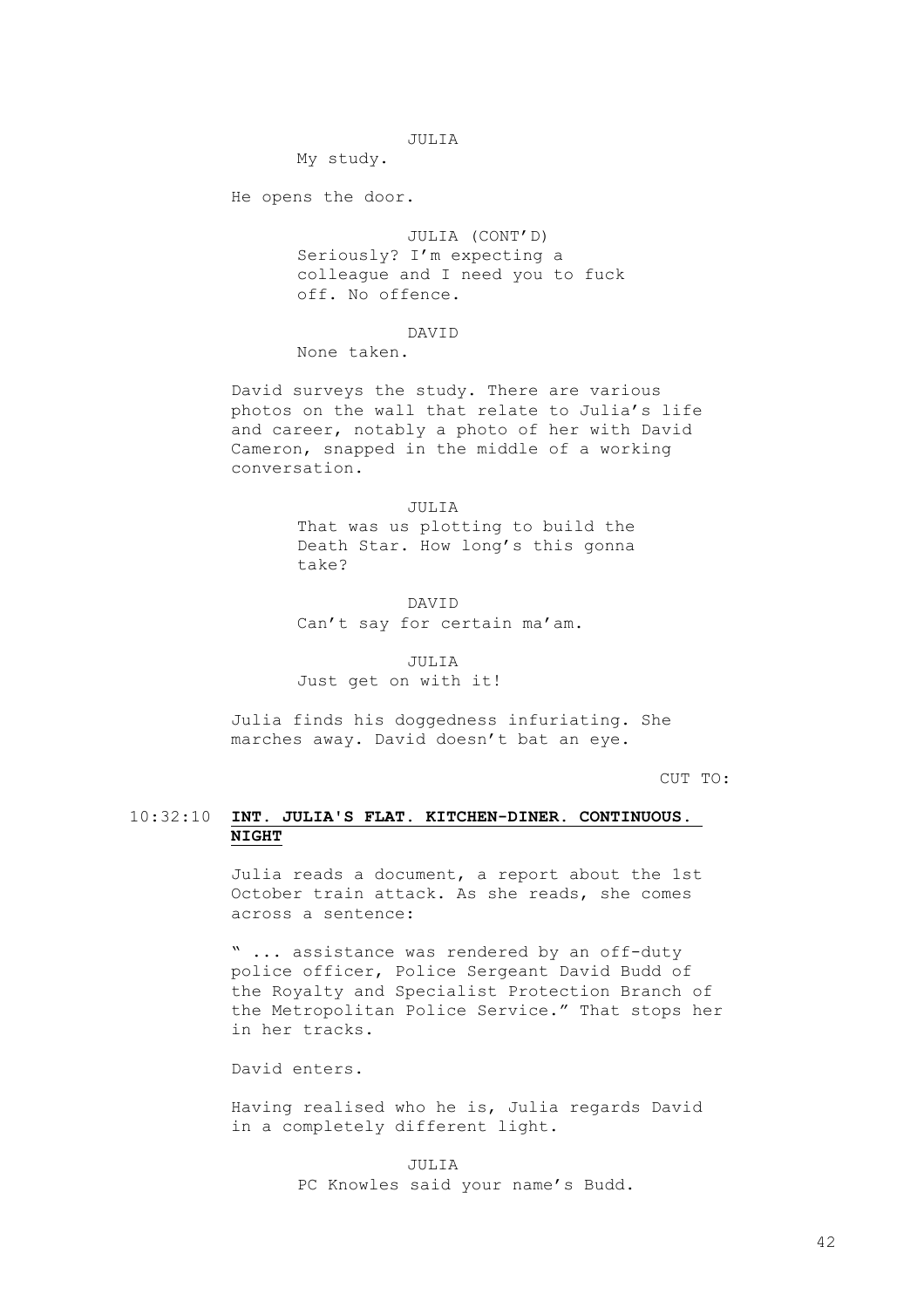# JULIA

My study.

He opens the door.

JULIA (CONT'D) Seriously? I'm expecting a colleague and I need you to fuck off. No offence.

# DAVID

None taken.

David surveys the study. There are various photos on the wall that relate to Julia's life and career, notably a photo of her with David Cameron, snapped in the middle of a working conversation.

JULIA

That was us plotting to build the Death Star. How long's this gonna take?

DAVID Can't say for certain ma'am.

JULIA Just get on with it!

Julia finds his doggedness infuriating. She marches away. David doesn't bat an eye.

CUT TO:

# 10:32:10 **INT. JULIA'S FLAT. KITCHEN-DINER. CONTINUOUS. NIGHT**

Julia reads a document, a report about the 1st October train attack. As she reads, she comes across a sentence:

" ... assistance was rendered by an off-duty police officer, Police Sergeant David Budd of the Royalty and Specialist Protection Branch of the Metropolitan Police Service." That stops her in her tracks.

David enters.

Having realised who he is, Julia regards David in a completely different light.

> JULIA PC Knowles said your name's Budd.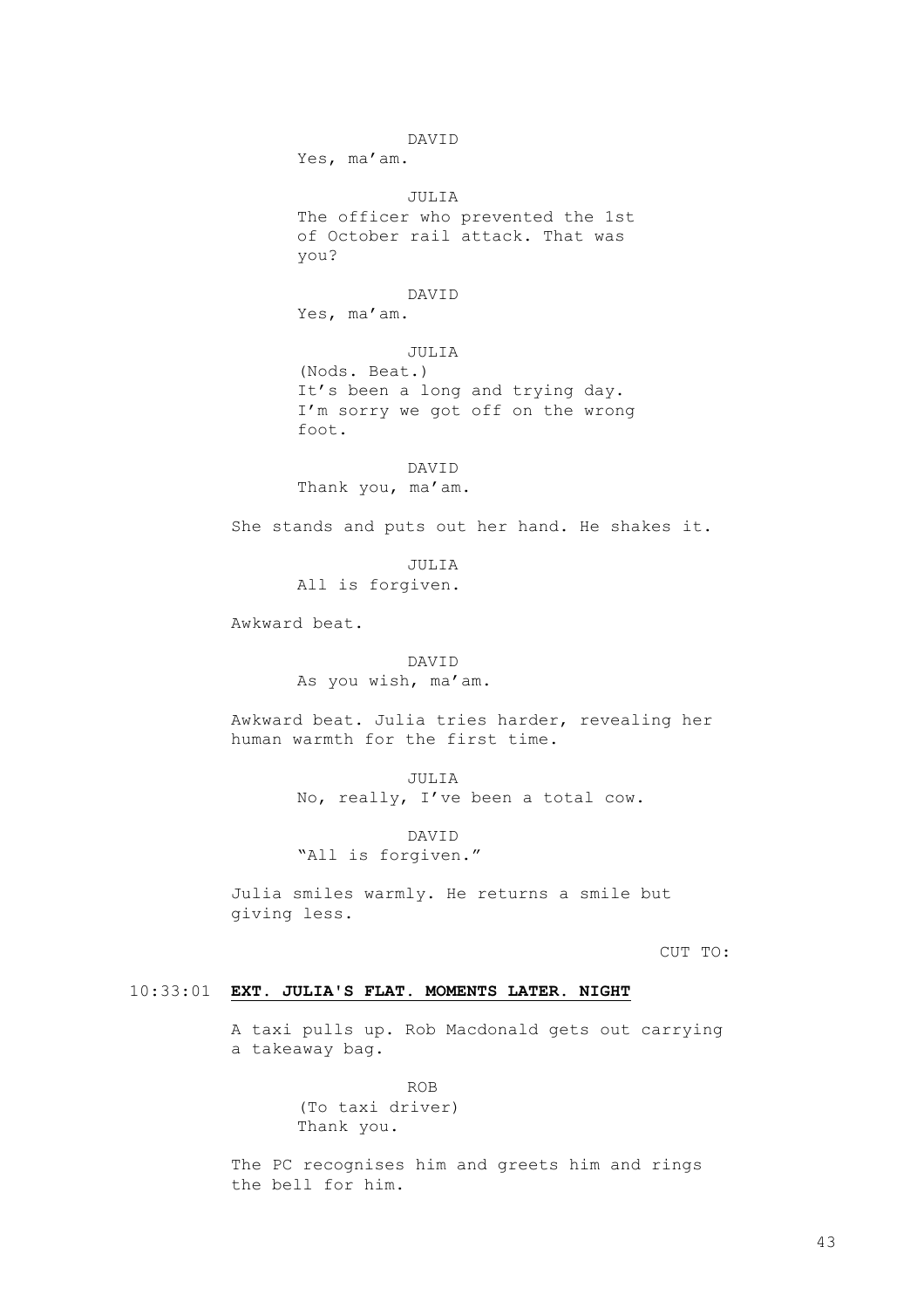DAVID Yes, ma'am. JULIA The officer who prevented the 1st of October rail attack. That was you? DAVID Yes, ma'am. JULIA (Nods. Beat.) It's been a long and trying day. I'm sorry we got off on the wrong foot. DAVID Thank you, ma'am. She stands and puts out her hand. He shakes it. JULIA All is forgiven. Awkward beat. DAVID As you wish, ma'am. Awkward beat. Julia tries harder, revealing her human warmth for the first time.

> JULIA No, really, I've been a total cow.

DAVID "All is forgiven."

Julia smiles warmly. He returns a smile but giving less.

CUT TO:

# 10:33:01 **EXT. JULIA'S FLAT. MOMENTS LATER. NIGHT**

A taxi pulls up. Rob Macdonald gets out carrying a takeaway bag.

> ROB (To taxi driver) Thank you.

The PC recognises him and greets him and rings the bell for him.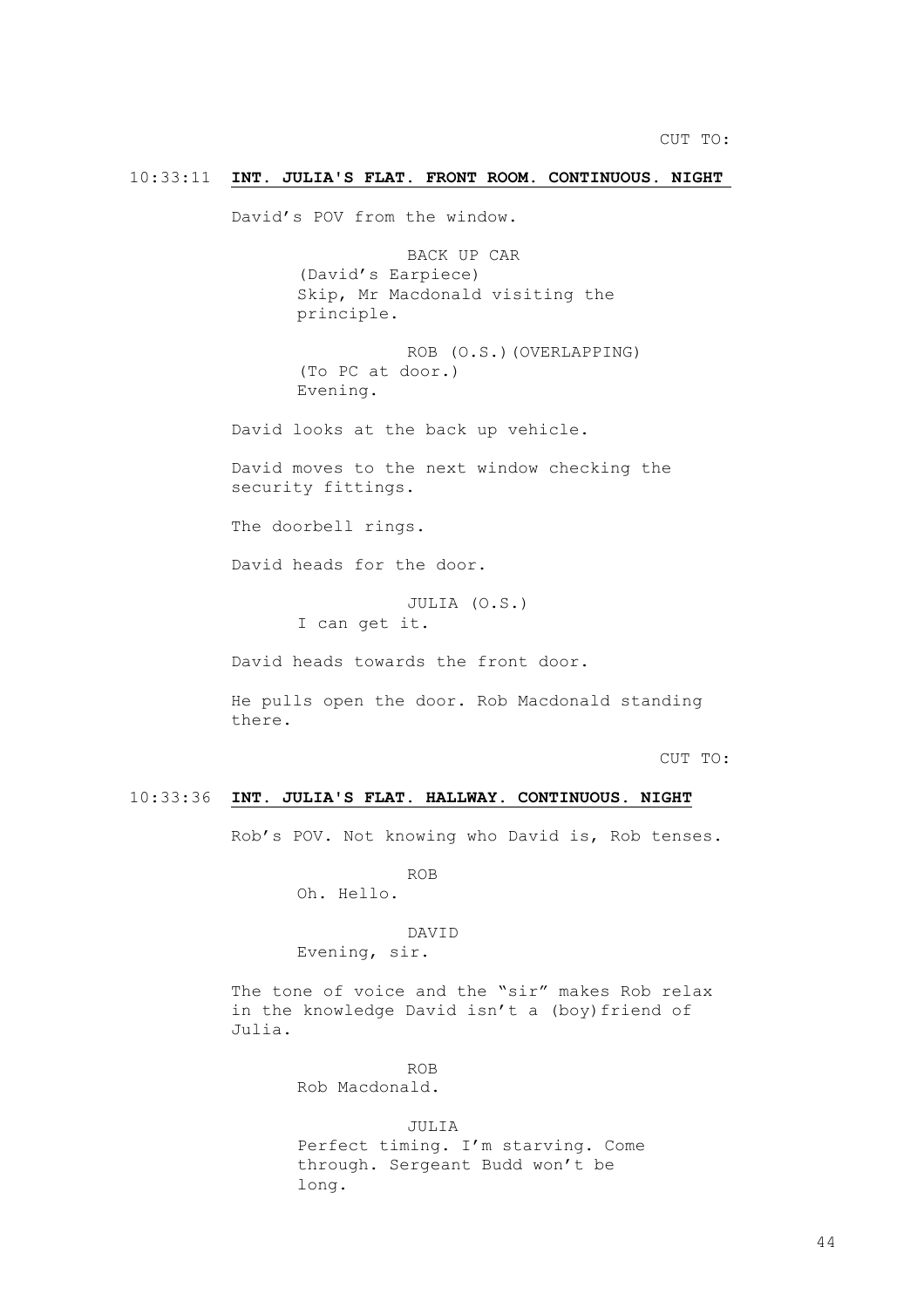# 10:33:11 **INT. JULIA'S FLAT. FRONT ROOM. CONTINUOUS. NIGHT**

David's POV from the window.

BACK UP CAR (David's Earpiece) Skip, Mr Macdonald visiting the principle.

ROB (O.S.)(OVERLAPPING) (To PC at door.) Evening.

David looks at the back up vehicle.

David moves to the next window checking the security fittings.

The doorbell rings.

David heads for the door.

JULIA (O.S.) I can get it.

David heads towards the front door.

He pulls open the door. Rob Macdonald standing there.

CUT TO:

# 10:33:36 **INT. JULIA'S FLAT. HALLWAY. CONTINUOUS. NIGHT**

Rob's POV. Not knowing who David is, Rob tenses.

ROB

Oh. Hello.

# DAVID

Evening, sir.

The tone of voice and the "sir" makes Rob relax in the knowledge David isn't a (boy) friend of Julia.

> ROB Rob Macdonald.

JULIA Perfect timing. I'm starving. Come through. Sergeant Budd won't be long.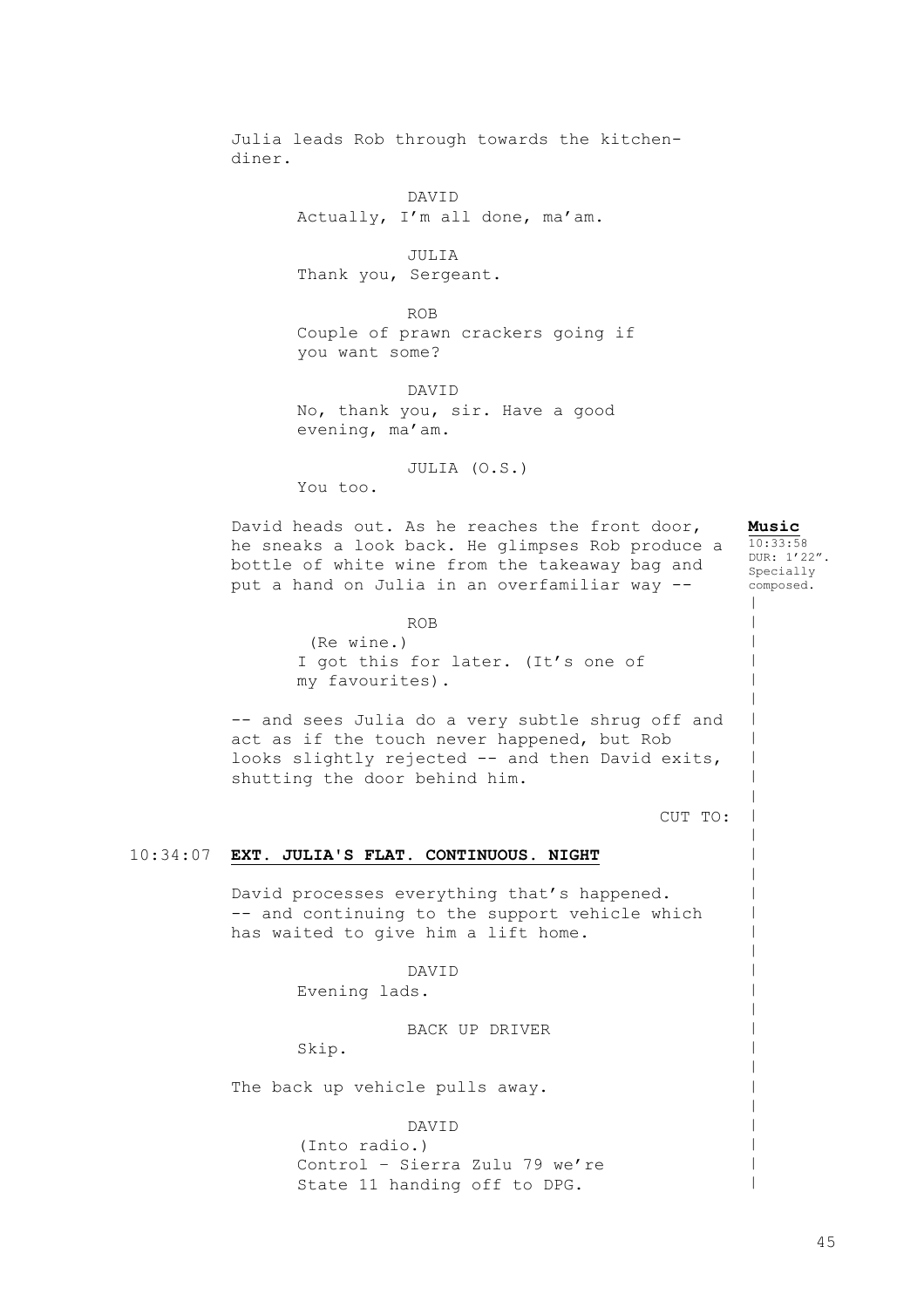10:34:07 **EXT. JULIA'S FLAT. CONTINUOUS. NIGHT** Julia leads Rob through towards the kitchendiner. DAVID Actually, I'm all done, ma'am. JULIA Thank you, Sergeant. ROB Couple of prawn crackers going if you want some? DAVID No, thank you, sir. Have a good evening, ma'am. JULIA (O.S.) You too. David heads out. As he reaches the front door, he sneaks a look back. He glimpses Rob produce a bottle of white wine from the takeaway bag and put a hand on Julia in an overfamiliar way -- ROB (Re wine.) I got this for later. (It's one of my favourites). -- and sees Julia do a very subtle shrug off and act as if the touch never happened, but Rob looks slightly rejected -- and then David exits, shutting the door behind him. CUT TO: David processes everything that's happened. -- and continuing to the support vehicle which has waited to give him a lift home. DAVID Evening lads. BACK UP DRIVER Skip. The back up vehicle pulls away. DAVID (Into radio.) Control – Sierra Zulu 79 we're State 11 handing off to DPG. **Music**  $10:33:58$ DUR: 1'22". Specially composed.  $\,$  $\,$  $\,$  $\,$  $\,$  $\,$  $\,$  $\,$  $\,$  $\,$  $\,$  $\,$  $\,$  $\,$  $\,$  $\,$  $\,$  $\,$  $\,$  $\,$  $\,$  $\,$  $\,$  $\,$  $\,$  $\,$  $\,$  $\,$  $\,$  $\,$ |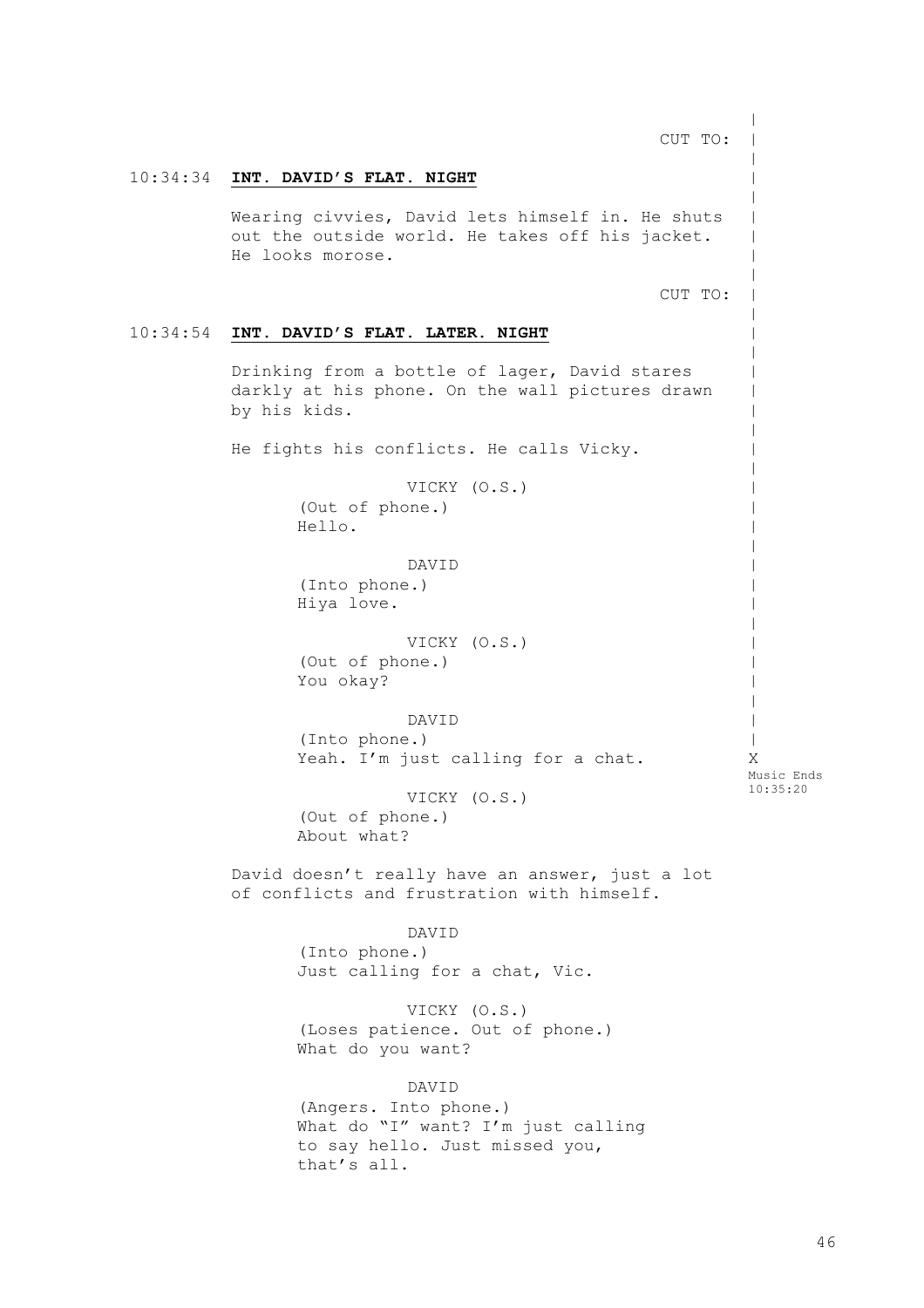10:34:34 **INT. DAVID'S FLAT. NIGHT** 10:34:54 **INT. DAVID'S FLAT. LATER. NIGHT** CUT TO: Wearing civvies, David lets himself in. He shuts out the outside world. He takes off his jacket. He looks morose. CUT TO: Drinking from a bottle of lager, David stares darkly at his phone. On the wall pictures drawn by his kids. He fights his conflicts. He calls Vicky. VICKY (O.S.) (Out of phone.) Hello. DAVID (Into phone.) Hiya love. VICKY (O.S.) (Out of phone.) You okay? DAVID (Into phone.) Yeah. I'm just calling for a chat. VICKY (O.S.) (Out of phone.) About what? David doesn't really have an answer, just a lot of conflicts and frustration with himself. DAVID (Into phone.) Just calling for a chat, Vic. VICKY (O.S.) (Loses patience. Out of phone.) What do you want? DAVID (Angers. Into phone.) What do "I" want? I'm just calling to say hello. Just missed you, that's all.  $\,$  $\,$  $\,$  $\,$  $\,$  $\,$  $\,$  $\,$  $\,$  $\,$  $\,$  $\,$  $\,$  $\,$  $\,$  $\,$  $\,$  $\,$  $\,$  $\,$  $\,$  $\,$  $\,$  $\,$  $\,$  $\,$  $\,$  $\,$  $\,$  $\,$  $\,$  $\,$ | X Music Ends 10:35:20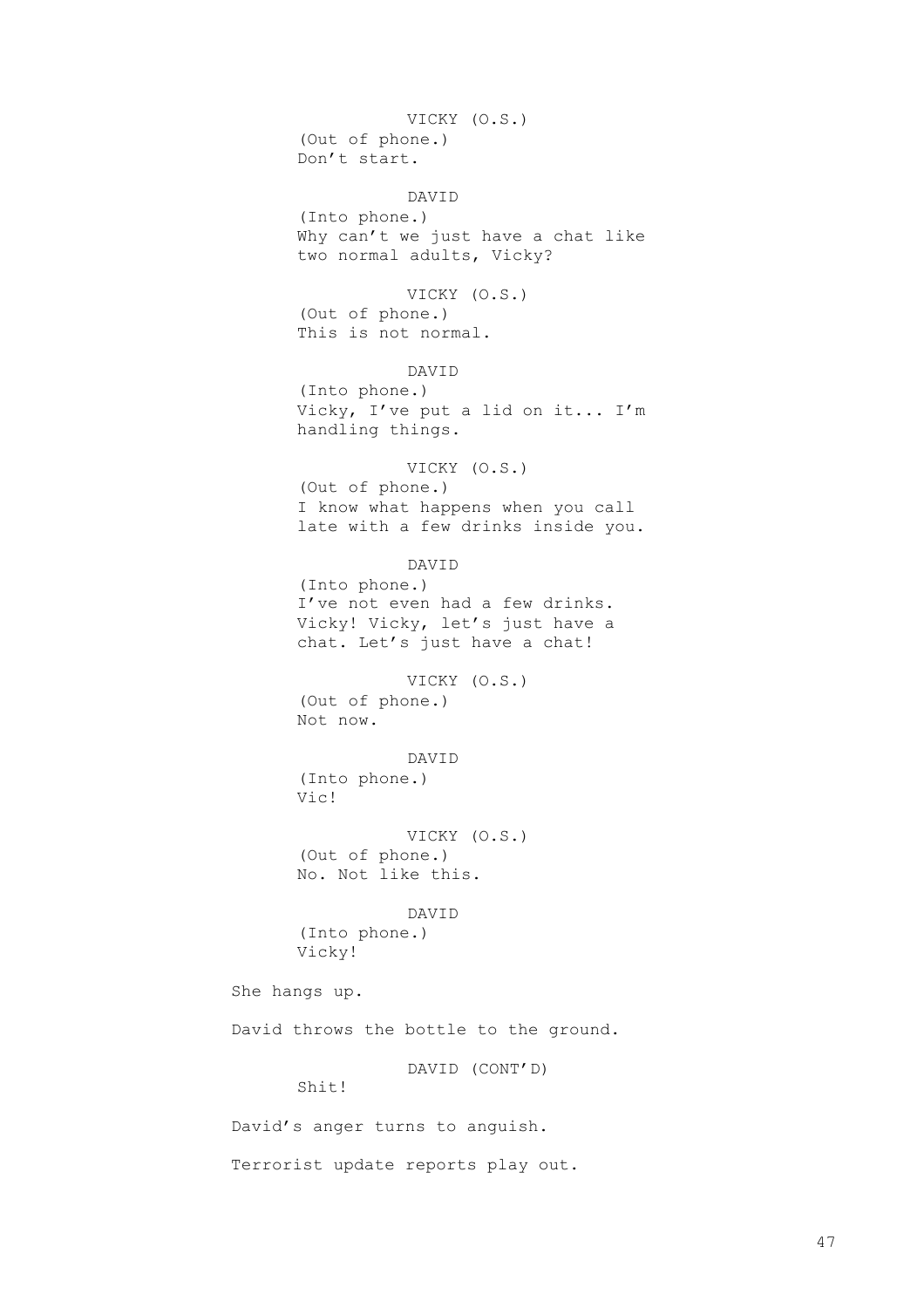VICKY (O.S.) (Out of phone.) Don't start.

DAVID

(Into phone.) Why can't we just have a chat like two normal adults, Vicky?

VICKY (O.S.) (Out of phone.) This is not normal.

DAVID (Into phone.) Vicky, I've put a lid on it... I'm handling things.

VICKY (O.S.) (Out of phone.) I know what happens when you call late with a few drinks inside you.

DAVID (Into phone.) I've not even had a few drinks. Vicky! Vicky, let's just have a chat. Let's just have a chat!

VICKY (O.S.) (Out of phone.) Not now.

DAVID (Into phone.) Vic!

VICKY (O.S.) (Out of phone.) No. Not like this.

DAVID (Into phone.) Vicky!

She hangs up.

David throws the bottle to the ground.

DAVID (CONT'D)

Shit!

David's anger turns to anguish.

Terrorist update reports play out.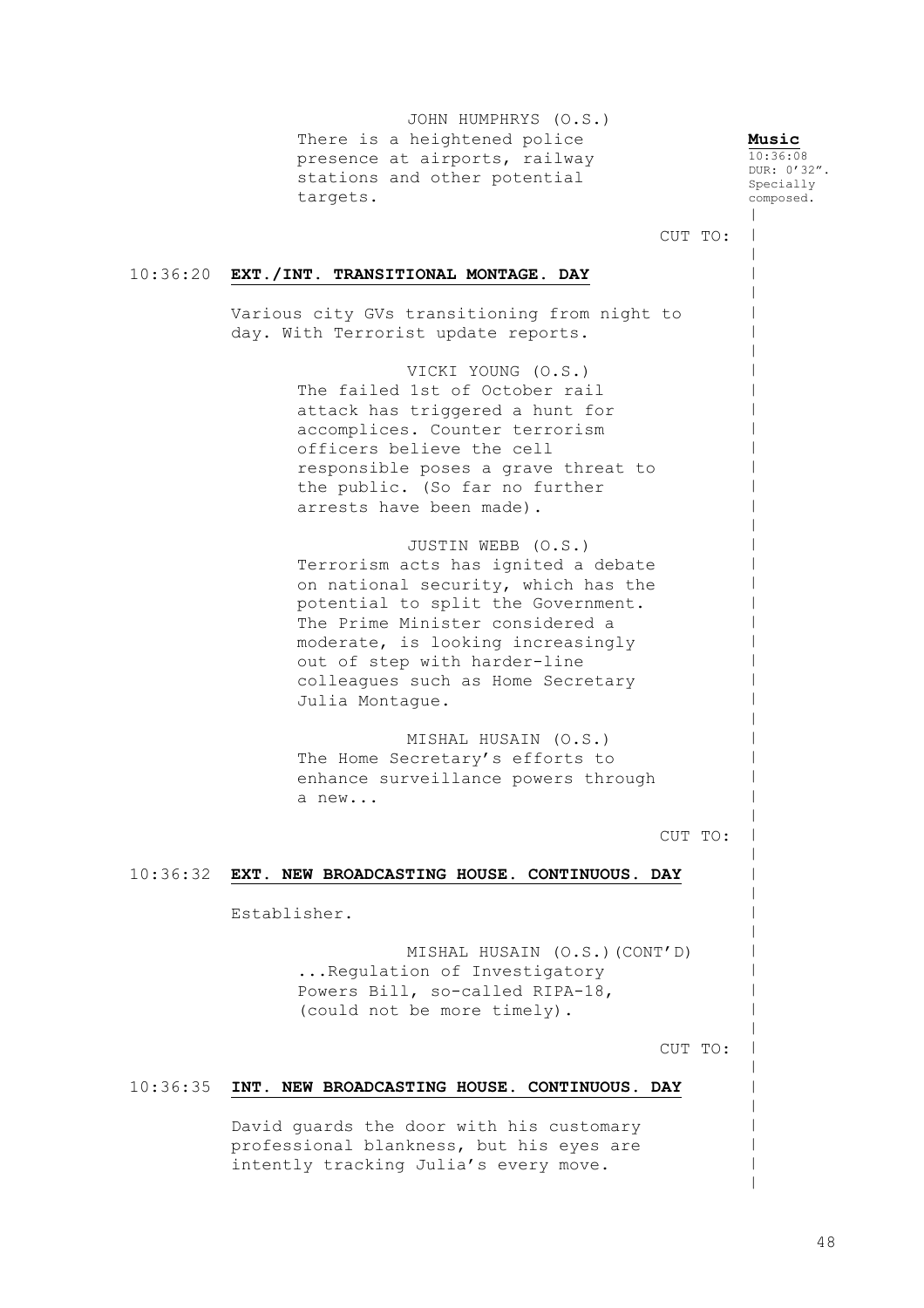JOHN HUMPHRYS (O.S.) There is a heightened police presence at airports, railway stations and other potential targets.

**Music** 10:36:08 DUR: 0'32". Specially composed.  $\,$ 

|  $\,$  $\,$  $\,$  $\,$  $\,$  $\,$  $\,$  $\,$  $\,$  $\,$  $\,$  $\,$  $\,$  $\,$  $\,$  $\,$  $\,$  $\,$  $\,$  $\,$  $\,$  $\,$  $\,$  $\,$  $\,$  $\,$  $\,$  $\,$  $\,$  $\,$  $\,$  $\,$  $\,$  $\,$  $\,$  $\,$  $\,$  $\,$  $\,$  $\,$  $\,$  $\,$  $\,$  $\,$  $\,$  $\,$ |  $\,$  $\,$ 

CUT TO:

# 10:36:20 **EXT./INT. TRANSITIONAL MONTAGE. DAY**

Various city GVs transitioning from night to day. With Terrorist update reports.

> VICKI YOUNG (O.S.) The failed 1st of October rail attack has triggered a hunt for accomplices. Counter terrorism officers believe the cell responsible poses a grave threat to the public. (So far no further arrests have been made).

> JUSTIN WEBB (O.S.) Terrorism acts has ignited a debate on national security, which has the potential to split the Government. The Prime Minister considered a moderate, is looking increasingly out of step with harder-line colleagues such as Home Secretary Julia Montague.

> MISHAL HUSAIN (O.S.) The Home Secretary's efforts to enhance surveillance powers through a new...

> > CUT TO:

# 10:36:32 **EXT. NEW BROADCASTING HOUSE. CONTINUOUS. DAY**

Establisher.

MISHAL HUSAIN (O.S.)(CONT'D) ...Regulation of Investigatory Powers Bill, so-called RIPA-18, (could not be more timely).

CUT TO:

# 10:36:35 **INT. NEW BROADCASTING HOUSE. CONTINUOUS. DAY**

David guards the door with his customary professional blankness, but his eyes are intently tracking Julia's every move.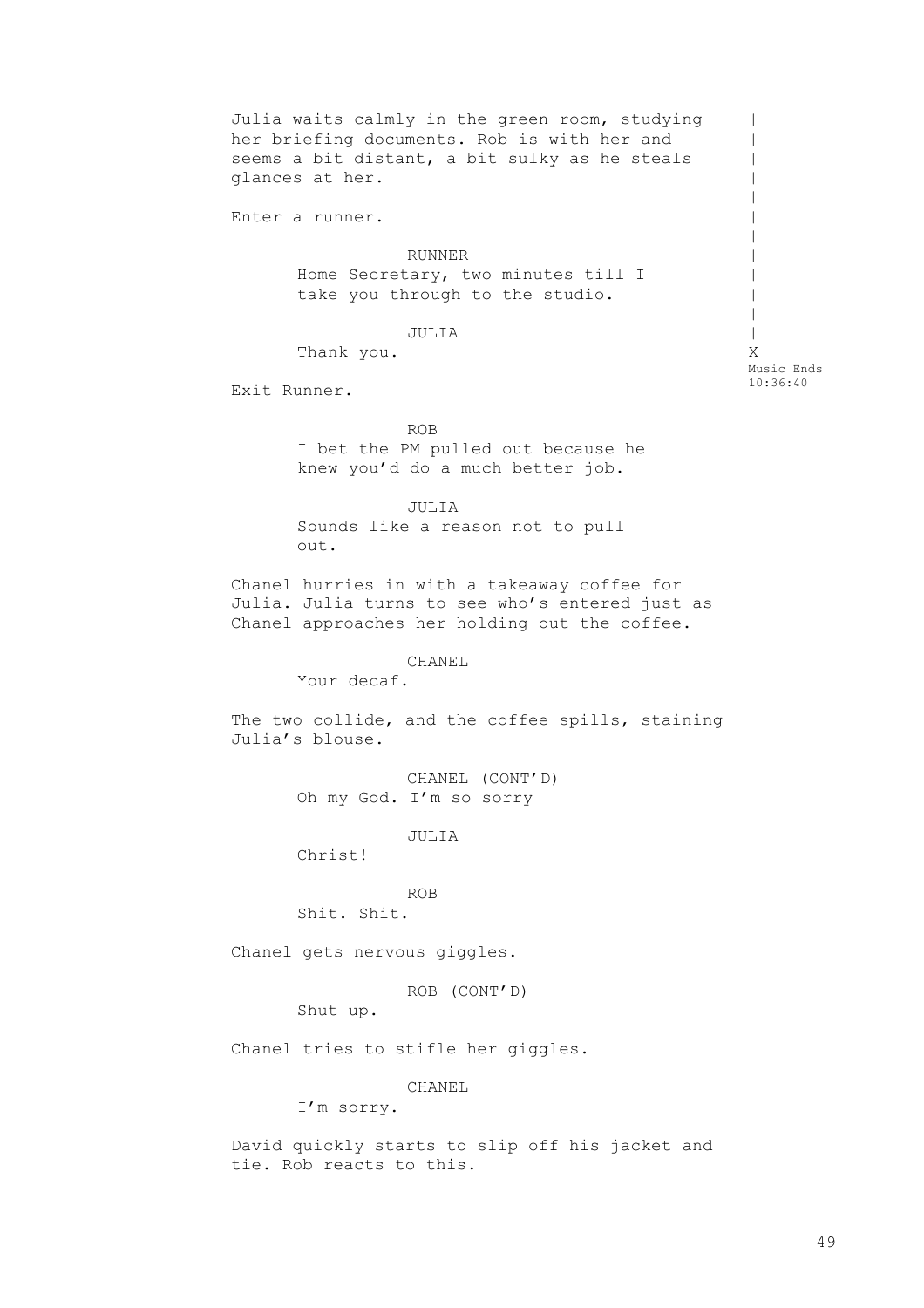Julia waits calmly in the green room, studying her briefing documents. Rob is with her and seems a bit distant, a bit sulky as he steals glances at her. Enter a runner. RUNNER Home Secretary, two minutes till I take you through to the studio. JULIA Thank you. Exit Runner.  $\|$  $\perp$  $\blacksquare$ | |  $\,$  $\,$  $\,$ | |  $\,$ | X Music Ends 10:36:40

> ROB I bet the PM pulled out because he knew you'd do a much better job.

JULIA Sounds like a reason not to pull out.

Chanel hurries in with a takeaway coffee for Julia. Julia turns to see who's entered just as Chanel approaches her holding out the coffee.

CHANEL

Your decaf.

The two collide, and the coffee spills, staining Julia's blouse.

> CHANEL (CONT'D) Oh my God. I'm so sorry

> > JULIA

Christ!

ROB

Shit. Shit.

Chanel gets nervous giggles.

ROB (CONT'D)

Shut up.

Chanel tries to stifle her giggles.

CHANEL

I'm sorry.

David quickly starts to slip off his jacket and tie. Rob reacts to this.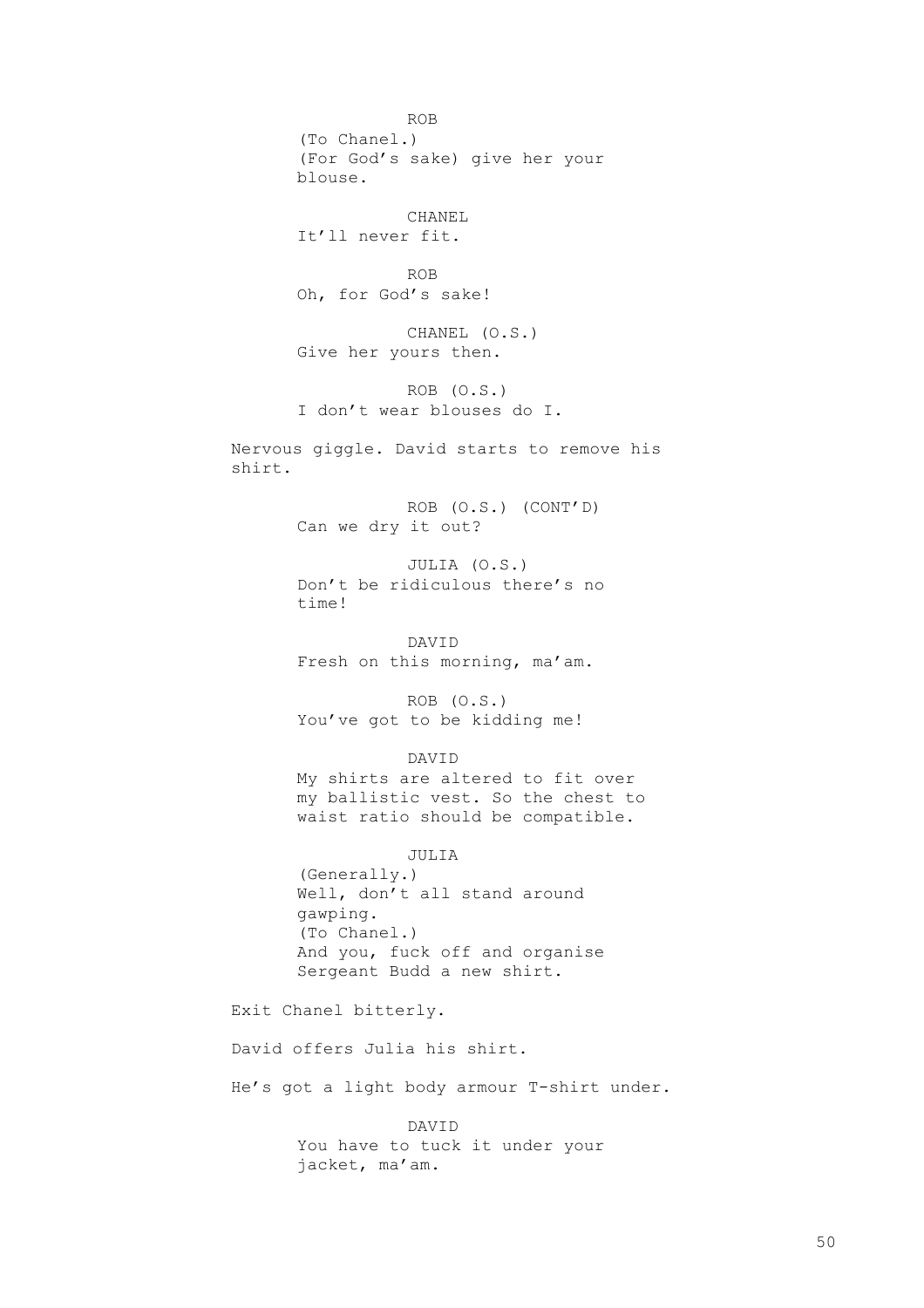ROB (To Chanel.) (For God's sake) give her your blouse. CHANEL It'll never fit. ROB Oh, for God's sake! CHANEL (O.S.) Give her yours then. ROB (O.S.) I don't wear blouses do I. Nervous giggle. David starts to remove his shirt. ROB (O.S.) (CONT'D) Can we dry it out? JULIA (O.S.) Don't be ridiculous there's no time! DAVID Fresh on this morning, ma'am. ROB (O.S.) You've got to be kidding me! DAVID My shirts are altered to fit over my ballistic vest. So the chest to waist ratio should be compatible. JULIA (Generally.) Well, don't all stand around gawping. (To Chanel.) And you, fuck off and organise Sergeant Budd a new shirt. Exit Chanel bitterly. David offers Julia his shirt. He's got a light body armour T-shirt under. DAVID You have to tuck it under your jacket, ma'am.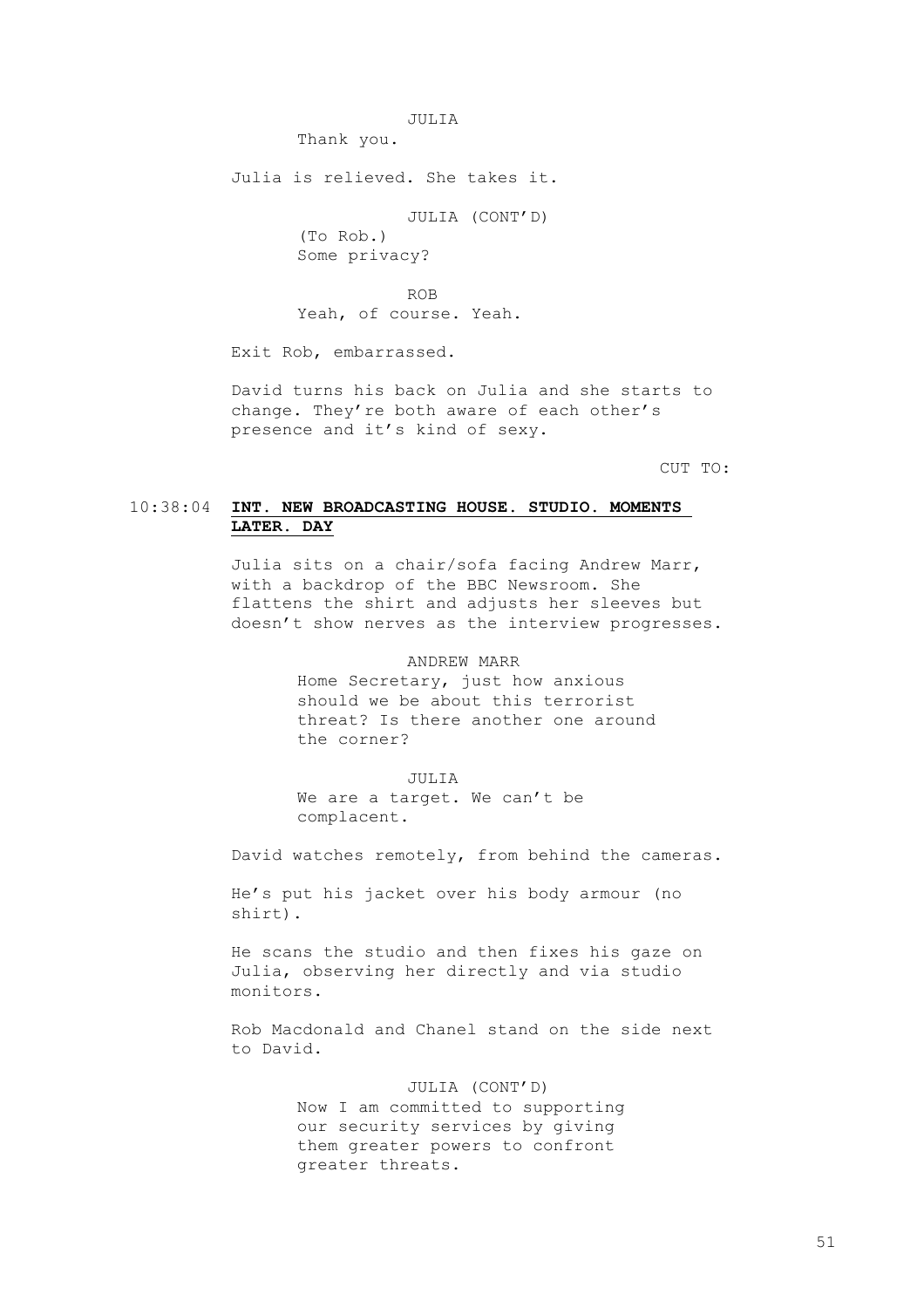JULIA

Thank you.

Julia is relieved. She takes it.

JULIA (CONT'D)

(To Rob.) Some privacy?

ROB

Yeah, of course. Yeah.

Exit Rob, embarrassed.

David turns his back on Julia and she starts to change. They're both aware of each other's presence and it's kind of sexy.

CUT TO:

# 10:38:04 **INT. NEW BROADCASTING HOUSE. STUDIO. MOMENTS LATER. DAY**

Julia sits on a chair/sofa facing Andrew Marr, with a backdrop of the BBC Newsroom. She flattens the shirt and adjusts her sleeves but doesn't show nerves as the interview progresses.

### ANDREW MARR

Home Secretary, just how anxious should we be about this terrorist threat? Is there another one around the corner?

JULIA

We are a target. We can't be complacent.

David watches remotely, from behind the cameras.

He's put his jacket over his body armour (no shirt).

He scans the studio and then fixes his gaze on Julia, observing her directly and via studio monitors.

Rob Macdonald and Chanel stand on the side next to David.

# JULIA (CONT'D)

Now I am committed to supporting our security services by giving them greater powers to confront greater threats.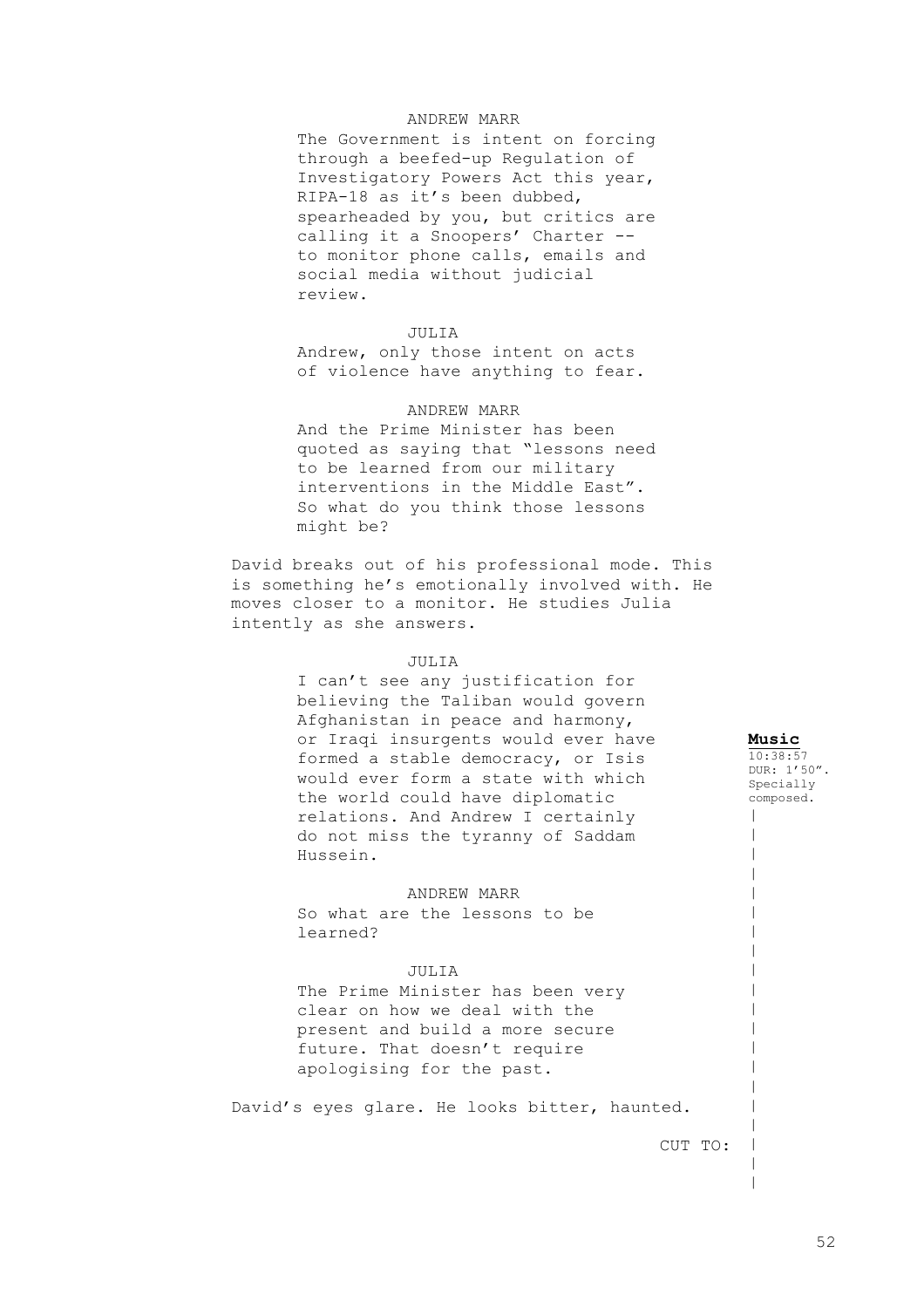# ANDREW MARR

The Government is intent on forcing through a beefed-up Regulation of Investigatory Powers Act this year, RIPA-18 as it's been dubbed, spearheaded by you, but critics are calling it a Snoopers' Charter - to monitor phone calls, emails and social media without judicial review.

# JULIA

Andrew, only those intent on acts of violence have anything to fear.

# ANDREW MARR

And the Prime Minister has been quoted as saying that "lessons need to be learned from our military interventions in the Middle East". So what do you think those lessons might be?

David breaks out of his professional mode. This is something he's emotionally involved with. He moves closer to a monitor. He studies Julia intently as she answers.

### JULIA

I can't see any justification for believing the Taliban would govern Afghanistan in peace and harmony, or Iraqi insurgents would ever have formed a stable democracy, or Isis would ever form a state with which the world could have diplomatic relations. And Andrew I certainly do not miss the tyranny of Saddam Hussein.

ANDREW MARR

So what are the lessons to be learned?

### JULIA

The Prime Minister has been very clear on how we deal with the present and build a more secure future. That doesn't require apologising for the past.

David's eyes glare. He looks bitter, haunted.

CUT TO:

**Music**  $10:38:57$ DUR: 1'50". Specially composed.  $\blacksquare$  $\,$  $\,$  $\,$  $\,$  $\,$  $\,$  $\,$  $\,$  $\,$  $\,$  $\,$  $\,$  $\,$  $\,$  $\,$  $\,$ |  $\,$  $\,$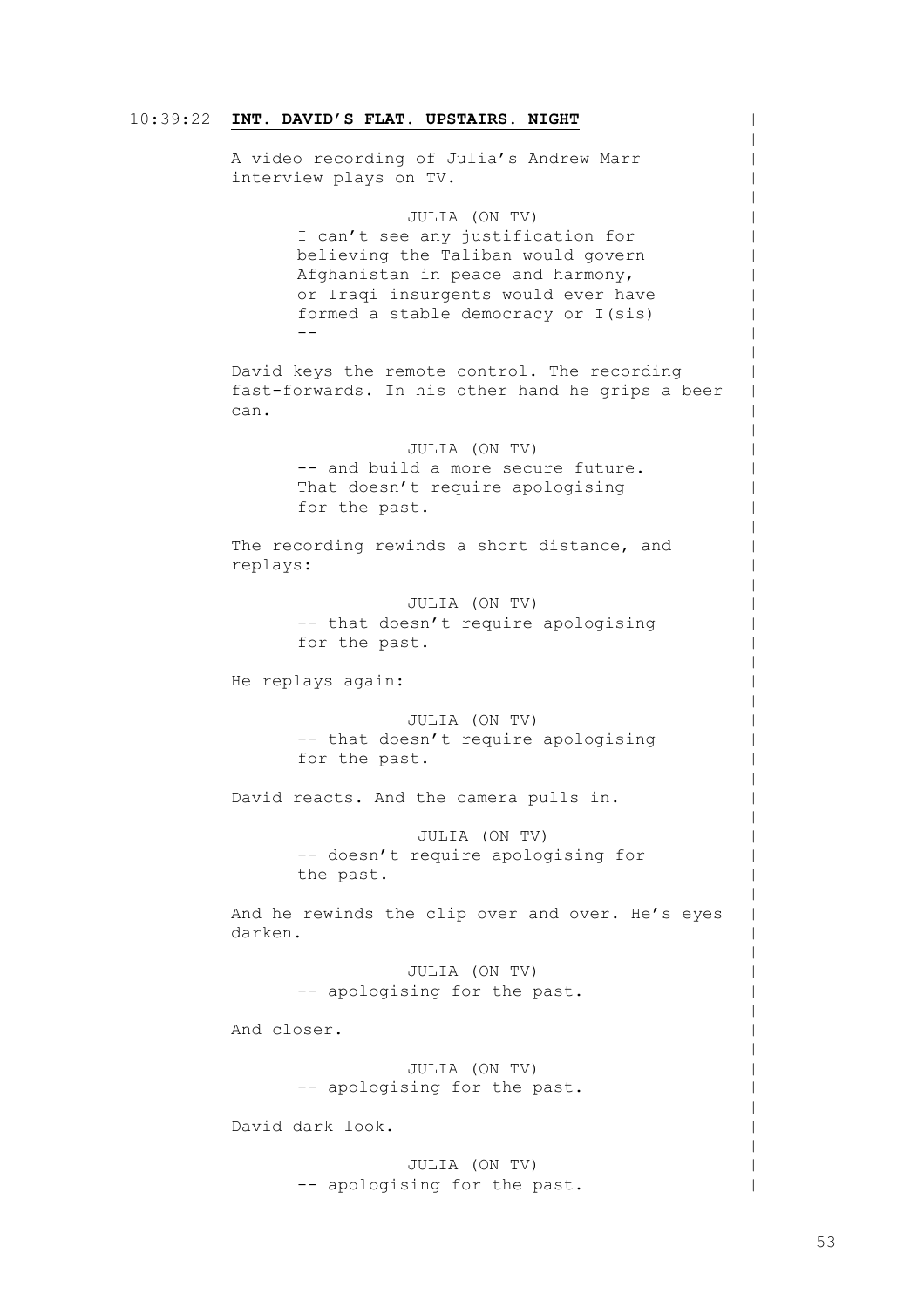# 10:39:22 **INT. DAVID'S FLAT. UPSTAIRS. NIGHT**

A video recording of Julia's Andrew Marr interview plays on TV.

### JULIA (ON TV)

I can't see any justification for believing the Taliban would govern Afghanistan in peace and harmony, or Iraqi insurgents would ever have formed a stable democracy or I(sis) --

David keys the remote control. The recording fast-forwards. In his other hand he grips a beer can.

> JULIA (ON TV) -- and build a more secure future. That doesn't require apologising for the past.

The recording rewinds a short distance, and replays:

> JULIA (ON TV) -- that doesn't require apologising for the past.

He replays again:

JULIA (ON TV) -- that doesn't require apologising for the past.

David reacts. And the camera pulls in.

JULIA (ON TV) -- doesn't require apologising for the past.

And he rewinds the clip over and over. He's eyes darken.

> JULIA (ON TV) -- apologising for the past.

And closer.

JULIA (ON TV) -- apologising for the past.

David dark look.

JULIA (ON TV) -- apologising for the past.  $\,$  $\,$  $\,$  $\,$  $\,$  $\,$  $\,$  $\,$  $\,$  $\,$  $\,$  $\,$  $\,$  $\,$  $\,$  $\,$  $\,$  $\,$  $\,$  $\,$  $\,$  $\,$  $\,$  $\,$  $\,$  $\,$  $\,$  $\,$  $\,$  $\,$  $\,$  $\,$  $\,$  $\,$  $\,$  $\,$  $\,$  $\,$  $\,$  $\,$  $\,$  $\,$  $\,$  $\,$  $\,$  $\,$  $\,$  $\,$  $\,$  $\,$  $\,$  $\,$  $\,$  $\,$  $\,$  $\,$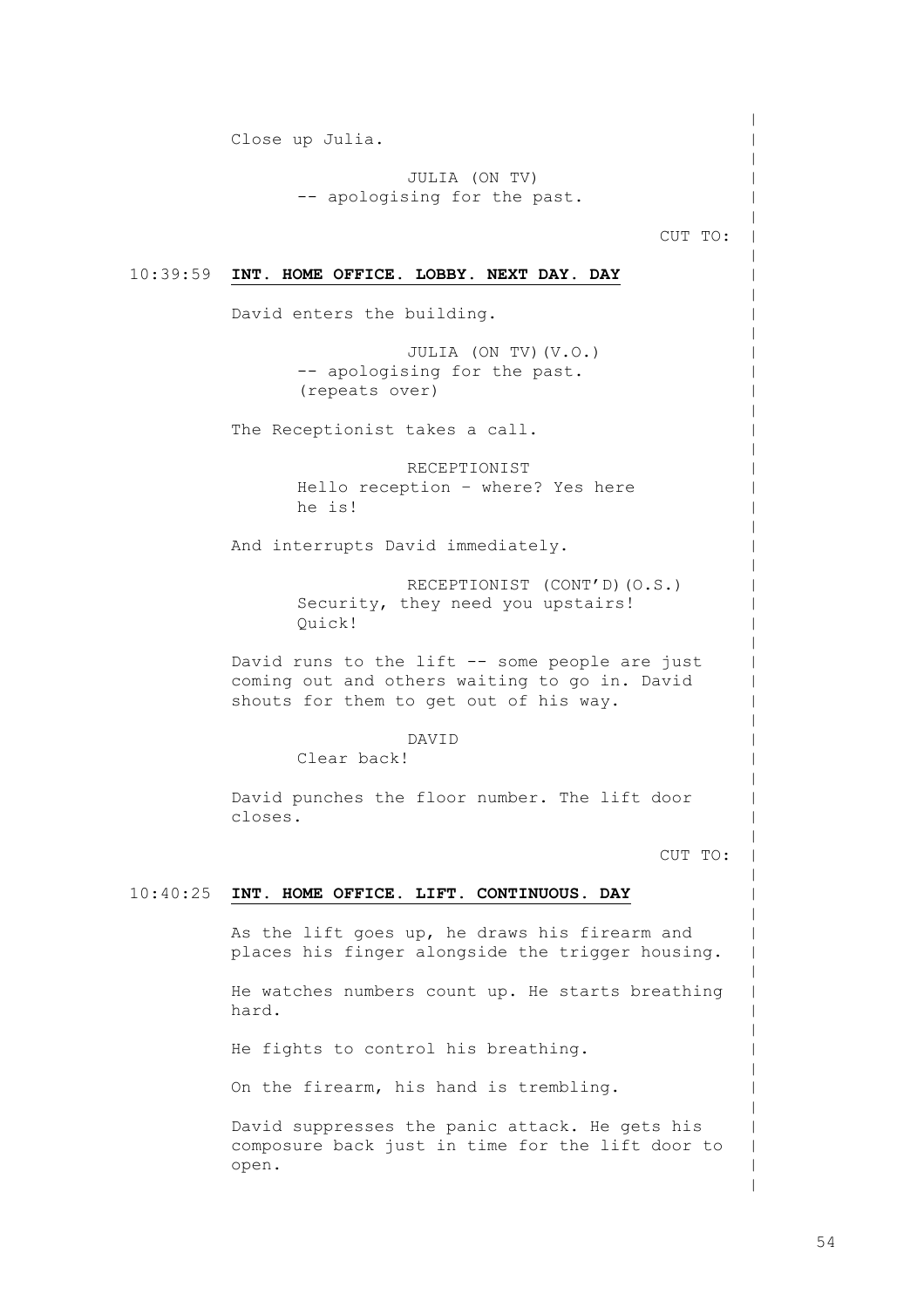Close up Julia.

JULIA (ON TV) -- apologising for the past.

CUT TO:

 $\,$  $\,$  $\,$  $\,$  $\,$  $\,$  $\,$  $\,$  $\,$  $\,$  $\,$  $\,$  $\,$  $\,$  $\,$  $\,$  $\,$  $\,$  $\,$  $\,$  $\,$  $\,$  $\,$  $\,$  $\,$  $\,$  $\,$  $\,$  $\,$  $\,$  $\,$  $\,$  $\,$  $\,$  $\,$  $\,$  $\,$  $\,$  $\,$  $\,$  $\,$  $\,$  $\,$  $\,$  $\,$  $\,$  $\,$  $\,$  $\,$  $\,$  $\,$  $\,$  $\,$ | | |

# 10:39:59 **INT. HOME OFFICE. LOBBY. NEXT DAY. DAY**

David enters the building.

JULIA (ON TV)(V.O.) -- apologising for the past. (repeats over)

The Receptionist takes a call.

RECEPTIONIST Hello reception – where? Yes here he is!

And interrupts David immediately.

RECEPTIONIST (CONT'D)(O.S.) Security, they need you upstairs! Quick!

David runs to the lift -- some people are just coming out and others waiting to go in. David shouts for them to get out of his way.

# DAVID

Clear back!

David punches the floor number. The lift door closes.

CUT TO:

# 10:40:25 **INT. HOME OFFICE. LIFT. CONTINUOUS. DAY**

As the lift goes up, he draws his firearm and places his finger alongside the trigger housing.

He watches numbers count up. He starts breathing hard.

He fights to control his breathing.

On the firearm, his hand is trembling.

David suppresses the panic attack. He gets his composure back just in time for the lift door to open.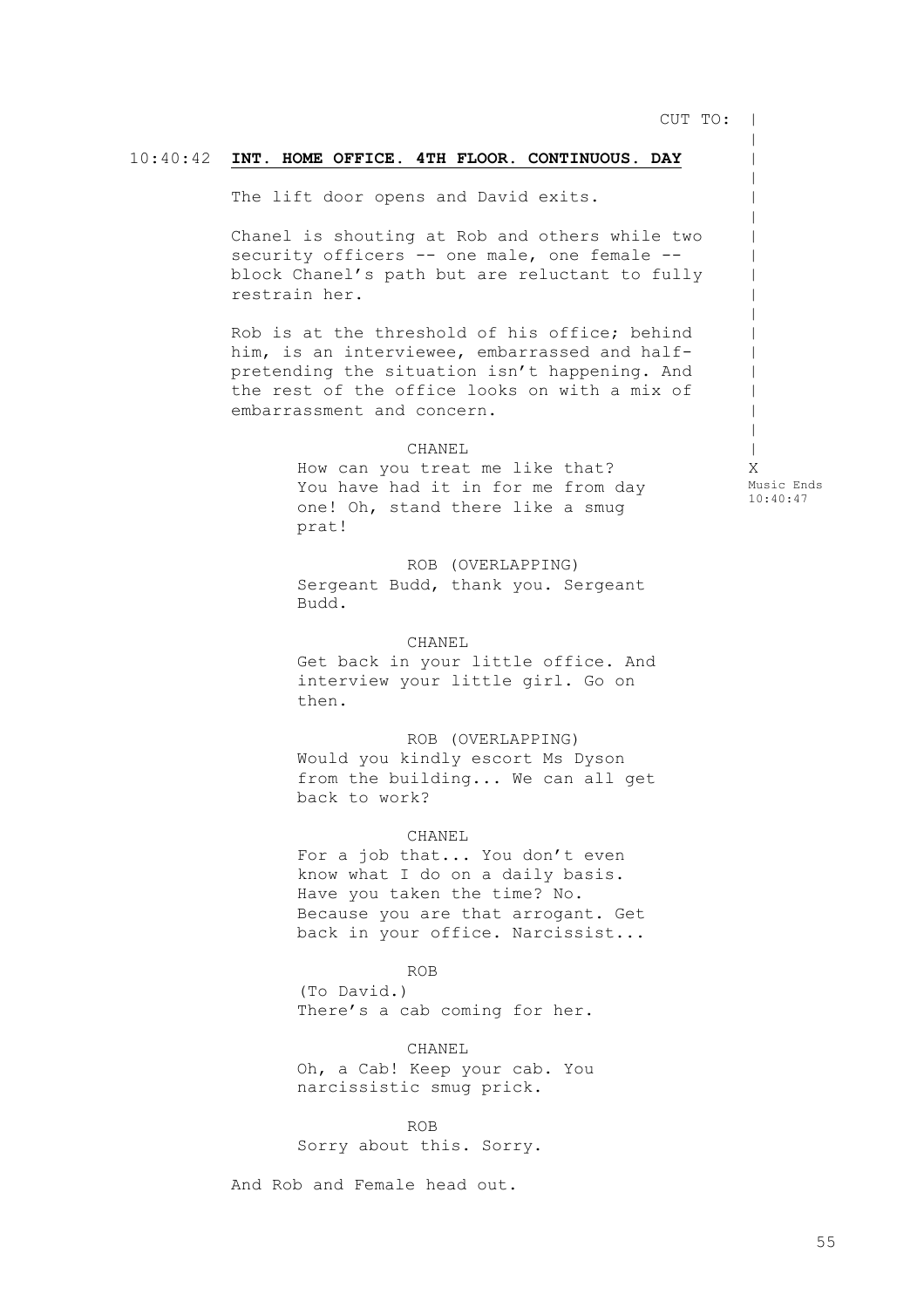CUT TO: |

 $\,$  $\,$  $\,$  $\,$  $\,$  $\,$  $\,$  $\,$  $\,$  $\,$  $\,$  $\,$ |  $\,$  $\,$  $\,$  $\blacksquare$ X

Music Ends 10:40:47

# 10:40:42 **INT. HOME OFFICE. 4TH FLOOR. CONTINUOUS. DAY**

The lift door opens and David exits.

Chanel is shouting at Rob and others while two security officers -- one male, one female -block Chanel's path but are reluctant to fully restrain her.

Rob is at the threshold of his office; behind him, is an interviewee, embarrassed and halfpretending the situation isn't happening. And the rest of the office looks on with a mix of embarrassment and concern.

### CHANEL

How can you treat me like that? You have had it in for me from day one! Oh, stand there like a smug prat!

ROB (OVERLAPPING) Sergeant Budd, thank you. Sergeant Budd.

CHANEL Get back in your little office. And interview your little girl. Go on then.

ROB (OVERLAPPING) Would you kindly escort Ms Dyson from the building... We can all get back to work?

### CHANEL

For a job that... You don't even know what I do on a daily basis. Have you taken the time? No. Because you are that arrogant. Get back in your office. Narcissist...

### ROB

(To David.) There's a cab coming for her.

CHANEL Oh, a Cab! Keep your cab. You narcissistic smug prick.

ROB Sorry about this. Sorry.

And Rob and Female head out.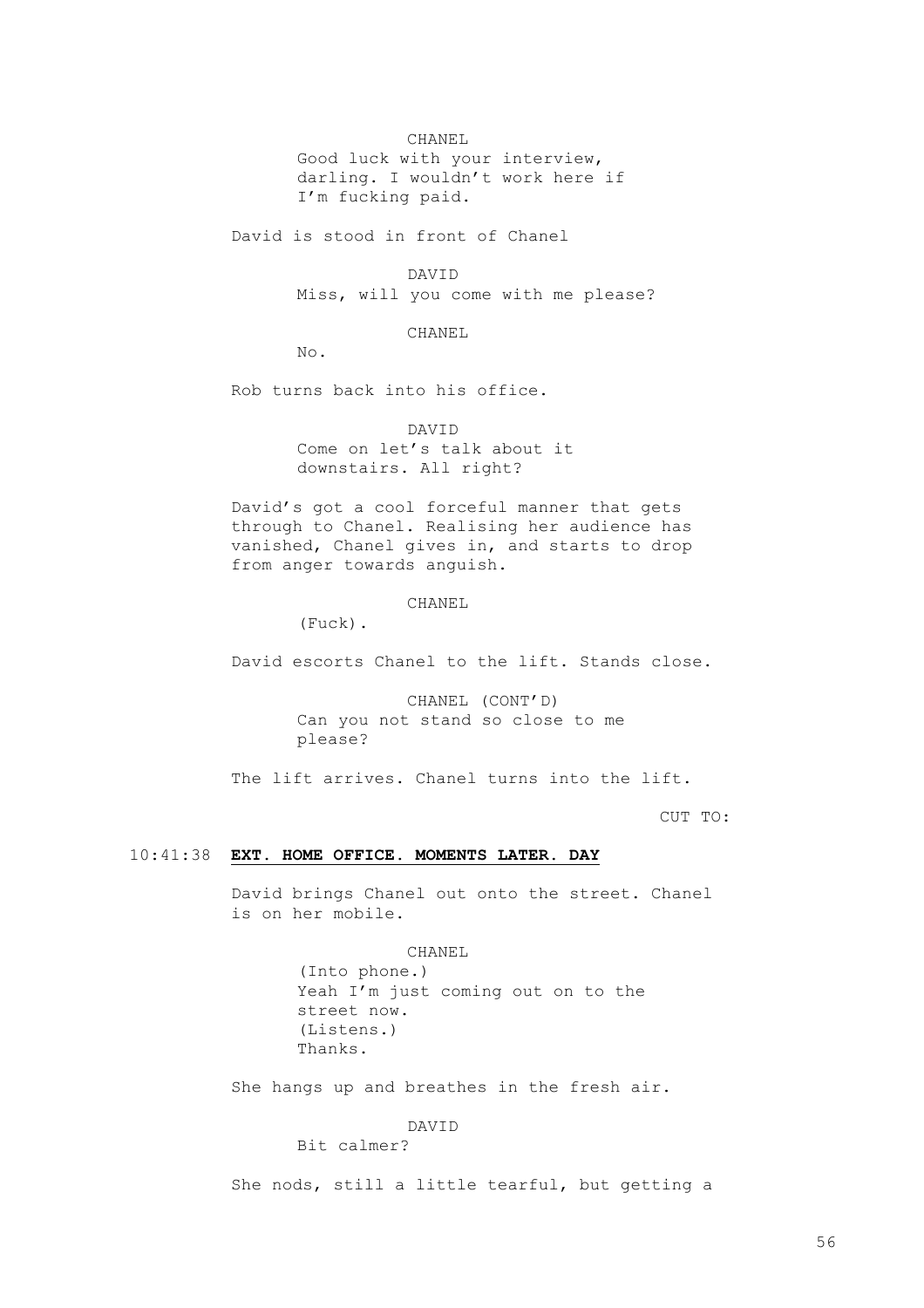### CHANEL

Good luck with your interview, darling. I wouldn't work here if I'm fucking paid.

David is stood in front of Chanel

DAVID

Miss, will you come with me please?

CHANEL

No.

Rob turns back into his office.

DAVID

Come on let's talk about it downstairs. All right?

David's got a cool forceful manner that gets through to Chanel. Realising her audience has vanished, Chanel gives in, and starts to drop from anger towards anguish.

CHANEL

(Fuck).

David escorts Chanel to the lift. Stands close.

CHANEL (CONT'D) Can you not stand so close to me please?

The lift arrives. Chanel turns into the lift.

CUT TO:

# 10:41:38 **EXT. HOME OFFICE. MOMENTS LATER. DAY**

David brings Chanel out onto the street. Chanel is on her mobile.

> CHANEL (Into phone.) Yeah I'm just coming out on to the street now. (Listens.) Thanks.

She hangs up and breathes in the fresh air.

### DAVID

Bit calmer?

She nods, still a little tearful, but getting a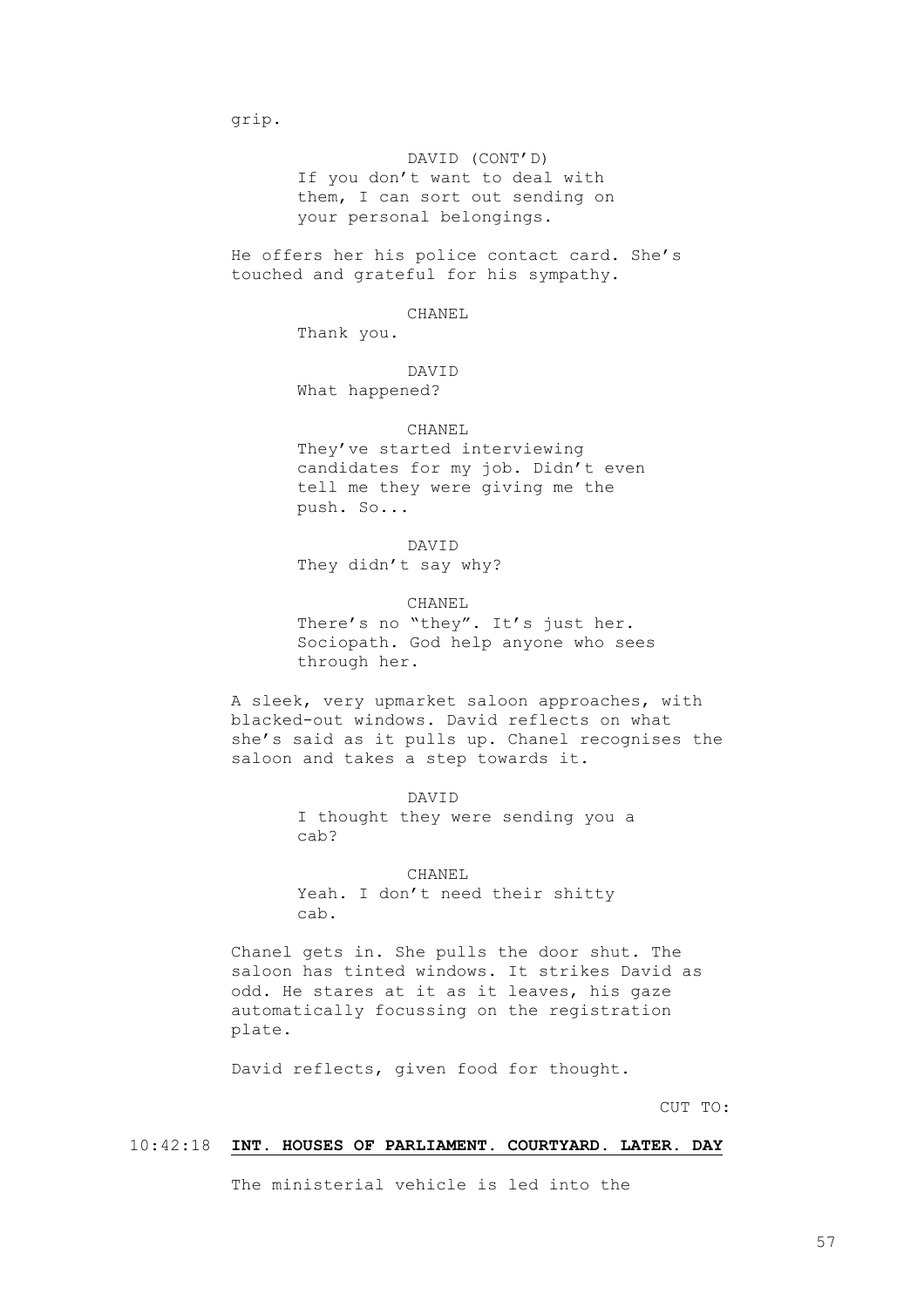grip.

# DAVID (CONT'D)

If you don't want to deal with them, I can sort out sending on your personal belongings.

He offers her his police contact card. She's touched and grateful for his sympathy.

### CHANEL

Thank you.

# DAVID

What happened?

# CHANEL

They've started interviewing candidates for my job. Didn't even tell me they were giving me the push. So...

# DAVID They didn't say why?

CHANEL There's no "they". It's just her. Sociopath. God help anyone who sees through her.

A sleek, very upmarket saloon approaches, with blacked-out windows. David reflects on what she's said as it pulls up. Chanel recognises the saloon and takes a step towards it.

> DAVID I thought they were sending you a cab?

CHANEL Yeah. I don't need their shitty cab.

Chanel gets in. She pulls the door shut. The saloon has tinted windows. It strikes David as odd. He stares at it as it leaves, his gaze automatically focussing on the registration plate.

David reflects, given food for thought.

CUT TO:

# 10:42:18 **INT. HOUSES OF PARLIAMENT. COURTYARD. LATER. DAY**

The ministerial vehicle is led into the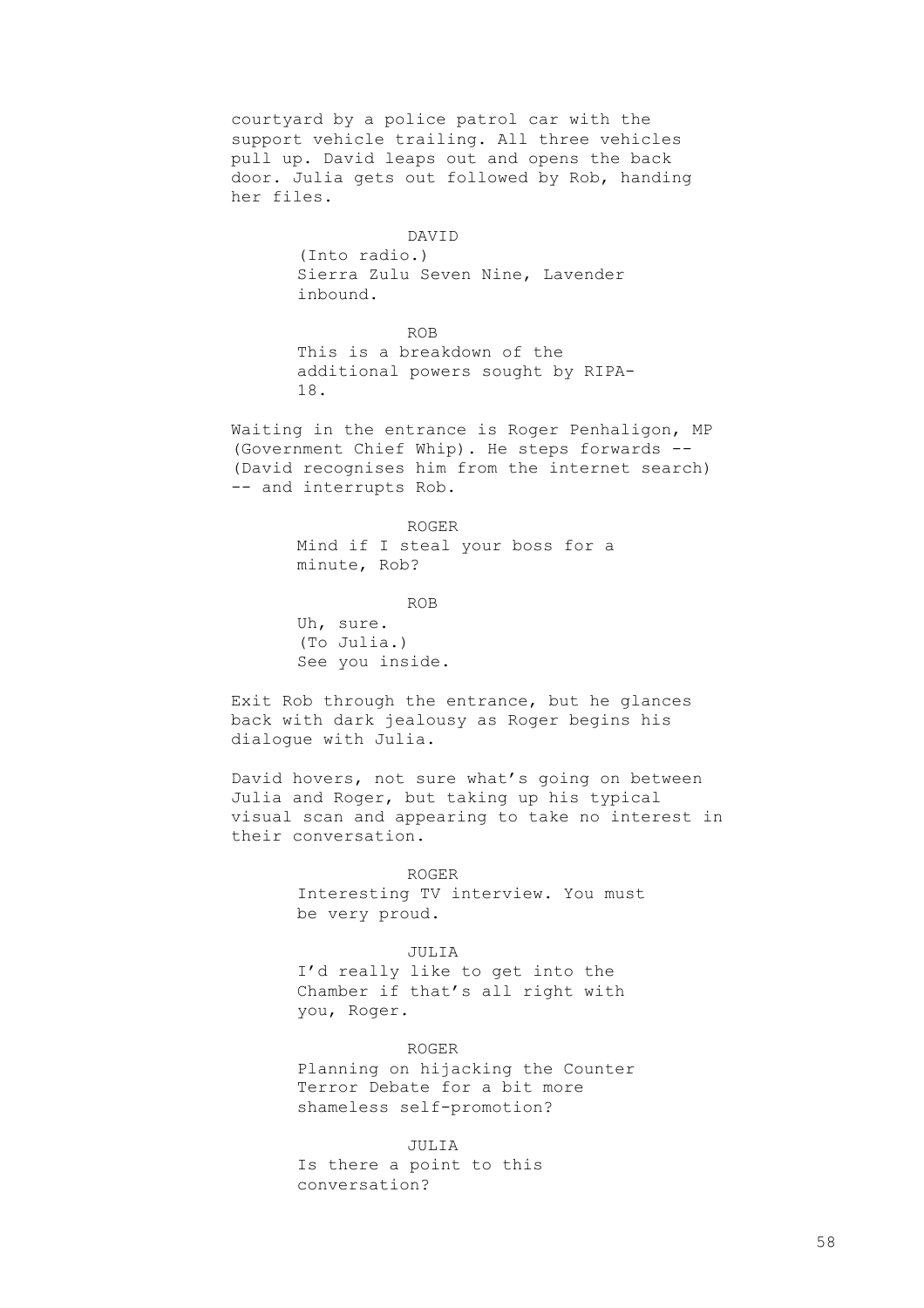courtyard by a police patrol car with the support vehicle trailing. All three vehicles pull up. David leaps out and opens the back door. Julia gets out followed by Rob, handing her files.

# DAVID

(Into radio.) Sierra Zulu Seven Nine, Lavender inbound.

ROB

This is a breakdown of the additional powers sought by RIPA-18.

Waiting in the entrance is Roger Penhaligon, MP (Government Chief Whip). He steps forwards -- (David recognises him from the internet search) -- and interrupts Rob.

### ROGER

Mind if I steal your boss for a minute, Rob?

ROB

Uh, sure. (To Julia.) See you inside.

Exit Rob through the entrance, but he glances back with dark jealousy as Roger begins his dialogue with Julia.

David hovers, not sure what's going on between Julia and Roger, but taking up his typical visual scan and appearing to take no interest in their conversation.

> ROGER Interesting TV interview. You must be very proud.

#### JULIA

I'd really like to get into the Chamber if that's all right with you, Roger.

ROGER Planning on hijacking the Counter Terror Debate for a bit more shameless self-promotion?

JULIA Is there a point to this conversation?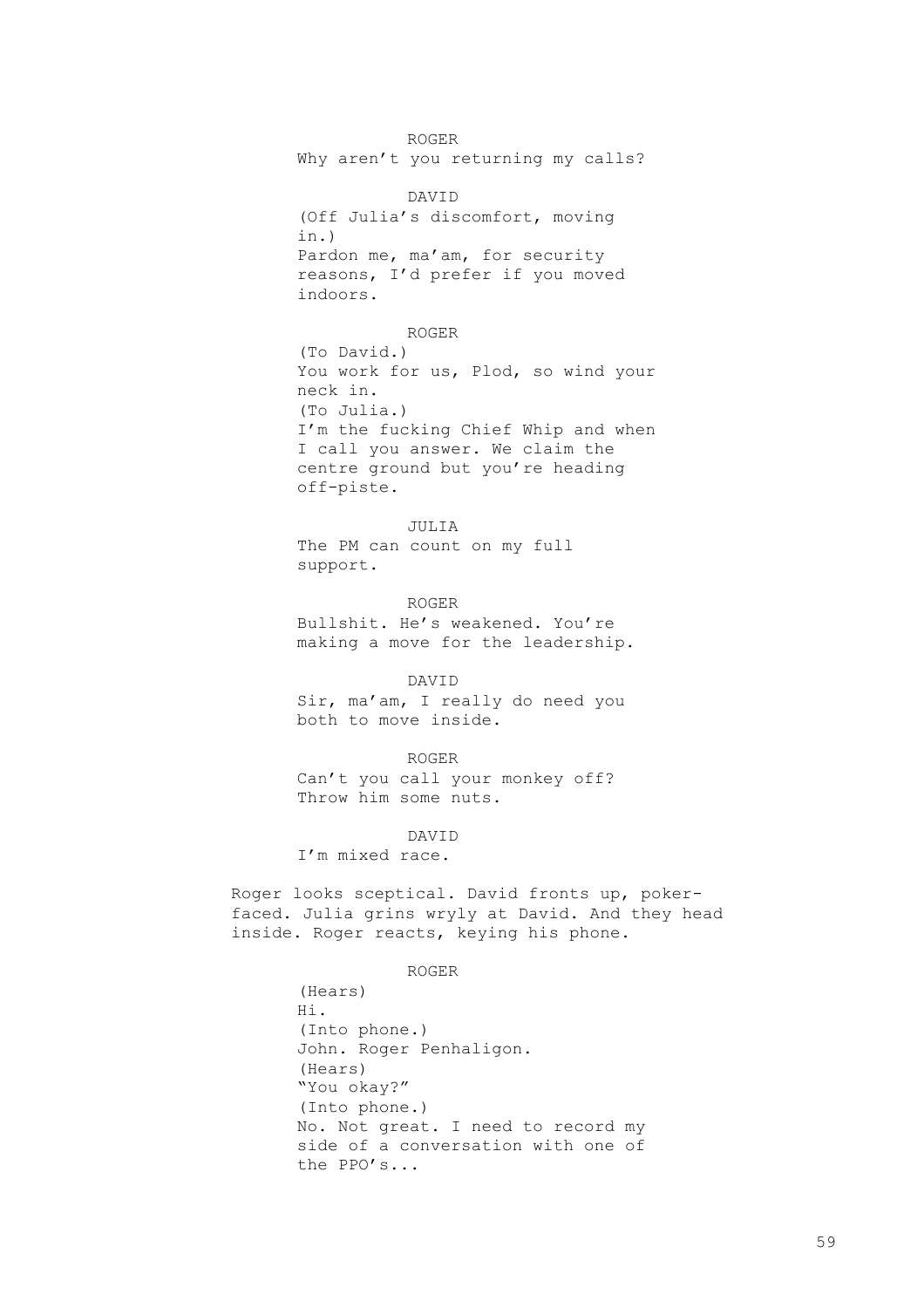ROGER Why aren't you returning my calls?

DAVID (Off Julia's discomfort, moving in.) Pardon me, ma'am, for security reasons, I'd prefer if you moved indoors.

ROGER

(To David.) You work for us, Plod, so wind your neck in. (To Julia.) I'm the fucking Chief Whip and when I call you answer. We claim the centre ground but you're heading off-piste.

JULIA The PM can count on my full support.

ROGER Bullshit. He's weakened. You're making a move for the leadership.

DAVID

Sir, ma'am, I really do need you both to move inside.

ROGER

Can't you call your monkey off? Throw him some nuts.

DAVID

I'm mixed race.

Roger looks sceptical. David fronts up, pokerfaced. Julia grins wryly at David. And they head inside. Roger reacts, keying his phone.

ROGER

(Hears) Hi. (Into phone.) John. Roger Penhaligon. (Hears) "You okay?" (Into phone.) No. Not great. I need to record my side of a conversation with one of the PPO's...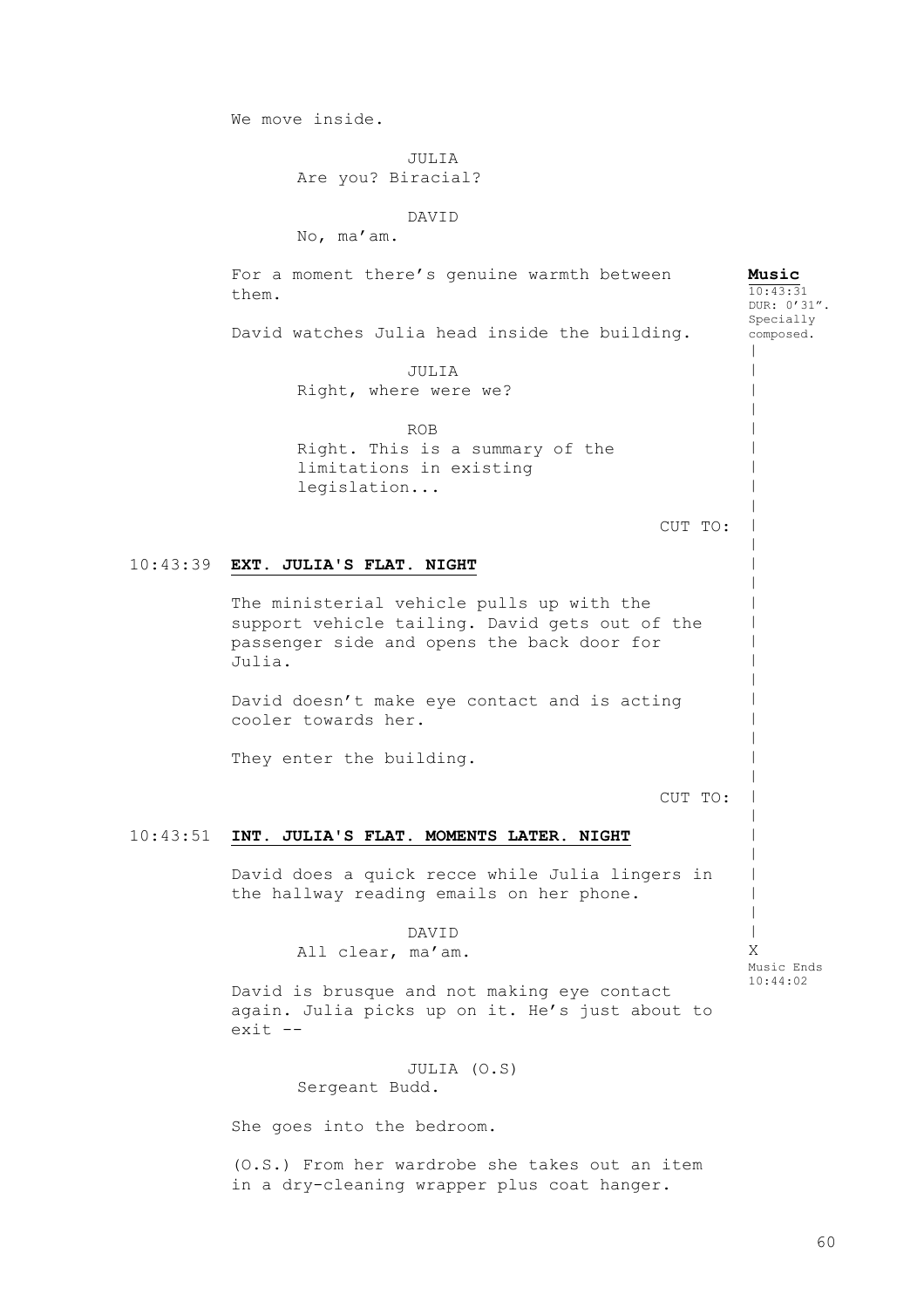We move inside.

JULIA

Are you? Biracial?

DAVID

No, ma'am.

10:43:39 **EXT. JULIA'S FLAT. NIGHT** 10:43:51 **INT. JULIA'S FLAT. MOMENTS LATER. NIGHT** For a moment there's genuine warmth between them. David watches Julia head inside the building. JULIA Right, where were we? ROB Right. This is a summary of the limitations in existing legislation... CUT TO: The ministerial vehicle pulls up with the support vehicle tailing. David gets out of the passenger side and opens the back door for Julia. David doesn't make eye contact and is acting cooler towards her. They enter the building. CUT TO: David does a quick recce while Julia lingers in the hallway reading emails on her phone. DAVID All clear, ma'am. David is brusque and not making eye contact again. Julia picks up on it. He's just about to exit -- JULIA (O.S) Sergeant Budd. **Music** 10:43:31 DUR: 0'31". Specially composed.  $\,$  $\,$  $\,$  $\,$  $\,$  $\,$  $\,$  $\,$  $\,$  $\,$  $\,$  $\,$  $\,$  $\,$  $\,$  $\,$  $\,$  $\,$  $\,$  $\,$  $\,$  $\,$  $\,$  $\,$  $\,$  $\,$  $\,$  $\,$  $\,$  $\,$ | X Music Ends 10:44:02

She goes into the bedroom.

(O.S.) From her wardrobe she takes out an item in a dry-cleaning wrapper plus coat hanger.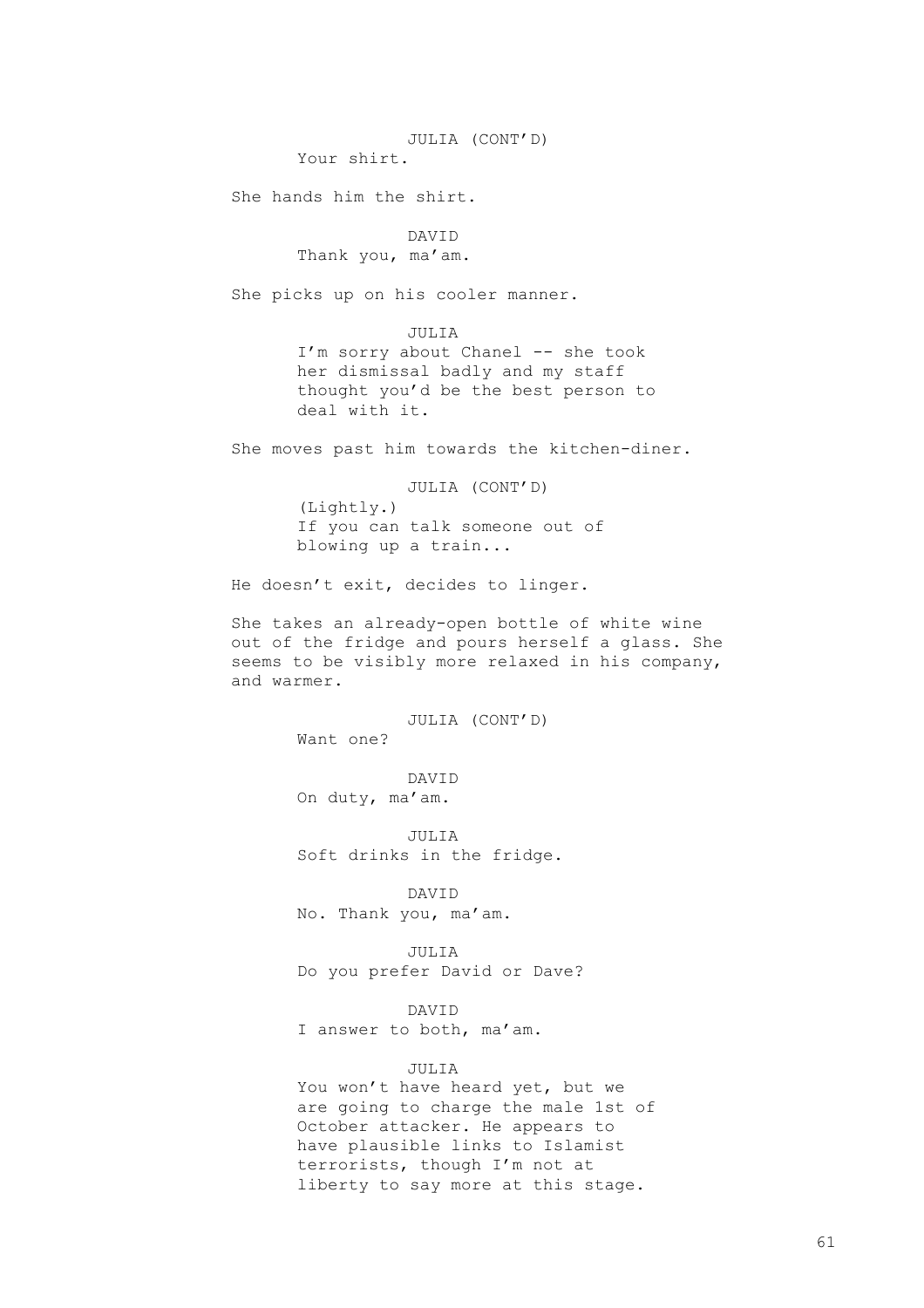JULIA (CONT'D)

Your shirt.

She hands him the shirt.

# DAVID

Thank you, ma'am.

She picks up on his cooler manner.

JULIA I'm sorry about Chanel -- she took her dismissal badly and my staff thought you'd be the best person to deal with it.

She moves past him towards the kitchen-diner.

JULIA (CONT'D) (Lightly.) If you can talk someone out of blowing up a train...

He doesn't exit, decides to linger.

She takes an already-open bottle of white wine out of the fridge and pours herself a glass. She seems to be visibly more relaxed in his company, and warmer.

> JULIA (CONT'D) Want one?

DAVID On duty, ma'am.

JULIA Soft drinks in the fridge.

DAVID No. Thank you, ma'am.

JULIA Do you prefer David or Dave?

DAVID I answer to both, ma'am.

# JULIA

You won't have heard yet, but we are going to charge the male 1st of October attacker. He appears to have plausible links to Islamist terrorists, though I'm not at liberty to say more at this stage.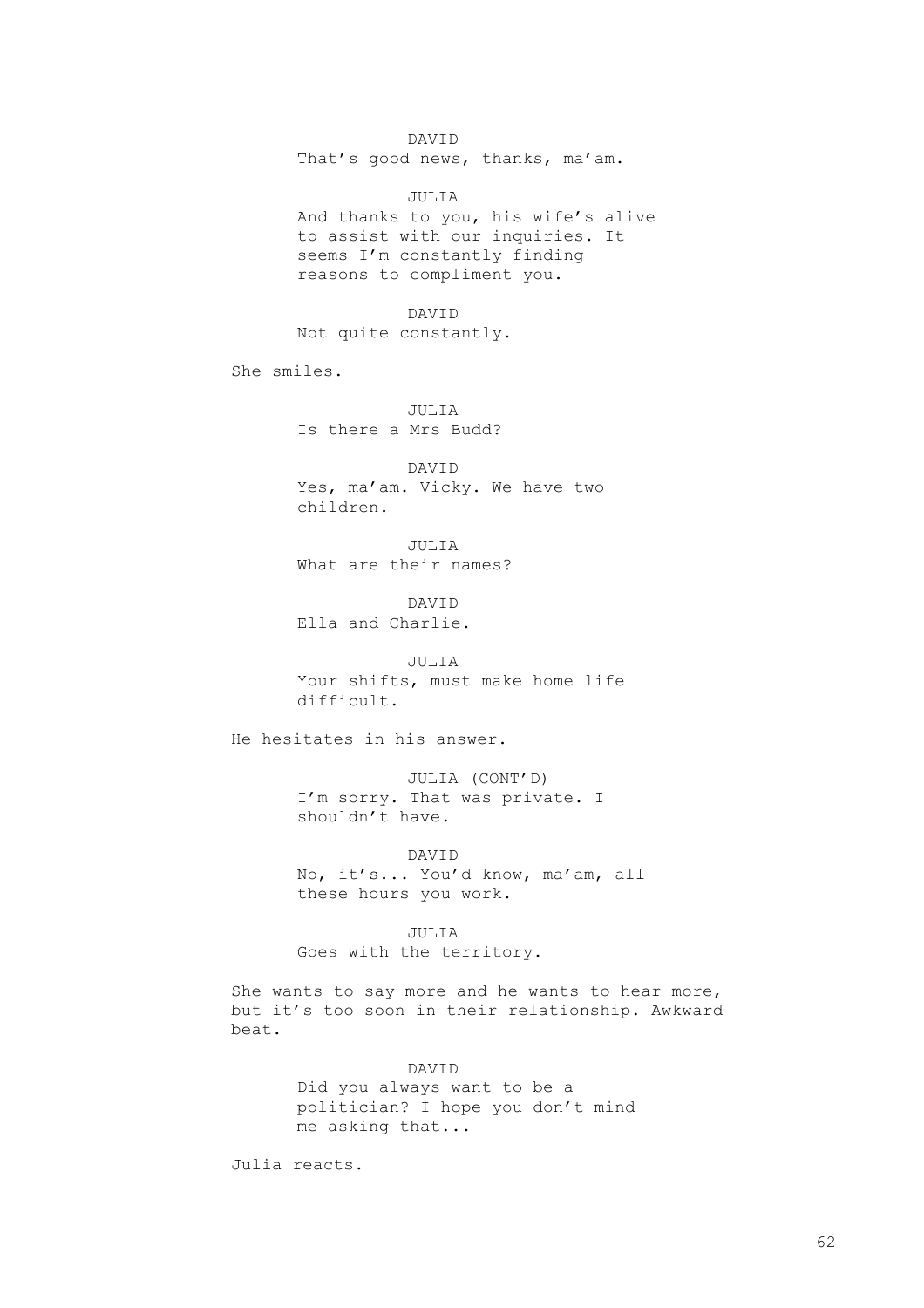DAVID That's good news, thanks, ma'am.

JULIA And thanks to you, his wife's alive to assist with our inquiries. It seems I'm constantly finding reasons to compliment you.

DAVID Not quite constantly.

She smiles.

JULIA Is there a Mrs Budd?

DAVID Yes, ma'am. Vicky. We have two children.

JULIA What are their names?

DAVID Ella and Charlie.

JULIA Your shifts, must make home life difficult.

He hesitates in his answer.

JULIA (CONT'D) I'm sorry. That was private. I shouldn't have.

DAVID No, it's... You'd know, ma'am, all these hours you work.

JULIA Goes with the territory.

She wants to say more and he wants to hear more, but it's too soon in their relationship. Awkward beat.

> DAVID Did you always want to be a politician? I hope you don't mind me asking that...

Julia reacts.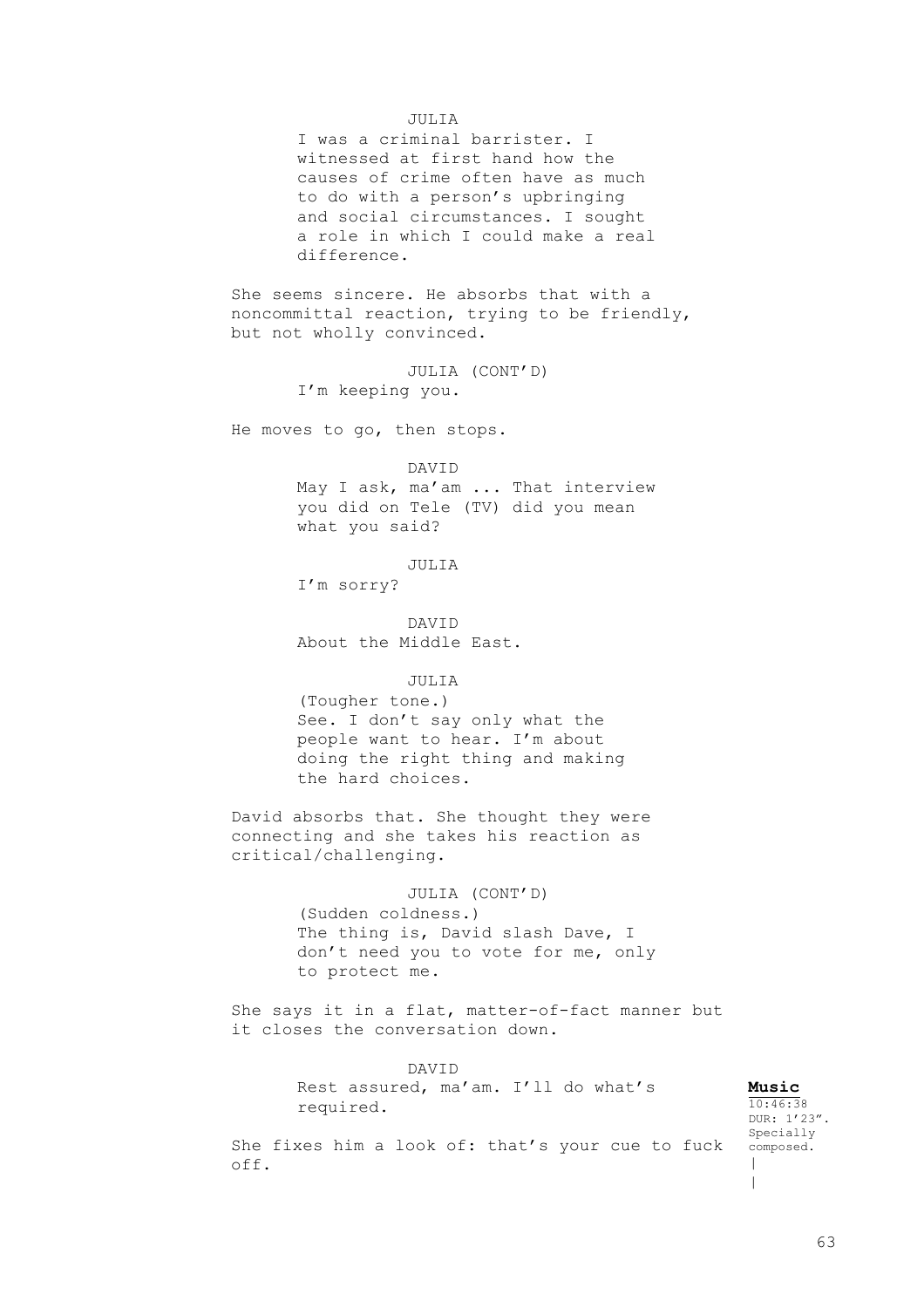# JULIA

I was a criminal barrister. I witnessed at first hand how the causes of crime often have as much to do with a person's upbringing and social circumstances. I sought a role in which I could make a real difference.

She seems sincere. He absorbs that with a noncommittal reaction, trying to be friendly, but not wholly convinced.

> JULIA (CONT'D) I'm keeping you.

He moves to go, then stops.

DAVID

May I ask, ma'am ... That interview you did on Tele (TV) did you mean what you said?

JULIA

I'm sorry?

DAVID About the Middle East.

# JULIA

(Tougher tone.) See. I don't say only what the people want to hear. I'm about doing the right thing and making the hard choices.

David absorbs that. She thought they were connecting and she takes his reaction as critical/challenging.

> JULIA (CONT'D) (Sudden coldness.) The thing is, David slash Dave, I don't need you to vote for me, only to protect me.

She says it in a flat, matter-of-fact manner but it closes the conversation down.

> DAVID Rest assured, ma'am. I'll do what's required.

**Music** 10:46:38 DUR: 1'23". Specially composed. | |

She fixes him a look of: that's your cue to fuck off.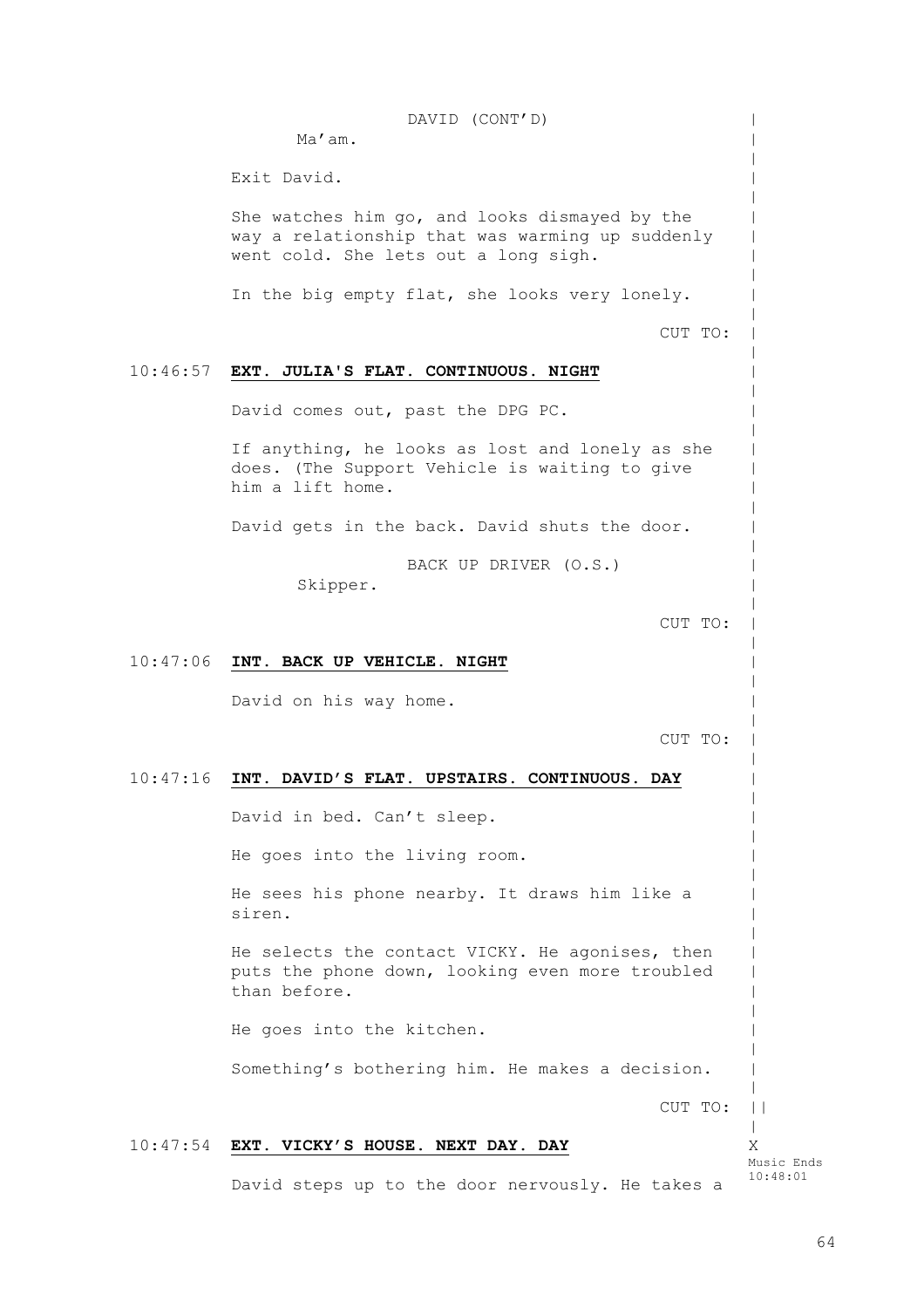10:46:57 **EXT. JULIA'S FLAT. CONTINUOUS. NIGHT** 10:47:06 **INT. BACK UP VEHICLE. NIGHT** 10:47:16 **INT. DAVID'S FLAT. UPSTAIRS. CONTINUOUS. DAY** 10:47:54 **EXT. VICKY'S HOUSE. NEXT DAY. DAY** DAVID (CONT'D) Ma'am. Exit David. She watches him go, and looks dismayed by the way a relationship that was warming up suddenly went cold. She lets out a long sigh. In the big empty flat, she looks very lonely. CUT TO: David comes out, past the DPG PC. If anything, he looks as lost and lonely as she does. (The Support Vehicle is waiting to give him a lift home. David gets in the back. David shuts the door. BACK UP DRIVER (O.S.) Skipper. CUT TO: David on his way home. CUT TO: David in bed. Can't sleep. He goes into the living room. He sees his phone nearby. It draws him like a siren. He selects the contact VICKY. He agonises, then puts the phone down, looking even more troubled than before. He goes into the kitchen. Something's bothering him. He makes a decision. CUT TO: David steps up to the door nervously. He takes a  $\,$  $\,$  $\,$  $\,$  $\,$  $\,$  $\,$  $\,$  $\,$  $\,$  $\,$  $\,$  $\,$  $\,$  $\,$  $\,$  $\,$  $\,$  $\,$  $\,$  $\,$  $\,$  $\,$  $\,$  $\,$  $\,$  $\,$  $\,$  $\,$  $\,$  $\,$  $\,$  $\,$  $\,$  $\,$  $\,$  $\,$  $\,$  $\,$  $\,$  $\,$  $\,$  $\,$  $\,$  $\,$  $\,$  $\,$  $\,$  $\,$  $\,$  $\,$  $| \ |$ | X Music Ends 10:48:01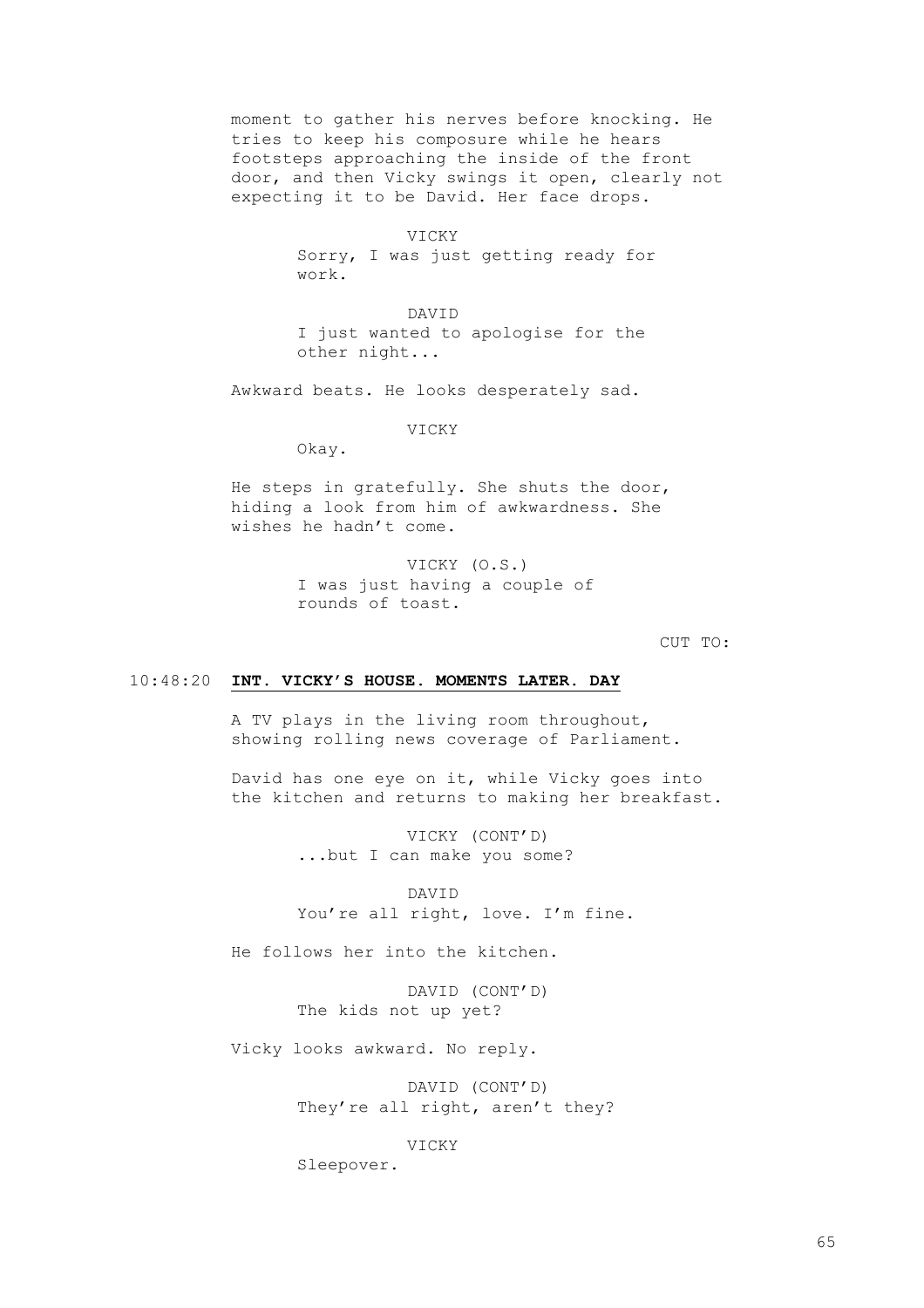moment to gather his nerves before knocking. He tries to keep his composure while he hears footsteps approaching the inside of the front door, and then Vicky swings it open, clearly not expecting it to be David. Her face drops.

> VICKY Sorry, I was just getting ready for work.

DAVID I just wanted to apologise for the other night...

Awkward beats. He looks desperately sad.

VICKY

Okay.

He steps in gratefully. She shuts the door, hiding a look from him of awkwardness. She wishes he hadn't come.

> VICKY (O.S.) I was just having a couple of rounds of toast.

> > CUT TO:

# 10:48:20 **INT. VICKY'S HOUSE. MOMENTS LATER. DAY**

A TV plays in the living room throughout, showing rolling news coverage of Parliament.

David has one eye on it, while Vicky goes into the kitchen and returns to making her breakfast.

> VICKY (CONT'D) ...but I can make you some?

DAVID You're all right, love. I'm fine.

He follows her into the kitchen.

DAVID (CONT'D) The kids not up yet?

Vicky looks awkward. No reply.

DAVID (CONT'D) They're all right, aren't they?

VICKY

Sleepover.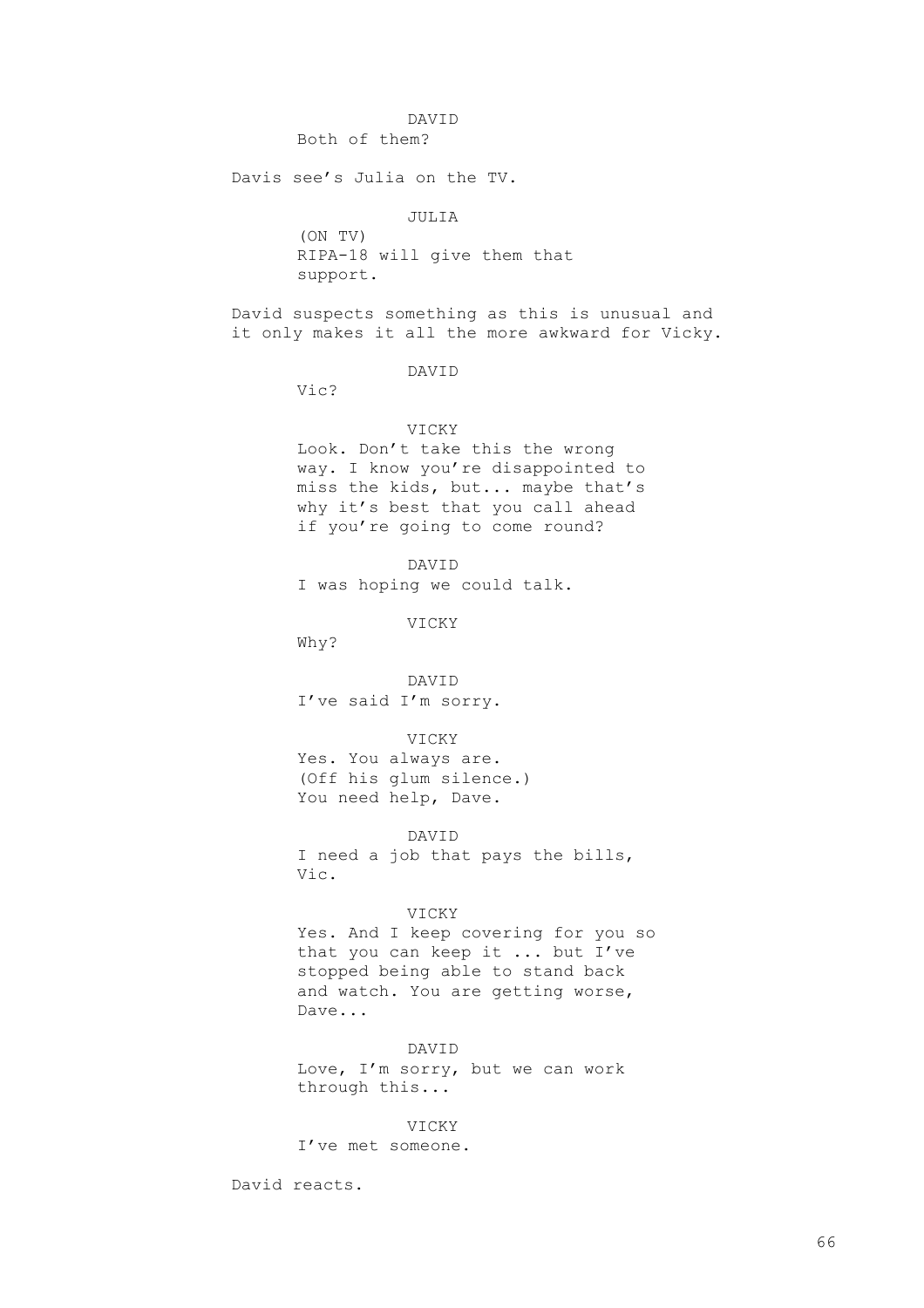### DAVID

Both of them?

Davis see's Julia on the TV.

JULIA

(ON TV) RIPA-18 will give them that support.

David suspects something as this is unusual and it only makes it all the more awkward for Vicky.

# DAVID

Vic?

# VICKY

Look. Don't take this the wrong way. I know you're disappointed to miss the kids, but... maybe that's why it's best that you call ahead if you're going to come round?

DAVID

I was hoping we could talk.

VICKY

Why?

DAVID I've said I'm sorry.

### VICKY

Yes. You always are. (Off his glum silence.) You need help, Dave.

### DAVID

I need a job that pays the bills, Vic.

# VICKY

Yes. And I keep covering for you so that you can keep it ... but I've stopped being able to stand back and watch. You are getting worse, Dave...

### DAVID

Love, I'm sorry, but we can work through this...

### VICKY

I've met someone.

David reacts.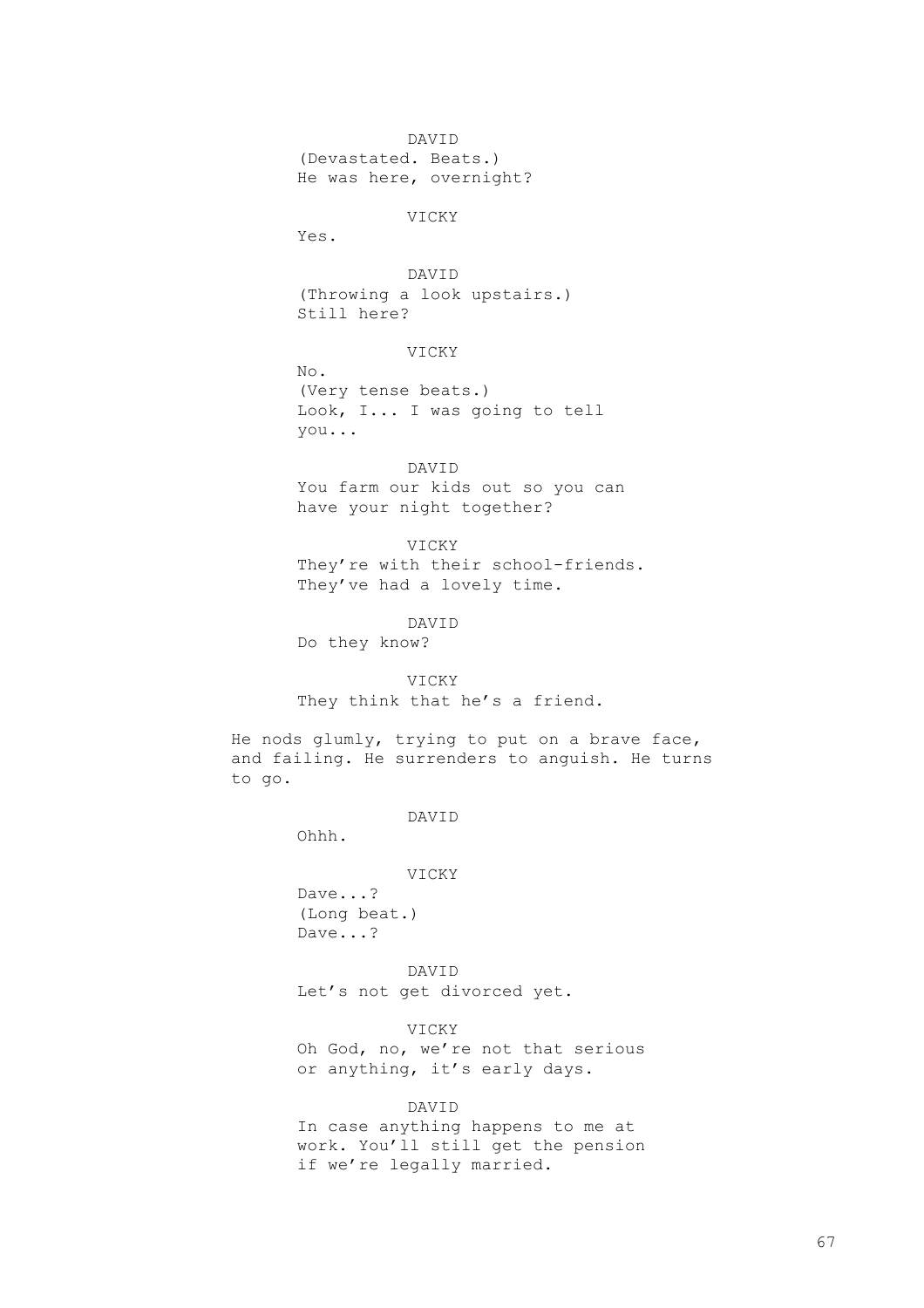DAVID (Devastated. Beats.) He was here, overnight?

VICKY

Yes.

DAVID (Throwing a look upstairs.) Still here?

VICKY

No. (Very tense beats.) Look, I... I was going to tell you...

DAVID You farm our kids out so you can have your night together?

VICKY

They're with their school-friends. They've had a lovely time.

DAVID

Do they know?

VICKY

They think that he's a friend.

He nods glumly, trying to put on a brave face, and failing. He surrenders to anguish. He turns to go.

DAVID

VICKY

Dave...? (Long beat.) Dave...?

Ohhh.

DAVID Let's not get divorced yet.

VICKY Oh God, no, we're not that serious or anything, it's early days.

DAVID

In case anything happens to me at work. You'll still get the pension if we're legally married.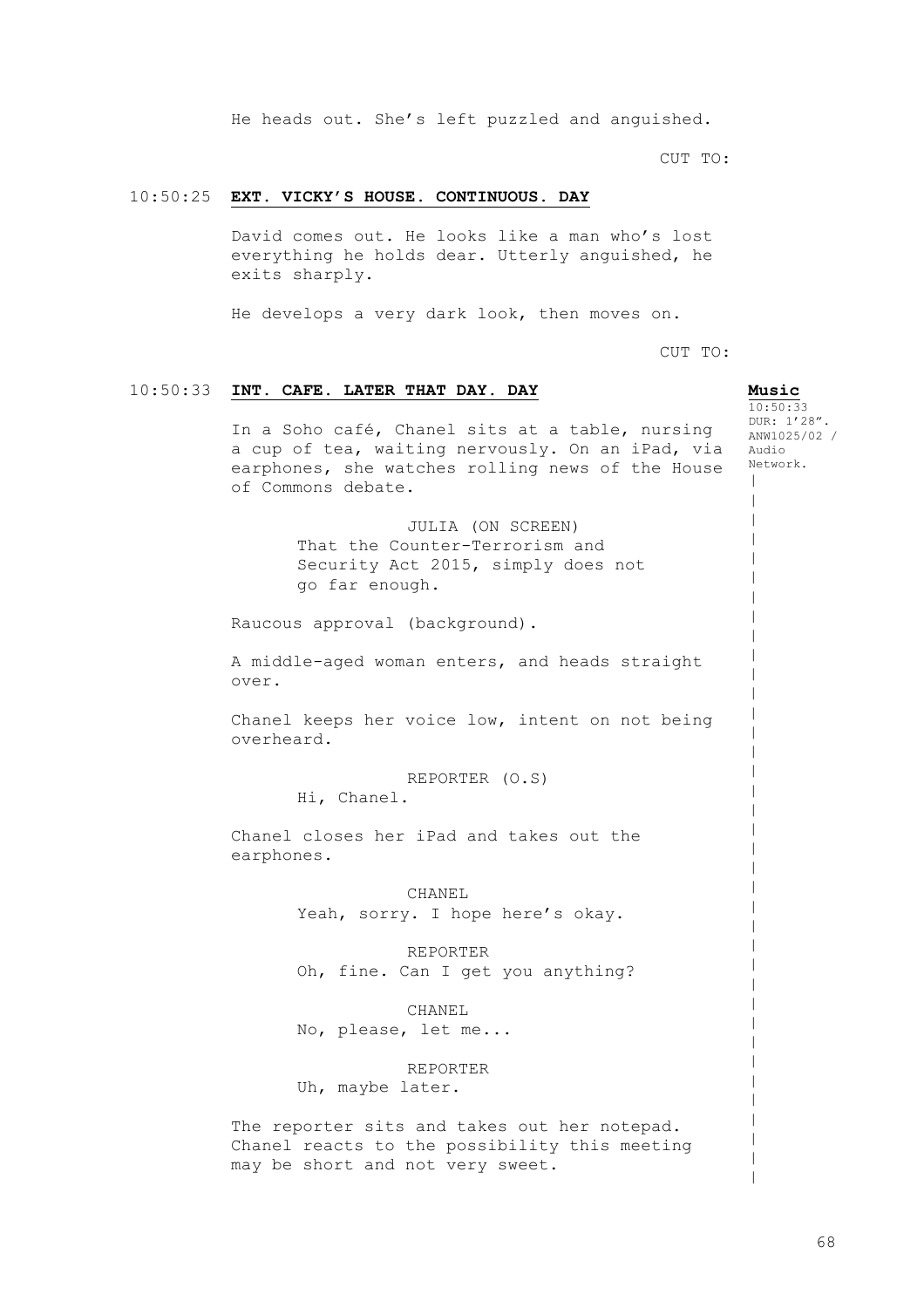He heads out. She's left puzzled and anguished.

CUT TO:

# 10:50:25 **EXT. VICKY'S HOUSE. CONTINUOUS. DAY**

David comes out. He looks like a man who's lost everything he holds dear. Utterly anguished, he exits sharply.

He develops a very dark look, then moves on.

CUT TO:

**Music**  $10.50.33$ DUR: 1'28". ANW1025/02 / Audio Network.  $\,$  $\,$  $\,$  $\,$  $\,$  $\,$  $\,$  $\,$  $\,$  $\,$  $\,$  $\,$  $\,$  $\,$  $\,$  $\,$  $\,$  $\,$  $\,$  $\,$  $\,$  $\,$  $\,$  $\,$  $\,$  $\,$  $\,$  $\,$  $\,$  $\,$  $\,$  $\,$  $\,$  $\,$  $\,$ |  $\,$ 

# 10:50:33 **INT. CAFE. LATER THAT DAY. DAY**

In a Soho café, Chanel sits at a table, nursing a cup of tea, waiting nervously. On an iPad, via earphones, she watches rolling news of the House of Commons debate.

> JULIA (ON SCREEN) That the Counter-Terrorism and Security Act 2015, simply does not go far enough.

Raucous approval (background).

A middle-aged woman enters, and heads straight over.

Chanel keeps her voice low, intent on not being overheard.

REPORTER (O.S)

Hi, Chanel.

Chanel closes her iPad and takes out the earphones.

> CHANEL Yeah, sorry. I hope here's okay.

REPORTER Oh, fine. Can I get you anything?

CHANEL No, please, let me...

REPORTER Uh, maybe later.

The reporter sits and takes out her notepad. Chanel reacts to the possibility this meeting may be short and not very sweet.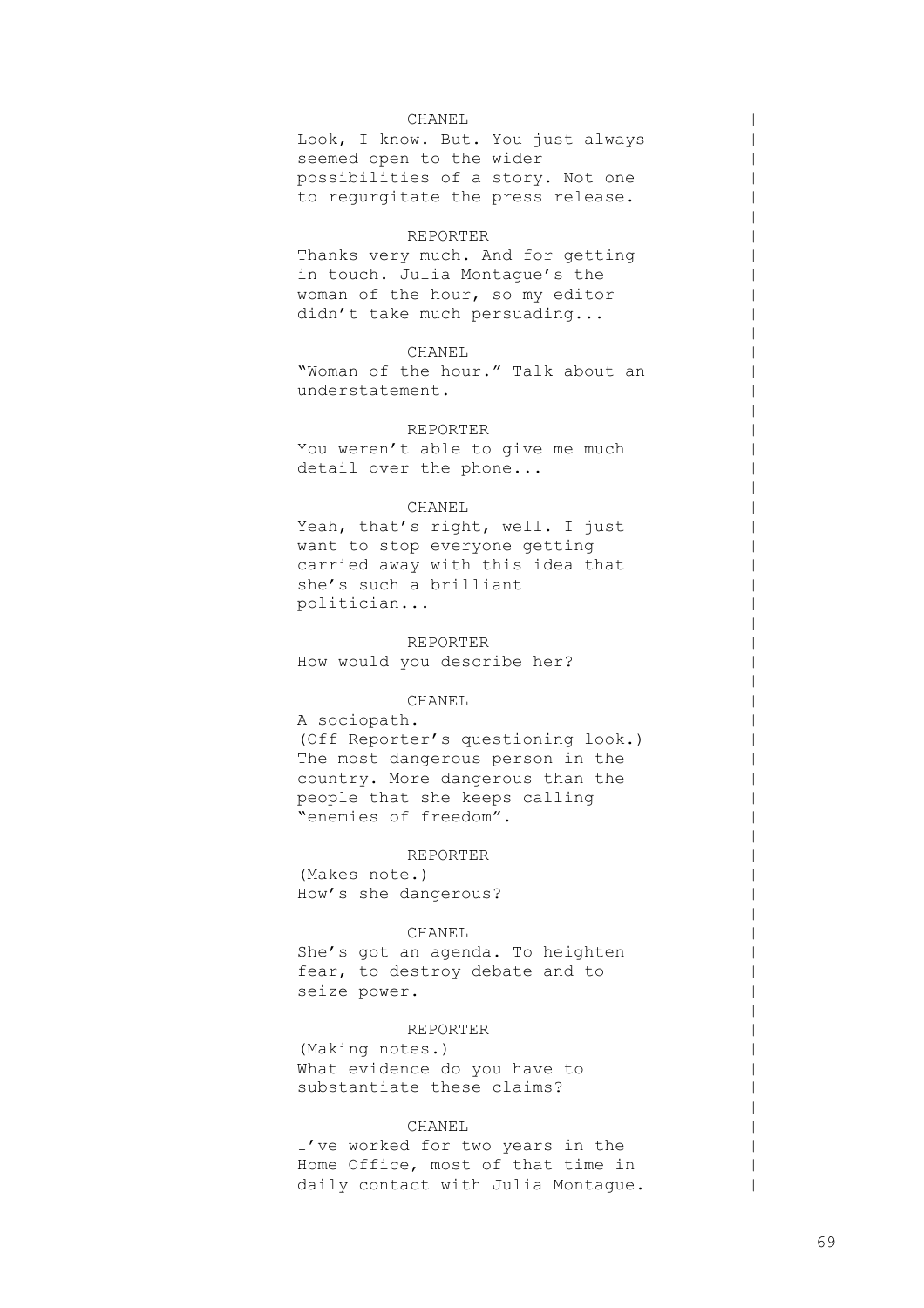### CHANEL

Look, I know. But. You just always seemed open to the wider possibilities of a story. Not one to regurgitate the press release.

 $\,$  $\,$  $\,$  $\,$  $\,$  $\,$  $\,$  $\,$  $\,$  $\,$  $\,$  $\,$  $\,$  $\,$  $\,$  $\,$  $\,$  $\,$  $\,$  $\,$  $\,$  $\,$  $\,$  $\,$  $\,$  $\,$  $\,$  $\,$  $\,$  $\,$  $\,$  $\,$  $\,$  $\,$  $\,$  $\,$  $\,$  $\,$  $\,$  $\,$  $\,$  $\,$  $\,$  $\,$  $\,$  $\,$  $\,$  $\,$  $\,$  $\,$  $\,$  $\,$  $\,$  $\,$  $\perp$ |

### REPORTER

Thanks very much. And for getting in touch. Julia Montague's the woman of the hour, so my editor didn't take much persuading...

# CHANEL

"Woman of the hour." Talk about an understatement.

### REPORTER

You weren't able to give me much detail over the phone...

# CHANEL

Yeah, that's right, well. I just want to stop everyone getting carried away with this idea that she's such a brilliant politician...

REPORTER How would you describe her?

### CHANEL

A sociopath. (Off Reporter's questioning look.) The most dangerous person in the country. More dangerous than the people that she keeps calling "enemies of freedom".

### REPORTER

(Makes note.) How's she dangerous?

### CHANEL

She's got an agenda. To heighten fear, to destroy debate and to seize power.

# REPORTER

(Making notes.) What evidence do you have to substantiate these claims?

### CHANEL

I've worked for two years in the Home Office, most of that time in daily contact with Julia Montague.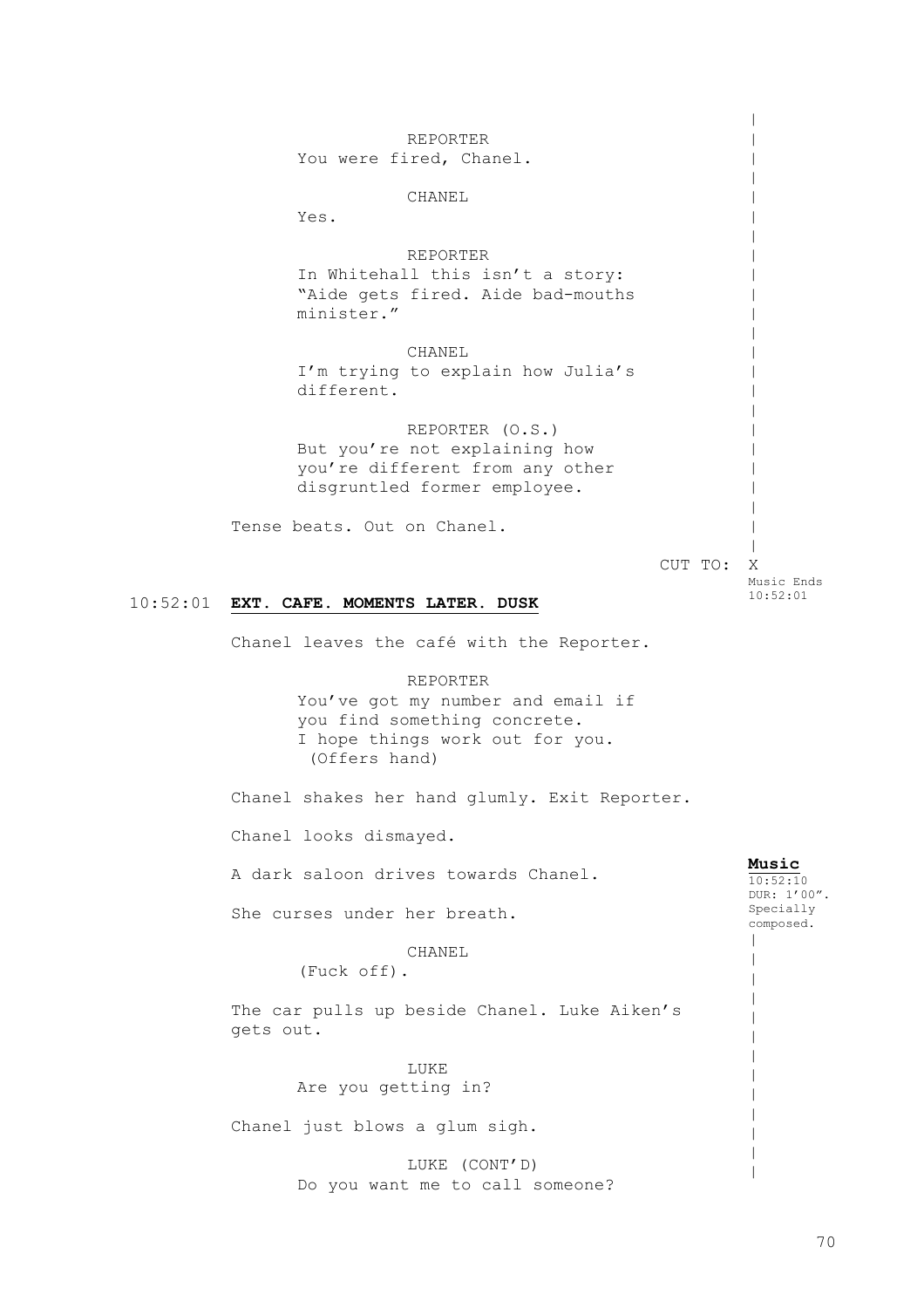10:52:01 **EXT. CAFE. MOMENTS LATER. DUSK** REPORTER You were fired, Chanel. CHANEL Yes. REPORTER In Whitehall this isn't a story: "Aide gets fired. Aide bad-mouths minister." CHANEL I'm trying to explain how Julia's different. REPORTER (O.S.) But you're not explaining how you're different from any other disgruntled former employee. Tense beats. Out on Chanel. CUT TO: X Chanel leaves the café with the Reporter. REPORTER You've got my number and email if you find something concrete. I hope things work out for you. (Offers hand) Chanel shakes her hand glumly. Exit Reporter. Chanel looks dismayed. A dark saloon drives towards Chanel. She curses under her breath. CHANEL (Fuck off). The car pulls up beside Chanel. Luke Aiken's gets out. LUKE Are you getting in? Chanel just blows a glum sigh. LUKE (CONT'D) Do you want me to call someone?  $\,$  $\,$  $\,$  $\,$  $\,$  $\,$  $\,$  $\,$  $\,$  $\,$  $\,$  $\,$  $\,$  $\,$  $\,$  $\,$  $\,$  $\,$  $\,$  $\,$  $\,$  $\,$  $\,$ Music Ends 10:52:01 **Music**  $10:52:10$ DUR: 1'00". Specially composed.  $\blacksquare$  $\,$  $\,$  $\,$  $\,$  $\,$  $\,$  $\,$  $\,$  $\,$  $\,$  $\,$ |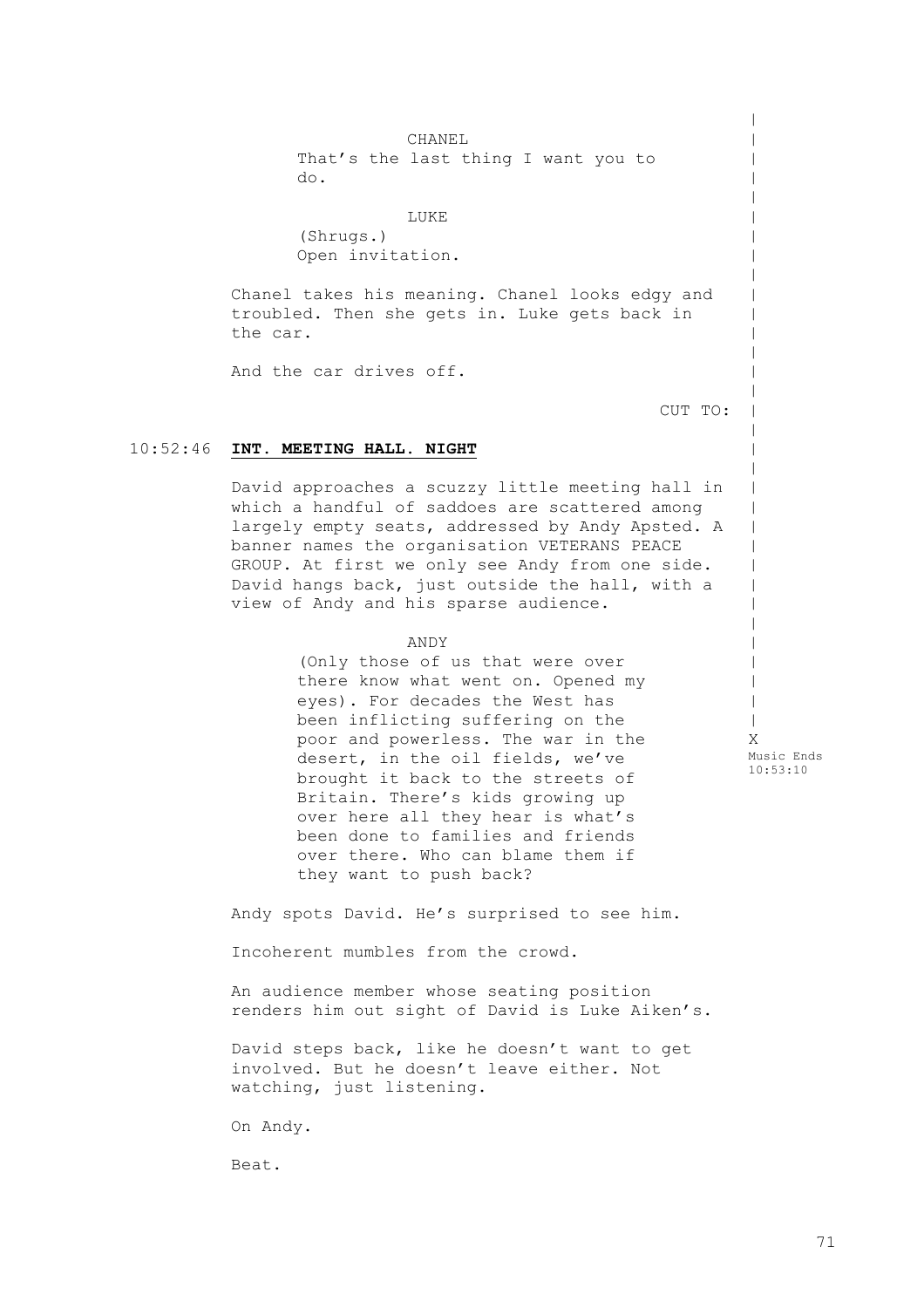CHANEL That's the last thing I want you to do.

LUKE (Shrugs.) Open invitation.

Chanel takes his meaning. Chanel looks edgy and troubled. Then she gets in. Luke gets back in the car.

And the car drives off.

CUT TO:

 $\,$  $\,$  $\,$  $\,$  $\,$  $\,$  $\,$  $\,$  $\,$  $\,$  $\,$  $\,$  $\,$  $\,$  $\,$  $\,$  $\,$  $\,$  $\,$  $\,$  $\,$  $\,$  $\,$  $\,$  $\,$  $\,$  $\,$  $\,$  $\,$  $\,$  $\,$ |

# 10:52:46 **INT. MEETING HALL. NIGHT**

David approaches a scuzzy little meeting hall in which a handful of saddoes are scattered among largely empty seats, addressed by Andy Apsted. A banner names the organisation VETERANS PEACE GROUP. At first we only see Andy from one side. David hangs back, just outside the hall, with a view of Andy and his sparse audience.

# ANDY

(Only those of us that were over there know what went on. Opened my eyes). For decades the West has been inflicting suffering on the poor and powerless. The war in the desert, in the oil fields, we've brought it back to the streets of Britain. There's kids growing up over here all they hear is what's been done to families and friends over there. Who can blame them if they want to push back?

X Music Ends 10:53:10

Andy spots David. He's surprised to see him.

Incoherent mumbles from the crowd.

An audience member whose seating position renders him out sight of David is Luke Aiken's.

David steps back, like he doesn't want to get involved. But he doesn't leave either. Not watching, just listening.

On Andy.

Beat.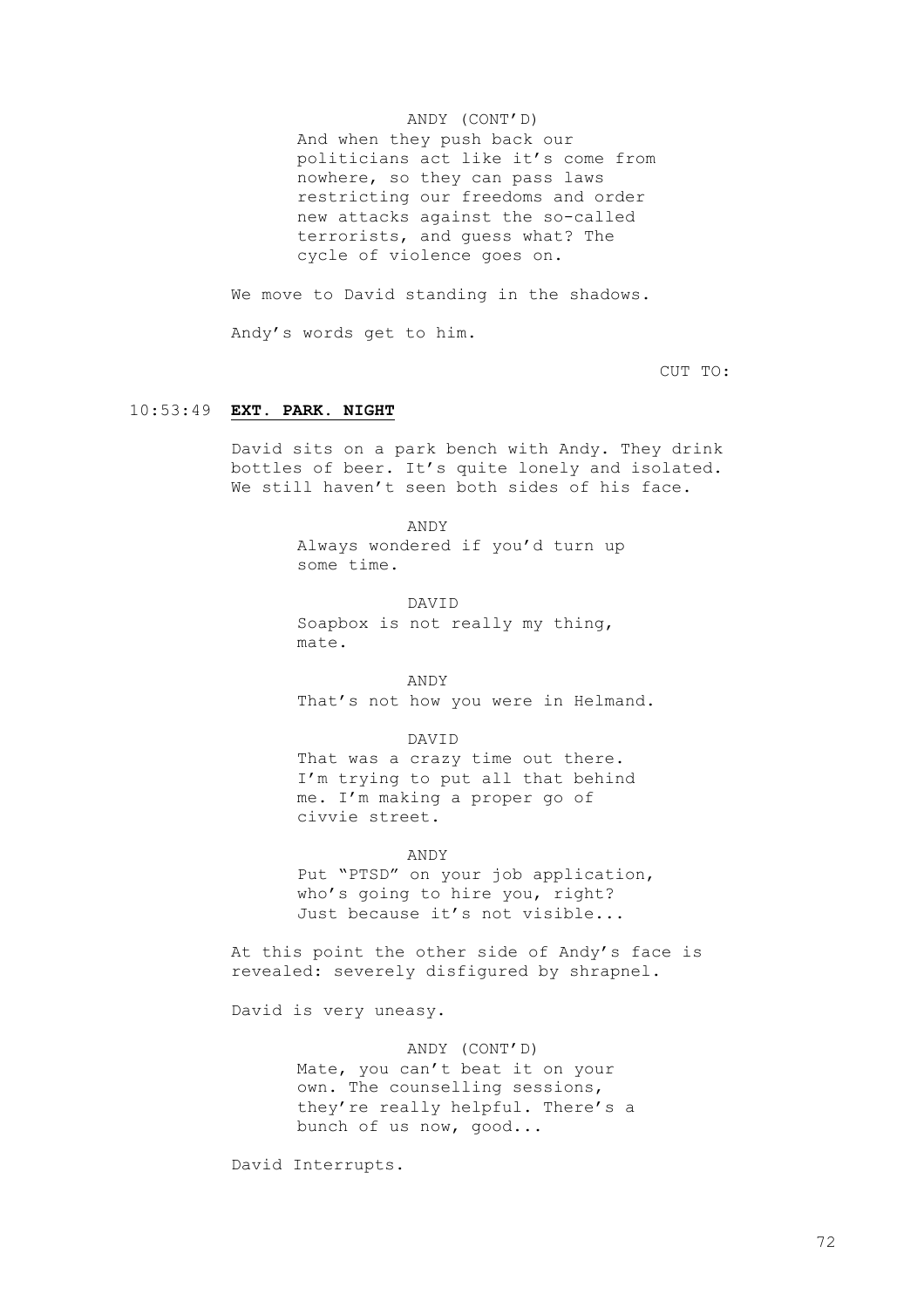## ANDY (CONT'D)

And when they push back our politicians act like it's come from nowhere, so they can pass laws restricting our freedoms and order new attacks against the so-called terrorists, and guess what? The cycle of violence goes on.

We move to David standing in the shadows.

Andy's words get to him.

CUT TO:

## 10:53:49 **EXT. PARK. NIGHT**

David sits on a park bench with Andy. They drink bottles of beer. It's quite lonely and isolated. We still haven't seen both sides of his face.

> ANDY Always wondered if you'd turn up some time.

DAVID Soapbox is not really my thing, mate.

ANDY That's not how you were in Helmand.

DAVID That was a crazy time out there. I'm trying to put all that behind me. I'm making a proper go of civvie street.

ANDY Put "PTSD" on your job application, who's going to hire you, right? Just because it's not visible...

At this point the other side of Andy's face is revealed: severely disfigured by shrapnel.

David is very uneasy.

ANDY (CONT'D) Mate, you can't beat it on your own. The counselling sessions, they're really helpful. There's a bunch of us now, good...

David Interrupts.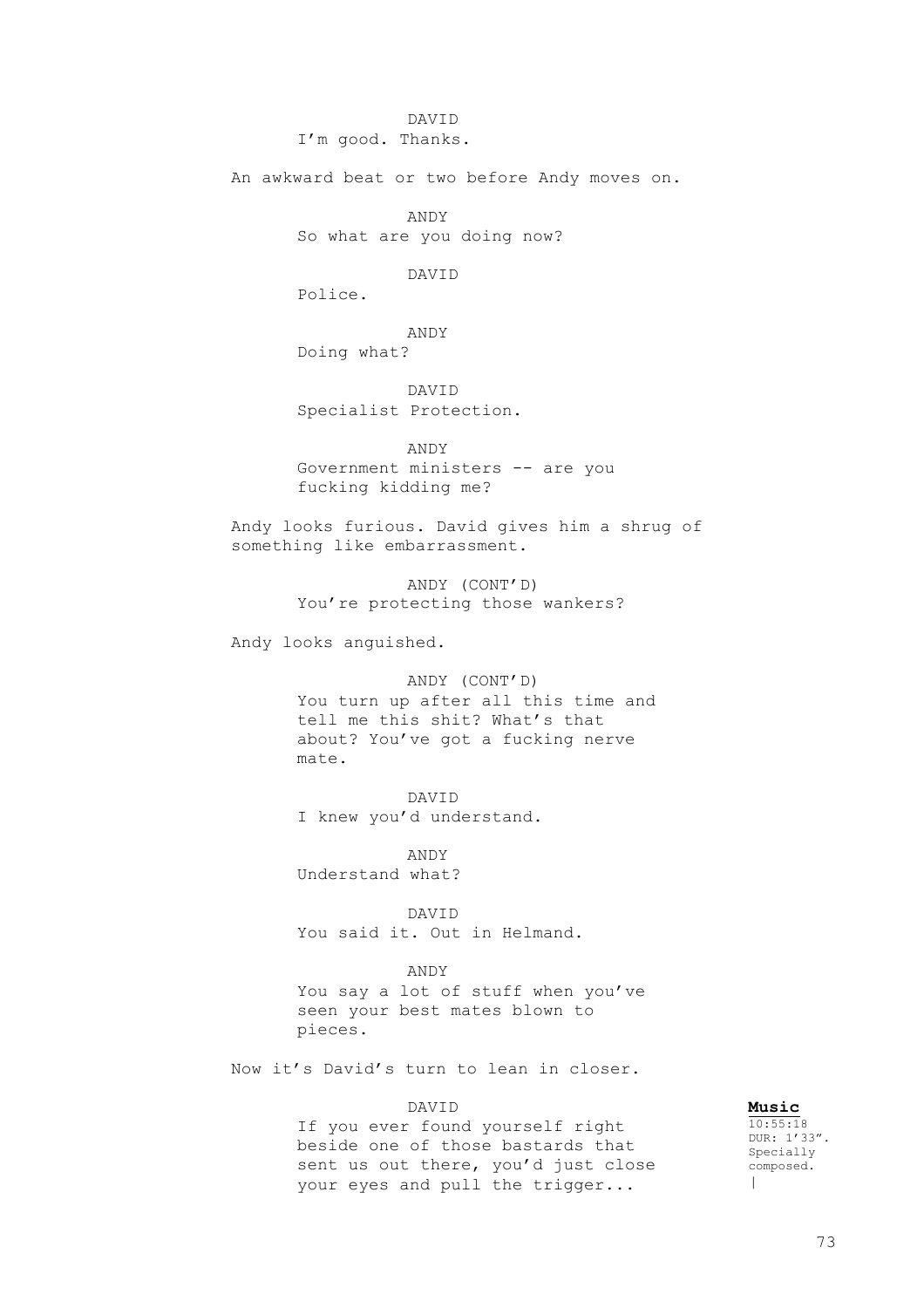DAVID I'm good. Thanks.

An awkward beat or two before Andy moves on.

ANDY So what are you doing now?

DAVID

Police.

ANDY Doing what?

DAVID Specialist Protection.

ANDY Government ministers -- are you fucking kidding me?

Andy looks furious. David gives him a shrug of something like embarrassment.

> ANDY (CONT'D) You're protecting those wankers?

Andy looks anguished.

ANDY (CONT'D) You turn up after all this time and tell me this shit? What's that about? You've got a fucking nerve mate.

DAVID I knew you'd understand.

ANDY Understand what?

DAVID You said it. Out in Helmand.

ANDY You say a lot of stuff when you've seen your best mates blown to pieces.

Now it's David's turn to lean in closer.

## DAVID

If you ever found yourself right beside one of those bastards that sent us out there, you'd just close your eyes and pull the trigger...

**Music**  $10:55:18$ DUR: 1'33". Specially composed.  $\Box$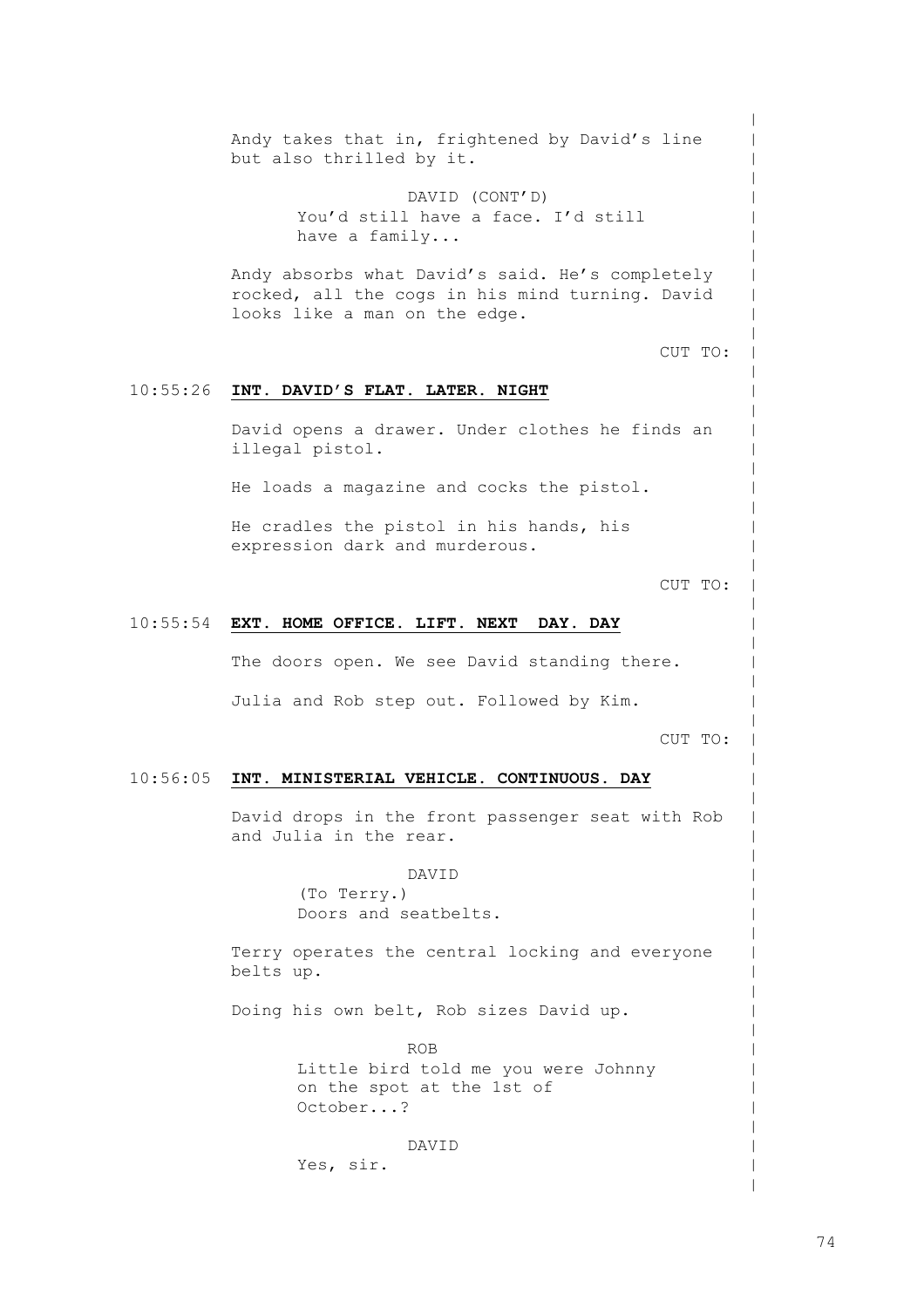10:55:26 **INT. DAVID'S FLAT. LATER. NIGHT** 10:55:54 **EXT. HOME OFFICE. LIFT. NEXT DAY. DAY** 10:56:05 **INT. MINISTERIAL VEHICLE. CONTINUOUS. DAY** Andy takes that in, frightened by David's line but also thrilled by it. DAVID (CONT'D) You'd still have a face. I'd still have a family... Andy absorbs what David's said. He's completely rocked, all the cogs in his mind turning. David looks like a man on the edge. CUT TO: David opens a drawer. Under clothes he finds an illegal pistol. He loads a magazine and cocks the pistol. He cradles the pistol in his hands, his expression dark and murderous. CUT TO: The doors open. We see David standing there. Julia and Rob step out. Followed by Kim. CUT TO: David drops in the front passenger seat with Rob and Julia in the rear. DAVID (To Terry.) Doors and seatbelts. Terry operates the central locking and everyone belts up. Doing his own belt, Rob sizes David up. ROB Little bird told me you were Johnny on the spot at the 1st of October...? DAVID

Yes, sir.

 $\,$  $\,$  $\,$  $\,$  $\,$  $\,$  $\,$  $\,$  $\,$  $\,$  $\,$  $\,$  $\,$  $\,$  $\,$  $\,$  $\,$  $\,$  $\,$  $\,$  $\,$  $\,$  $\,$  $\,$  $\,$  $\,$  $\,$  $\,$  $\,$  $\,$  $\,$  $\,$  $\,$  $\,$  $\,$  $\,$  $\,$  $\,$  $\,$  $\,$  $\,$  $\,$  $\,$  $\,$  $\,$  $\,$  $\,$  $\,$  $\,$  $\,$  $\,$  $\,$  $\,$  $\,$  $\,$  $\,$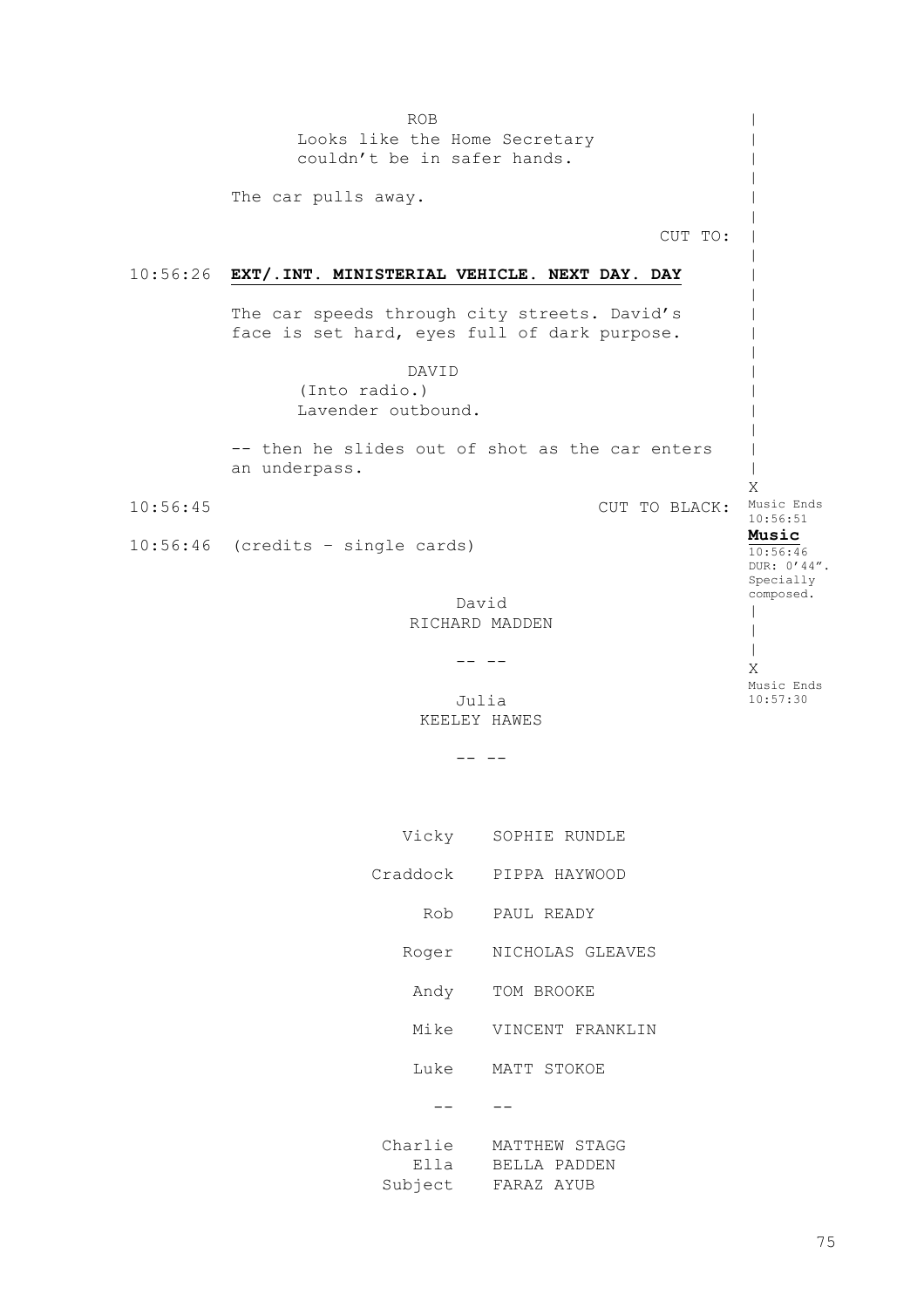10:56:26 **EXT/.INT. MINISTERIAL VEHICLE. NEXT DAY. DAY** 10:56:45 10:56:46 (credits – single cards) ROB Looks like the Home Secretary couldn't be in safer hands. The car pulls away. CUT TO: The car speeds through city streets. David's face is set hard, eyes full of dark purpose. DAVID (Into radio.) Lavender outbound. -- then he slides out of shot as the car enters an underpass. CUT TO BLACK: Music Ends David RICHARD MADDEN  $-$ Julia KEELEY HAWES  $- --$ | | |  $\,$  $\,$  $\,$ |  $\,$  $\,$  $\,$  $\,$  $\,$  $\,$  $\,$  $\,$  $\,$  $\,$ | | X 10:56:51 **Music** 10:56:46 DUR: 0'44". Specially composed.  $\blacksquare$ |  $\blacksquare$ X Music Ends 10:57:30 Vicky SOPHIE RUNDLE Craddock PIPPA HAYWOOD Rob PAUL READY Roger NICHOLAS GLEAVES Andy Mike Luke MATT STOKOE -- -- Charlie MATTHEW STAGG Ella Subject TOM BROOKE VINCENT FRANKLIN BELLA PADDEN FARAZ AYUB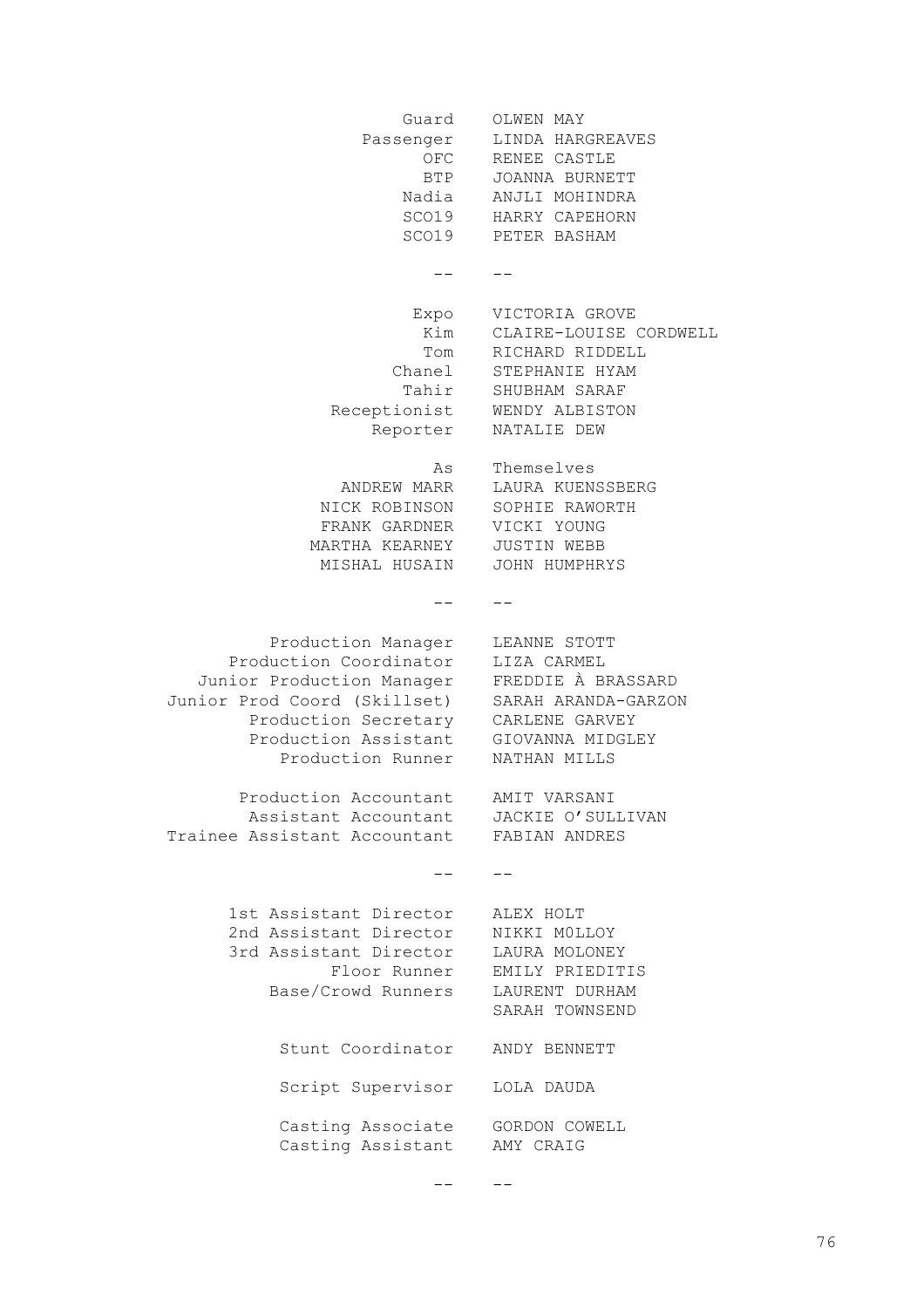Guard OLWEN MAY Passenger OFC BTP JOANNA BURNETT Nadia SCO19 SCO19 PETER BASHAM  $\,$ Expo Kim Tom RICHARD RIDDELL Chanel Tahir Receptionist Reporter NATALIE DEW As ANDREW MARR NICK ROBINSON SOPHIE RAWORTH FRANK GARDNER VICKI YOUNG MARTHA KEARNEY JUSTIN WEBB MISHAL HUSAIN JOHN HUMPHRYS -- -- Production Manager LEANNE STOTT Production Coordinator LIZA CARMEL Junior Production Manager FREDDIE À BRASSARD Junior Prod Coord (Skillset) Production Secretary CARLENE GARVEY Production Assistant Production Runner Production Accountant AMIT VARSANI Assistant Accountant Trainee Assistant Accountant  $- -$ 1st Assistant Director 2nd Assistant Director 3rd Assistant Director Floor Runner Base/Crowd Runners Stunt Coordinator ANDY BENNETT Script Supervisor LOLA DAUDA Casting Associate GORDON COWELL Casting Assistant LINDA HARGREAVES RENEE CASTLE ANJLI MOHINDRA HARRY CAPEHORN  $- - -$ VICTORIA GROVE CLAIRE-LOUISE CORDWELL STEPHANIE HYAM SHUBHAM SARAF WENDY ALBISTON Themselves LAURA KUENSSBERG SARAH ARANDA-GARZON GIOVANNA MIDGLEY NATHAN MILLS JACKIE O'SULLIVAN FABIAN ANDRES -- ALEX HOLT NIKKI M0LLOY LAURA MOLONEY EMILY PRIEDITIS LAURENT DURHAM SARAH TOWNSEND AMY CRAIG

> $-$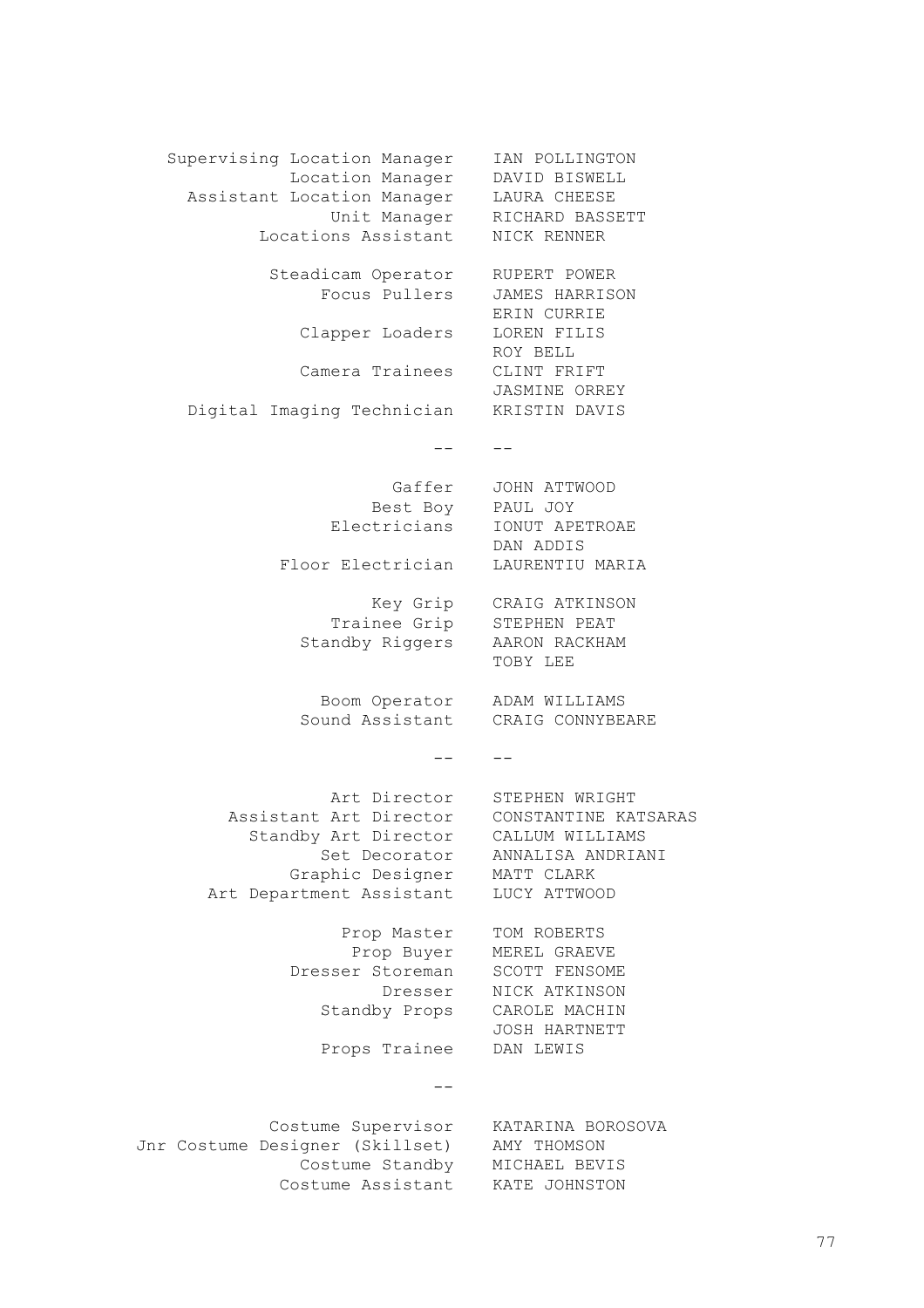Supervising Location Manager Location Manager Assistant Location Manager Unit Manager Locations Assistant Steadicam Operator Focus Pullers Clapper Loaders LOREN FILIS Camera Trainees CLINT FRIFT Digital Imaging Technician  $-\frac{1}{2}$ Gaffer Best Boy PAUL JOY Electricians IONUT APETROAE Floor Electrician LAURENTIU MARIA Key Grip CRAIG ATKINSON Trainee Grip Standby Riggers Boom Operator Sound Assistant -- -- Art Director STEPHEN WRIGHT Assistant Art Director Standby Art Director Set Decorator Graphic Designer Art Department Assistant LUCY ATTWOOD Prop Master Prop Buyer Dresser Storeman SCOTT FENSOME Dresser Standby Props Props Trainee DAN LEWIS  $-$ Costume Supervisor KATARINA BOROSOVA Jnr Costume Designer (Skillset) Costume Standby MICHAEL BEVIS Costume Assistant KATE JOHNSTONIAN POLLINGTON DAVID BISWELL LAURA CHEESE RICHARD BASSETT NICK RENNER RUPERT POWER JAMES HARRISON ERIN CURRIE ROY BELL JASMINE ORREY KRISTIN DAVIS -- JOHN ATTWOOD DAN ADDIS STEPHEN PEAT AARON RACKHAM TOBY LEE ADAM WILLIAMS CRAIG CONNYBEARE CONSTANTINE KATSARAS CALLUM WILLIAMS ANNALISA ANDRIANI MATT CLARK TOM ROBERTS MEREL GRAEVE NICK ATKINSON CAROLE MACHIN JOSH HARTNETT AMY THOMSON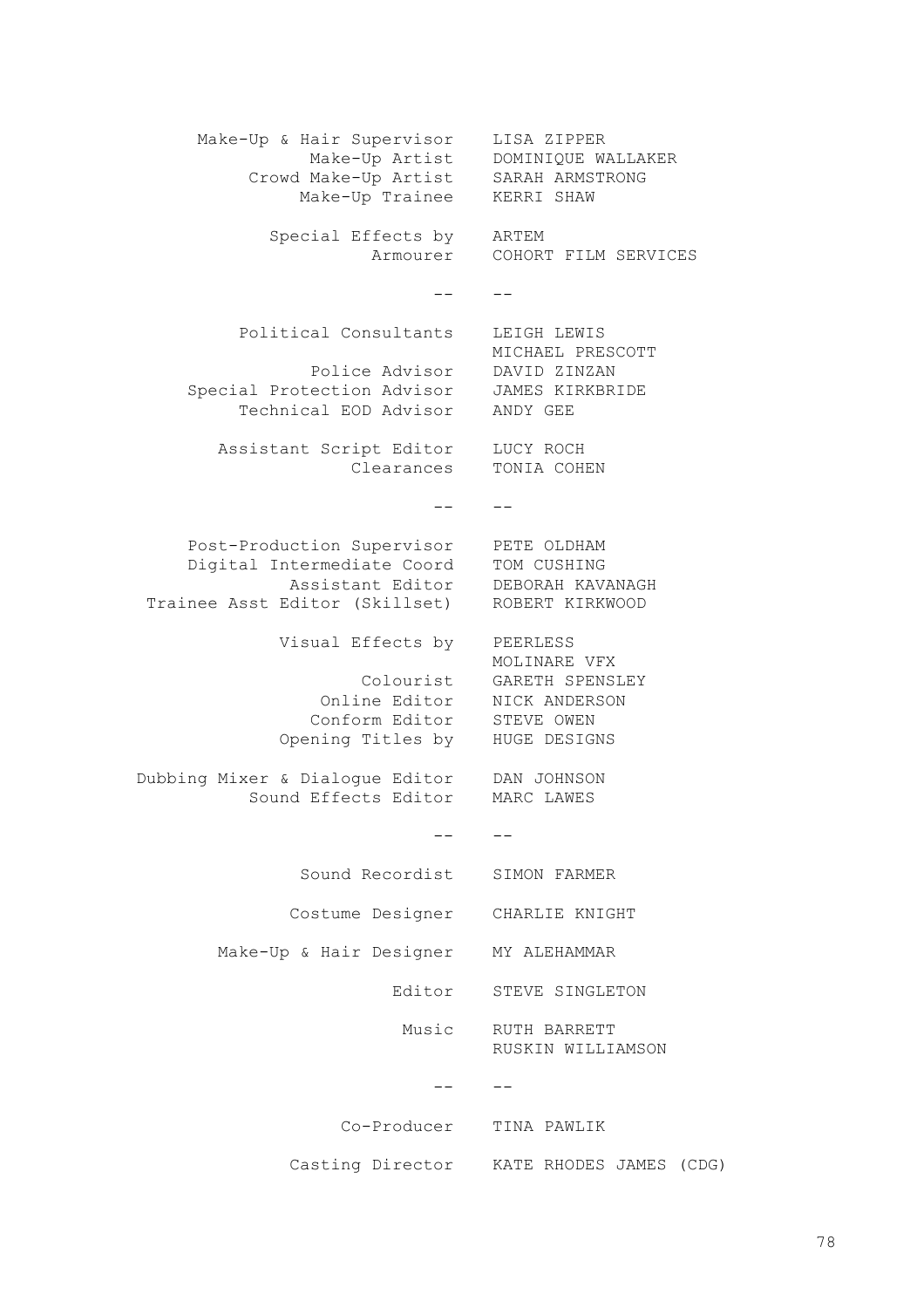Make-Up & Hair Supervisor Make-Up Artist Crowd Make-Up Artist Make-Up Trainee Special Effects by ARTEM Armourer  $-$ Political Consultants Police Advisor Special Protection Advisor Technical EOD Advisor Assistant Script Editor LUCY ROCH Clearances TONIA COHEN  $- -$ Post-Production Supervisor Digital Intermediate Coord Assistant Editor Trainee Asst Editor (Skillset) Visual Effects by Colourist GARETH SPENSLEY Online Editor NICK ANDERSON Conform Editor STEVE OWEN Opening Titles by HUGE DESIGNS Dubbing Mixer & Dialogue Editor DAN JOHNSON Sound Effects Editor  $- -$ Sound Recordist Costume Designer CHARLIE KNIGHT Make-Up & Hair Designer MY ALEHAMMAR Editor Music RUTH BARRETT -- -- Co-Producer TINA PAWLIK Casting Director KATE RHODES JAMES (CDG)LISA ZIPPER DOMINIQUE WALLAKER SARAH ARMSTRONG KERRI SHAW COHORT FILM SERVICES  $-$ LEIGH LEWIS MICHAEL PRESCOTT DAVID ZINZAN JAMES KIRKBRIDE ANDY GEE  $-$ PETE OLDHAM TOM CUSHING DEBORAH KAVANAGH ROBERT KIRKWOOD PEERLESS MOLINARE VFX MARC LAWES  $- -$ SIMON FARMER STEVE SINGLETON RUSKIN WILLIAMSON